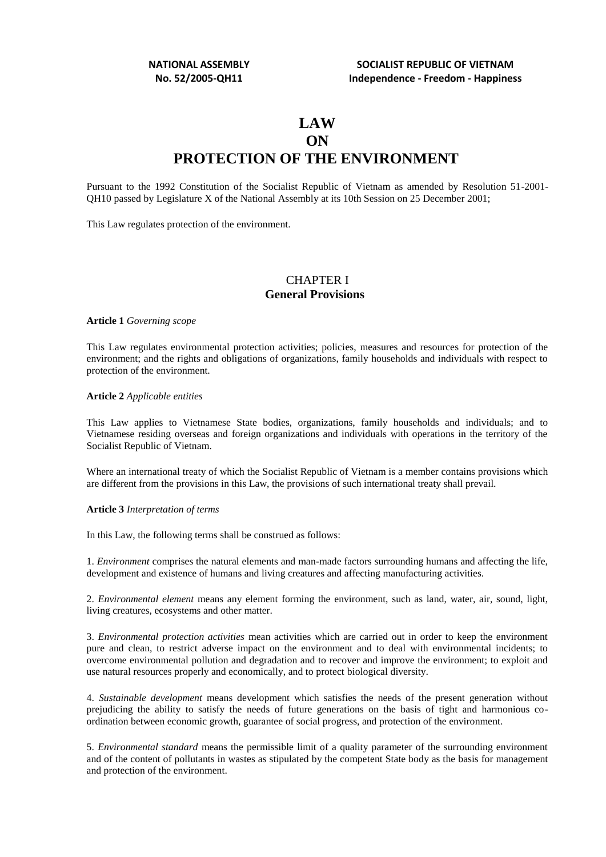# **LAW ON PROTECTION OF THE ENVIRONMENT**

Pursuant to the 1992 Constitution of the Socialist Republic of Vietnam as amended by Resolution 51-2001- QH10 passed by Legislature X of the National Assembly at its 10th Session on 25 December 2001;

This Law regulates protection of the environment.

## CHAPTER I **General Provisions**

**Article 1** *Governing scope*

This Law regulates environmental protection activities; policies, measures and resources for protection of the environment; and the rights and obligations of organizations, family households and individuals with respect to protection of the environment.

#### **Article 2** *Applicable entities*

This Law applies to Vietnamese State bodies, organizations, family households and individuals; and to Vietnamese residing overseas and foreign organizations and individuals with operations in the territory of the Socialist Republic of Vietnam.

Where an international treaty of which the Socialist Republic of Vietnam is a member contains provisions which are different from the provisions in this Law, the provisions of such international treaty shall prevail.

#### **Article 3** *Interpretation of terms*

In this Law, the following terms shall be construed as follows:

1. *Environment* comprises the natural elements and man-made factors surrounding humans and affecting the life, development and existence of humans and living creatures and affecting manufacturing activities.

2. *Environmental element* means any element forming the environment, such as land, water, air, sound, light, living creatures, ecosystems and other matter.

3. *Environmental protection activities* mean activities which are carried out in order to keep the environment pure and clean, to restrict adverse impact on the environment and to deal with environmental incidents; to overcome environmental pollution and degradation and to recover and improve the environment; to exploit and use natural resources properly and economically, and to protect biological diversity.

4. *Sustainable development* means development which satisfies the needs of the present generation without prejudicing the ability to satisfy the needs of future generations on the basis of tight and harmonious coordination between economic growth, guarantee of social progress, and protection of the environment.

5. *Environmental standard* means the permissible limit of a quality parameter of the surrounding environment and of the content of pollutants in wastes as stipulated by the competent State body as the basis for management and protection of the environment.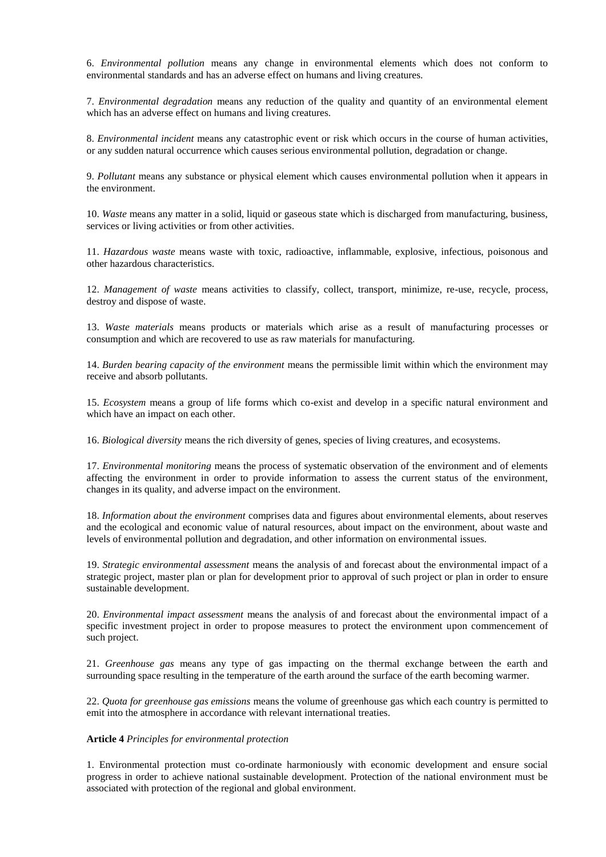6. *Environmental pollution* means any change in environmental elements which does not conform to environmental standards and has an adverse effect on humans and living creatures.

7. *Environmental degradation* means any reduction of the quality and quantity of an environmental element which has an adverse effect on humans and living creatures.

8. *Environmental incident* means any catastrophic event or risk which occurs in the course of human activities, or any sudden natural occurrence which causes serious environmental pollution, degradation or change.

9. *Pollutant* means any substance or physical element which causes environmental pollution when it appears in the environment.

10. *Waste* means any matter in a solid, liquid or gaseous state which is discharged from manufacturing, business, services or living activities or from other activities.

11. *Hazardous waste* means waste with toxic, radioactive, inflammable, explosive, infectious, poisonous and other hazardous characteristics.

12. *Management of waste* means activities to classify, collect, transport, minimize, re-use, recycle, process, destroy and dispose of waste.

13. *Waste materials* means products or materials which arise as a result of manufacturing processes or consumption and which are recovered to use as raw materials for manufacturing.

14. *Burden bearing capacity of the environment* means the permissible limit within which the environment may receive and absorb pollutants.

15. *Ecosystem* means a group of life forms which co-exist and develop in a specific natural environment and which have an impact on each other.

16. *Biological diversity* means the rich diversity of genes, species of living creatures, and ecosystems.

17. *Environmental monitoring* means the process of systematic observation of the environment and of elements affecting the environment in order to provide information to assess the current status of the environment, changes in its quality, and adverse impact on the environment.

18. *Information about the environment* comprises data and figures about environmental elements, about reserves and the ecological and economic value of natural resources, about impact on the environment, about waste and levels of environmental pollution and degradation, and other information on environmental issues.

19. *Strategic environmental assessment* means the analysis of and forecast about the environmental impact of a strategic project, master plan or plan for development prior to approval of such project or plan in order to ensure sustainable development.

20. *Environmental impact assessment* means the analysis of and forecast about the environmental impact of a specific investment project in order to propose measures to protect the environment upon commencement of such project.

21. *Greenhouse gas* means any type of gas impacting on the thermal exchange between the earth and surrounding space resulting in the temperature of the earth around the surface of the earth becoming warmer.

22. *Quota for greenhouse gas emissions* means the volume of greenhouse gas which each country is permitted to emit into the atmosphere in accordance with relevant international treaties.

#### **Article 4** *Principles for environmental protection*

1. Environmental protection must co-ordinate harmoniously with economic development and ensure social progress in order to achieve national sustainable development. Protection of the national environment must be associated with protection of the regional and global environment.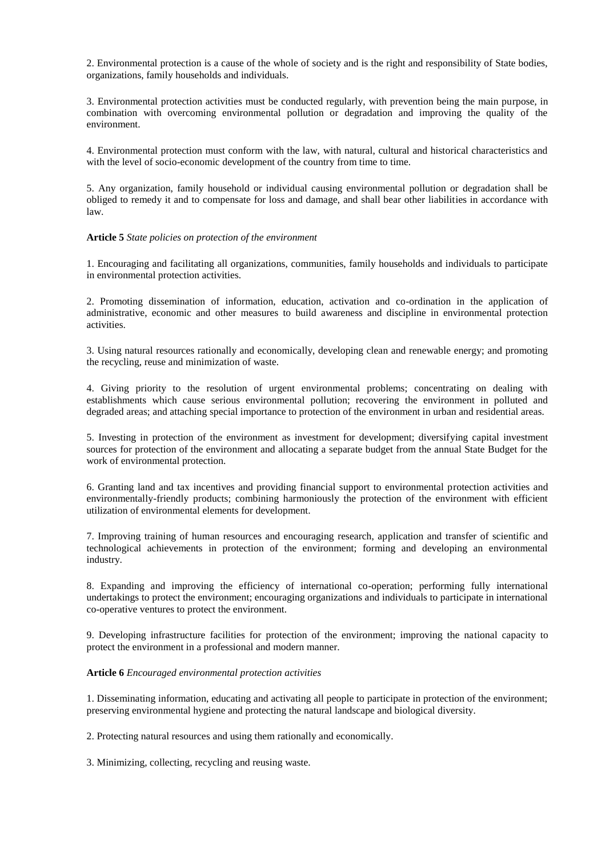2. Environmental protection is a cause of the whole of society and is the right and responsibility of State bodies, organizations, family households and individuals.

3. Environmental protection activities must be conducted regularly, with prevention being the main purpose, in combination with overcoming environmental pollution or degradation and improving the quality of the environment.

4. Environmental protection must conform with the law, with natural, cultural and historical characteristics and with the level of socio-economic development of the country from time to time.

5. Any organization, family household or individual causing environmental pollution or degradation shall be obliged to remedy it and to compensate for loss and damage, and shall bear other liabilities in accordance with law.

**Article 5** *State policies on protection of the environment*

1. Encouraging and facilitating all organizations, communities, family households and individuals to participate in environmental protection activities.

2. Promoting dissemination of information, education, activation and co-ordination in the application of administrative, economic and other measures to build awareness and discipline in environmental protection activities.

3. Using natural resources rationally and economically, developing clean and renewable energy; and promoting the recycling, reuse and minimization of waste.

4. Giving priority to the resolution of urgent environmental problems; concentrating on dealing with establishments which cause serious environmental pollution; recovering the environment in polluted and degraded areas; and attaching special importance to protection of the environment in urban and residential areas.

5. Investing in protection of the environment as investment for development; diversifying capital investment sources for protection of the environment and allocating a separate budget from the annual State Budget for the work of environmental protection.

6. Granting land and tax incentives and providing financial support to environmental protection activities and environmentally-friendly products; combining harmoniously the protection of the environment with efficient utilization of environmental elements for development.

7. Improving training of human resources and encouraging research, application and transfer of scientific and technological achievements in protection of the environment; forming and developing an environmental industry.

8. Expanding and improving the efficiency of international co-operation; performing fully international undertakings to protect the environment; encouraging organizations and individuals to participate in international co-operative ventures to protect the environment.

9. Developing infrastructure facilities for protection of the environment; improving the national capacity to protect the environment in a professional and modern manner.

## **Article 6** *Encouraged environmental protection activities*

1. Disseminating information, educating and activating all people to participate in protection of the environment; preserving environmental hygiene and protecting the natural landscape and biological diversity.

2. Protecting natural resources and using them rationally and economically.

3. Minimizing, collecting, recycling and reusing waste.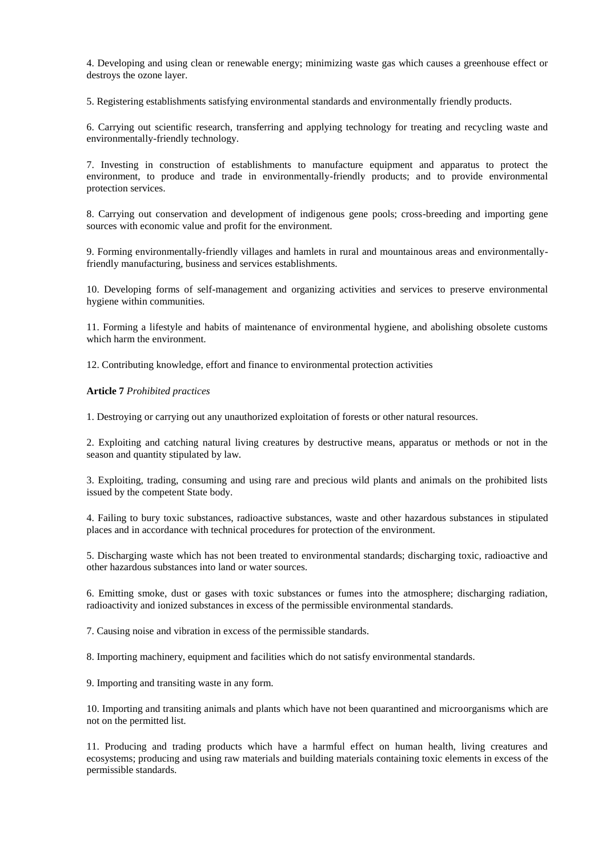4. Developing and using clean or renewable energy; minimizing waste gas which causes a greenhouse effect or destroys the ozone layer.

5. Registering establishments satisfying environmental standards and environmentally friendly products.

6. Carrying out scientific research, transferring and applying technology for treating and recycling waste and environmentally-friendly technology.

7. Investing in construction of establishments to manufacture equipment and apparatus to protect the environment, to produce and trade in environmentally-friendly products; and to provide environmental protection services.

8. Carrying out conservation and development of indigenous gene pools; cross-breeding and importing gene sources with economic value and profit for the environment.

9. Forming environmentally-friendly villages and hamlets in rural and mountainous areas and environmentallyfriendly manufacturing, business and services establishments.

10. Developing forms of self-management and organizing activities and services to preserve environmental hygiene within communities.

11. Forming a lifestyle and habits of maintenance of environmental hygiene, and abolishing obsolete customs which harm the environment.

12. Contributing knowledge, effort and finance to environmental protection activities

**Article 7** *Prohibited practices*

1. Destroying or carrying out any unauthorized exploitation of forests or other natural resources.

2. Exploiting and catching natural living creatures by destructive means, apparatus or methods or not in the season and quantity stipulated by law.

3. Exploiting, trading, consuming and using rare and precious wild plants and animals on the prohibited lists issued by the competent State body.

4. Failing to bury toxic substances, radioactive substances, waste and other hazardous substances in stipulated places and in accordance with technical procedures for protection of the environment.

5. Discharging waste which has not been treated to environmental standards; discharging toxic, radioactive and other hazardous substances into land or water sources.

6. Emitting smoke, dust or gases with toxic substances or fumes into the atmosphere; discharging radiation, radioactivity and ionized substances in excess of the permissible environmental standards.

7. Causing noise and vibration in excess of the permissible standards.

8. Importing machinery, equipment and facilities which do not satisfy environmental standards.

9. Importing and transiting waste in any form.

10. Importing and transiting animals and plants which have not been quarantined and microorganisms which are not on the permitted list.

11. Producing and trading products which have a harmful effect on human health, living creatures and ecosystems; producing and using raw materials and building materials containing toxic elements in excess of the permissible standards.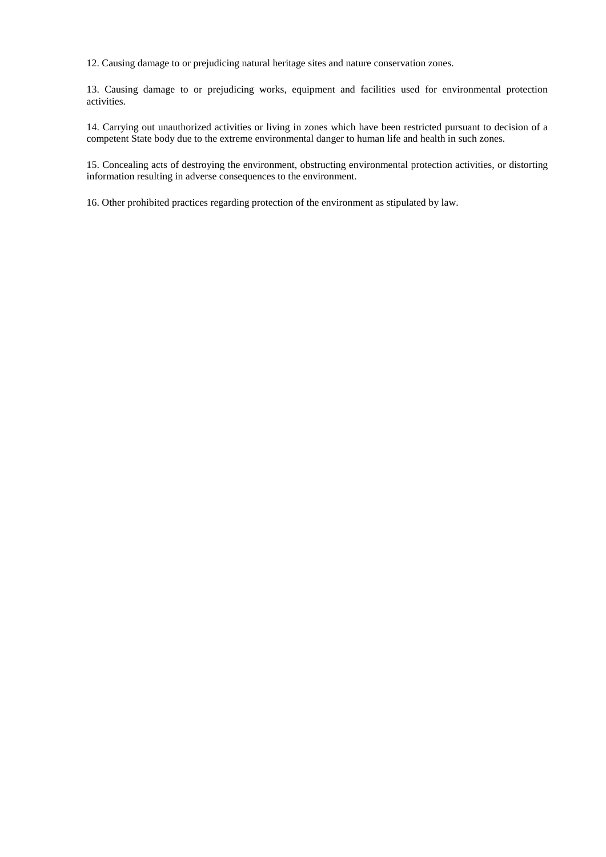12. Causing damage to or prejudicing natural heritage sites and nature conservation zones.

13. Causing damage to or prejudicing works, equipment and facilities used for environmental protection activities.

14. Carrying out unauthorized activities or living in zones which have been restricted pursuant to decision of a competent State body due to the extreme environmental danger to human life and health in such zones.

15. Concealing acts of destroying the environment, obstructing environmental protection activities, or distorting information resulting in adverse consequences to the environment.

16. Other prohibited practices regarding protection of the environment as stipulated by law.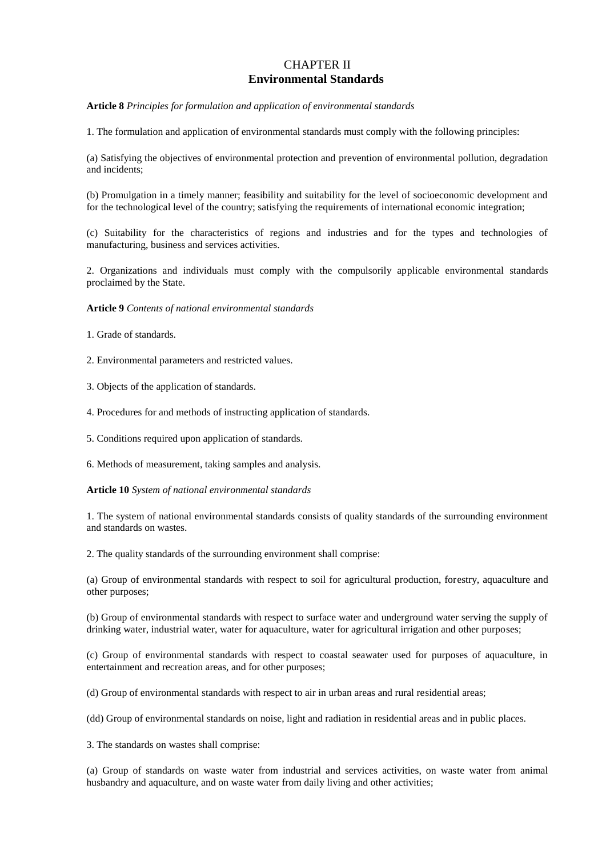## CHAPTER II **Environmental Standards**

**Article 8** *Principles for formulation and application of environmental standards*

1. The formulation and application of environmental standards must comply with the following principles:

(a) Satisfying the objectives of environmental protection and prevention of environmental pollution, degradation and incidents;

(b) Promulgation in a timely manner; feasibility and suitability for the level of socioeconomic development and for the technological level of the country; satisfying the requirements of international economic integration;

(c) Suitability for the characteristics of regions and industries and for the types and technologies of manufacturing, business and services activities.

2. Organizations and individuals must comply with the compulsorily applicable environmental standards proclaimed by the State.

**Article 9** *Contents of national environmental standards*

1. Grade of standards.

2. Environmental parameters and restricted values.

3. Objects of the application of standards.

4. Procedures for and methods of instructing application of standards.

5. Conditions required upon application of standards.

6. Methods of measurement, taking samples and analysis.

**Article 10** *System of national environmental standards*

1. The system of national environmental standards consists of quality standards of the surrounding environment and standards on wastes.

2. The quality standards of the surrounding environment shall comprise:

(a) Group of environmental standards with respect to soil for agricultural production, forestry, aquaculture and other purposes;

(b) Group of environmental standards with respect to surface water and underground water serving the supply of drinking water, industrial water, water for aquaculture, water for agricultural irrigation and other purposes;

(c) Group of environmental standards with respect to coastal seawater used for purposes of aquaculture, in entertainment and recreation areas, and for other purposes;

(d) Group of environmental standards with respect to air in urban areas and rural residential areas;

(dd) Group of environmental standards on noise, light and radiation in residential areas and in public places.

3. The standards on wastes shall comprise:

(a) Group of standards on waste water from industrial and services activities, on waste water from animal husbandry and aquaculture, and on waste water from daily living and other activities;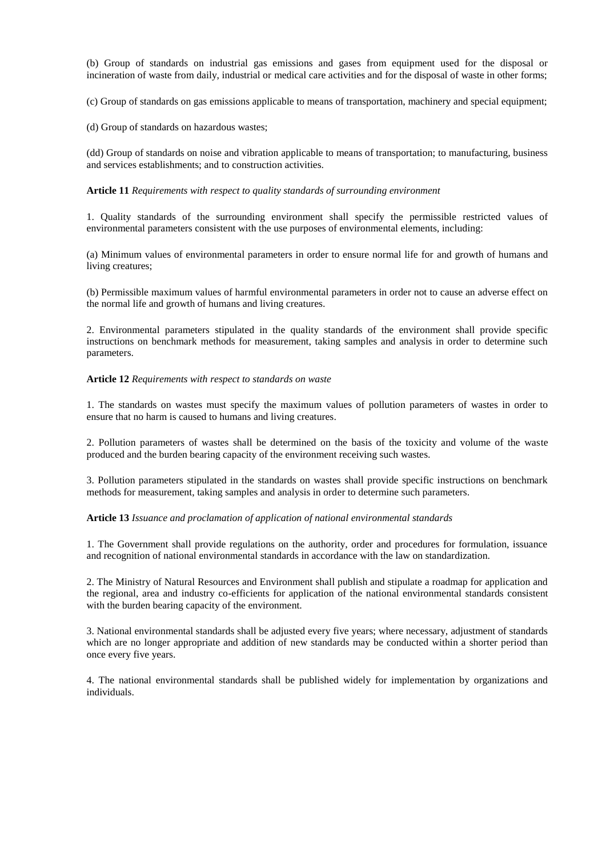(b) Group of standards on industrial gas emissions and gases from equipment used for the disposal or incineration of waste from daily, industrial or medical care activities and for the disposal of waste in other forms;

(c) Group of standards on gas emissions applicable to means of transportation, machinery and special equipment;

(d) Group of standards on hazardous wastes;

(dd) Group of standards on noise and vibration applicable to means of transportation; to manufacturing, business and services establishments; and to construction activities.

#### **Article 11** *Requirements with respect to quality standards of surrounding environment*

1. Quality standards of the surrounding environment shall specify the permissible restricted values of environmental parameters consistent with the use purposes of environmental elements, including:

(a) Minimum values of environmental parameters in order to ensure normal life for and growth of humans and living creatures;

(b) Permissible maximum values of harmful environmental parameters in order not to cause an adverse effect on the normal life and growth of humans and living creatures.

2. Environmental parameters stipulated in the quality standards of the environment shall provide specific instructions on benchmark methods for measurement, taking samples and analysis in order to determine such parameters.

#### **Article 12** *Requirements with respect to standards on waste*

1. The standards on wastes must specify the maximum values of pollution parameters of wastes in order to ensure that no harm is caused to humans and living creatures.

2. Pollution parameters of wastes shall be determined on the basis of the toxicity and volume of the waste produced and the burden bearing capacity of the environment receiving such wastes.

3. Pollution parameters stipulated in the standards on wastes shall provide specific instructions on benchmark methods for measurement, taking samples and analysis in order to determine such parameters.

## **Article 13** *Issuance and proclamation of application of national environmental standards*

1. The Government shall provide regulations on the authority, order and procedures for formulation, issuance and recognition of national environmental standards in accordance with the law on standardization.

2. The Ministry of Natural Resources and Environment shall publish and stipulate a roadmap for application and the regional, area and industry co-efficients for application of the national environmental standards consistent with the burden bearing capacity of the environment.

3. National environmental standards shall be adjusted every five years; where necessary, adjustment of standards which are no longer appropriate and addition of new standards may be conducted within a shorter period than once every five years.

4. The national environmental standards shall be published widely for implementation by organizations and individuals.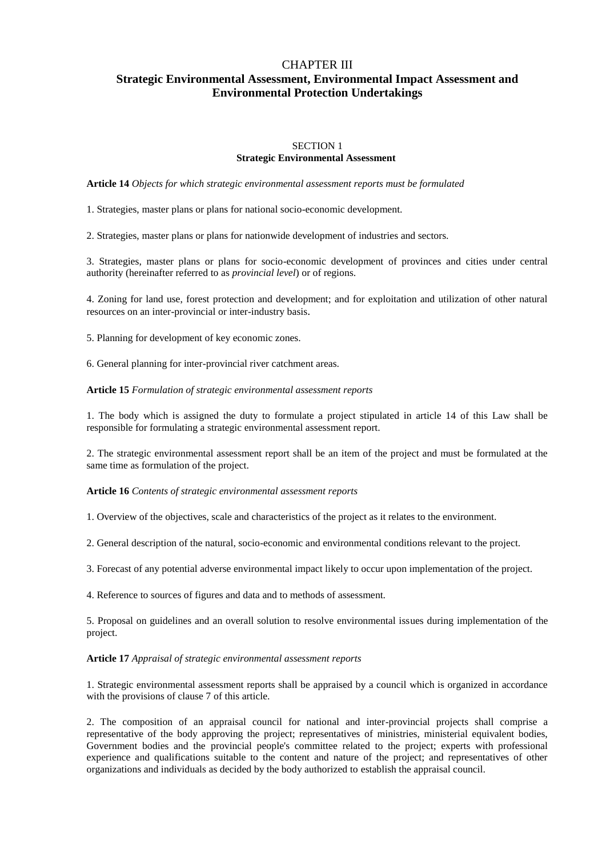## CHAPTER III **Strategic Environmental Assessment, Environmental Impact Assessment and Environmental Protection Undertakings**

## SECTION 1 **Strategic Environmental Assessment**

**Article 14** *Objects for which strategic environmental assessment reports must be formulated*

1. Strategies, master plans or plans for national socio-economic development.

2. Strategies, master plans or plans for nationwide development of industries and sectors.

3. Strategies, master plans or plans for socio-economic development of provinces and cities under central authority (hereinafter referred to as *provincial level*) or of regions.

4. Zoning for land use, forest protection and development; and for exploitation and utilization of other natural resources on an inter-provincial or inter-industry basis.

5. Planning for development of key economic zones.

6. General planning for inter-provincial river catchment areas.

#### **Article 15** *Formulation of strategic environmental assessment reports*

1. The body which is assigned the duty to formulate a project stipulated in article 14 of this Law shall be responsible for formulating a strategic environmental assessment report.

2. The strategic environmental assessment report shall be an item of the project and must be formulated at the same time as formulation of the project.

#### **Article 16** *Contents of strategic environmental assessment reports*

1. Overview of the objectives, scale and characteristics of the project as it relates to the environment.

2. General description of the natural, socio-economic and environmental conditions relevant to the project.

3. Forecast of any potential adverse environmental impact likely to occur upon implementation of the project.

4. Reference to sources of figures and data and to methods of assessment.

5. Proposal on guidelines and an overall solution to resolve environmental issues during implementation of the project.

#### **Article 17** *Appraisal of strategic environmental assessment reports*

1. Strategic environmental assessment reports shall be appraised by a council which is organized in accordance with the provisions of clause 7 of this article.

2. The composition of an appraisal council for national and inter-provincial projects shall comprise a representative of the body approving the project; representatives of ministries, ministerial equivalent bodies, Government bodies and the provincial people's committee related to the project; experts with professional experience and qualifications suitable to the content and nature of the project; and representatives of other organizations and individuals as decided by the body authorized to establish the appraisal council.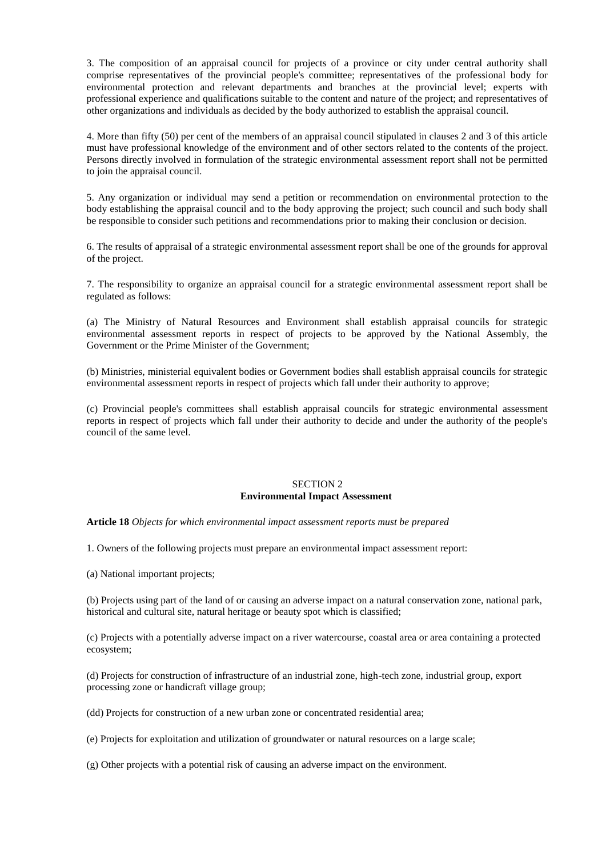3. The composition of an appraisal council for projects of a province or city under central authority shall comprise representatives of the provincial people's committee; representatives of the professional body for environmental protection and relevant departments and branches at the provincial level; experts with professional experience and qualifications suitable to the content and nature of the project; and representatives of other organizations and individuals as decided by the body authorized to establish the appraisal council.

4. More than fifty (50) per cent of the members of an appraisal council stipulated in clauses 2 and 3 of this article must have professional knowledge of the environment and of other sectors related to the contents of the project. Persons directly involved in formulation of the strategic environmental assessment report shall not be permitted to join the appraisal council.

5. Any organization or individual may send a petition or recommendation on environmental protection to the body establishing the appraisal council and to the body approving the project; such council and such body shall be responsible to consider such petitions and recommendations prior to making their conclusion or decision.

6. The results of appraisal of a strategic environmental assessment report shall be one of the grounds for approval of the project.

7. The responsibility to organize an appraisal council for a strategic environmental assessment report shall be regulated as follows:

(a) The Ministry of Natural Resources and Environment shall establish appraisal councils for strategic environmental assessment reports in respect of projects to be approved by the National Assembly, the Government or the Prime Minister of the Government;

(b) Ministries, ministerial equivalent bodies or Government bodies shall establish appraisal councils for strategic environmental assessment reports in respect of projects which fall under their authority to approve;

(c) Provincial people's committees shall establish appraisal councils for strategic environmental assessment reports in respect of projects which fall under their authority to decide and under the authority of the people's council of the same level.

## SECTION 2 **Environmental Impact Assessment**

**Article 18** *Objects for which environmental impact assessment reports must be prepared*

1. Owners of the following projects must prepare an environmental impact assessment report:

(a) National important projects;

(b) Projects using part of the land of or causing an adverse impact on a natural conservation zone, national park, historical and cultural site, natural heritage or beauty spot which is classified;

(c) Projects with a potentially adverse impact on a river watercourse, coastal area or area containing a protected ecosystem;

(d) Projects for construction of infrastructure of an industrial zone, high-tech zone, industrial group, export processing zone or handicraft village group;

(dd) Projects for construction of a new urban zone or concentrated residential area;

(e) Projects for exploitation and utilization of groundwater or natural resources on a large scale;

(g) Other projects with a potential risk of causing an adverse impact on the environment.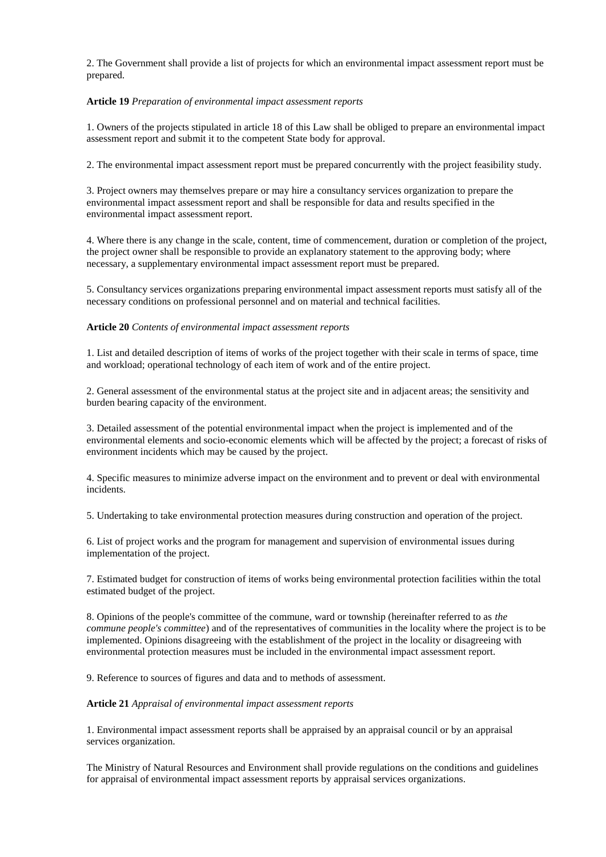2. The Government shall provide a list of projects for which an environmental impact assessment report must be prepared.

## **Article 19** *Preparation of environmental impact assessment reports*

1. Owners of the projects stipulated in article 18 of this Law shall be obliged to prepare an environmental impact assessment report and submit it to the competent State body for approval.

2. The environmental impact assessment report must be prepared concurrently with the project feasibility study.

3. Project owners may themselves prepare or may hire a consultancy services organization to prepare the environmental impact assessment report and shall be responsible for data and results specified in the environmental impact assessment report.

4. Where there is any change in the scale, content, time of commencement, duration or completion of the project, the project owner shall be responsible to provide an explanatory statement to the approving body; where necessary, a supplementary environmental impact assessment report must be prepared.

5. Consultancy services organizations preparing environmental impact assessment reports must satisfy all of the necessary conditions on professional personnel and on material and technical facilities.

## **Article 20** *Contents of environmental impact assessment reports*

1. List and detailed description of items of works of the project together with their scale in terms of space, time and workload; operational technology of each item of work and of the entire project.

2. General assessment of the environmental status at the project site and in adjacent areas; the sensitivity and burden bearing capacity of the environment.

3. Detailed assessment of the potential environmental impact when the project is implemented and of the environmental elements and socio-economic elements which will be affected by the project; a forecast of risks of environment incidents which may be caused by the project.

4. Specific measures to minimize adverse impact on the environment and to prevent or deal with environmental incidents.

5. Undertaking to take environmental protection measures during construction and operation of the project.

6. List of project works and the program for management and supervision of environmental issues during implementation of the project.

7. Estimated budget for construction of items of works being environmental protection facilities within the total estimated budget of the project.

8. Opinions of the people's committee of the commune, ward or township (hereinafter referred to as *the commune people's committee*) and of the representatives of communities in the locality where the project is to be implemented. Opinions disagreeing with the establishment of the project in the locality or disagreeing with environmental protection measures must be included in the environmental impact assessment report.

9. Reference to sources of figures and data and to methods of assessment.

## **Article 21** *Appraisal of environmental impact assessment reports*

1. Environmental impact assessment reports shall be appraised by an appraisal council or by an appraisal services organization.

The Ministry of Natural Resources and Environment shall provide regulations on the conditions and guidelines for appraisal of environmental impact assessment reports by appraisal services organizations.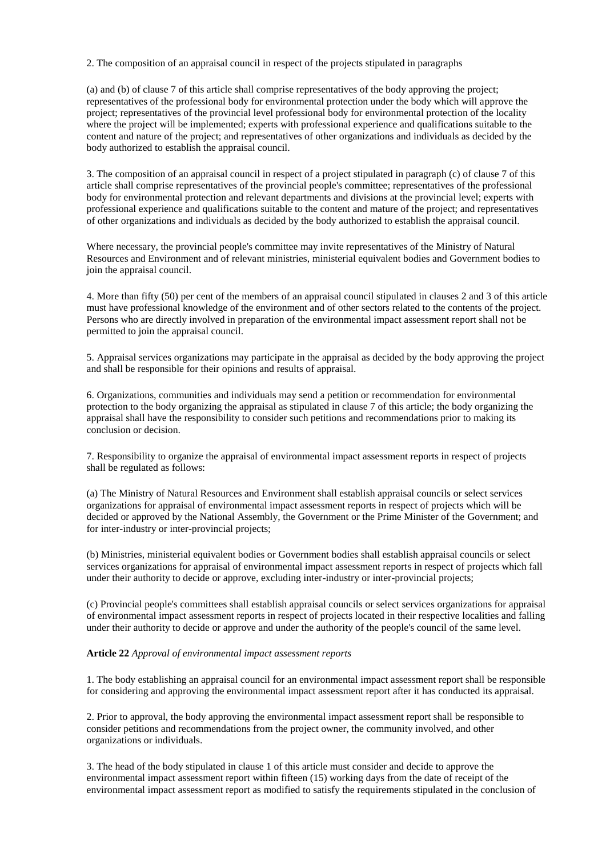2. The composition of an appraisal council in respect of the projects stipulated in paragraphs

(a) and (b) of clause 7 of this article shall comprise representatives of the body approving the project; representatives of the professional body for environmental protection under the body which will approve the project; representatives of the provincial level professional body for environmental protection of the locality where the project will be implemented; experts with professional experience and qualifications suitable to the content and nature of the project; and representatives of other organizations and individuals as decided by the body authorized to establish the appraisal council.

3. The composition of an appraisal council in respect of a project stipulated in paragraph (c) of clause 7 of this article shall comprise representatives of the provincial people's committee; representatives of the professional body for environmental protection and relevant departments and divisions at the provincial level; experts with professional experience and qualifications suitable to the content and mature of the project; and representatives of other organizations and individuals as decided by the body authorized to establish the appraisal council.

Where necessary, the provincial people's committee may invite representatives of the Ministry of Natural Resources and Environment and of relevant ministries, ministerial equivalent bodies and Government bodies to join the appraisal council.

4. More than fifty (50) per cent of the members of an appraisal council stipulated in clauses 2 and 3 of this article must have professional knowledge of the environment and of other sectors related to the contents of the project. Persons who are directly involved in preparation of the environmental impact assessment report shall not be permitted to join the appraisal council.

5. Appraisal services organizations may participate in the appraisal as decided by the body approving the project and shall be responsible for their opinions and results of appraisal.

6. Organizations, communities and individuals may send a petition or recommendation for environmental protection to the body organizing the appraisal as stipulated in clause 7 of this article; the body organizing the appraisal shall have the responsibility to consider such petitions and recommendations prior to making its conclusion or decision.

7. Responsibility to organize the appraisal of environmental impact assessment reports in respect of projects shall be regulated as follows:

(a) The Ministry of Natural Resources and Environment shall establish appraisal councils or select services organizations for appraisal of environmental impact assessment reports in respect of projects which will be decided or approved by the National Assembly, the Government or the Prime Minister of the Government; and for inter-industry or inter-provincial projects;

(b) Ministries, ministerial equivalent bodies or Government bodies shall establish appraisal councils or select services organizations for appraisal of environmental impact assessment reports in respect of projects which fall under their authority to decide or approve, excluding inter-industry or inter-provincial projects;

(c) Provincial people's committees shall establish appraisal councils or select services organizations for appraisal of environmental impact assessment reports in respect of projects located in their respective localities and falling under their authority to decide or approve and under the authority of the people's council of the same level.

## **Article 22** *Approval of environmental impact assessment reports*

1. The body establishing an appraisal council for an environmental impact assessment report shall be responsible for considering and approving the environmental impact assessment report after it has conducted its appraisal.

2. Prior to approval, the body approving the environmental impact assessment report shall be responsible to consider petitions and recommendations from the project owner, the community involved, and other organizations or individuals.

3. The head of the body stipulated in clause 1 of this article must consider and decide to approve the environmental impact assessment report within fifteen (15) working days from the date of receipt of the environmental impact assessment report as modified to satisfy the requirements stipulated in the conclusion of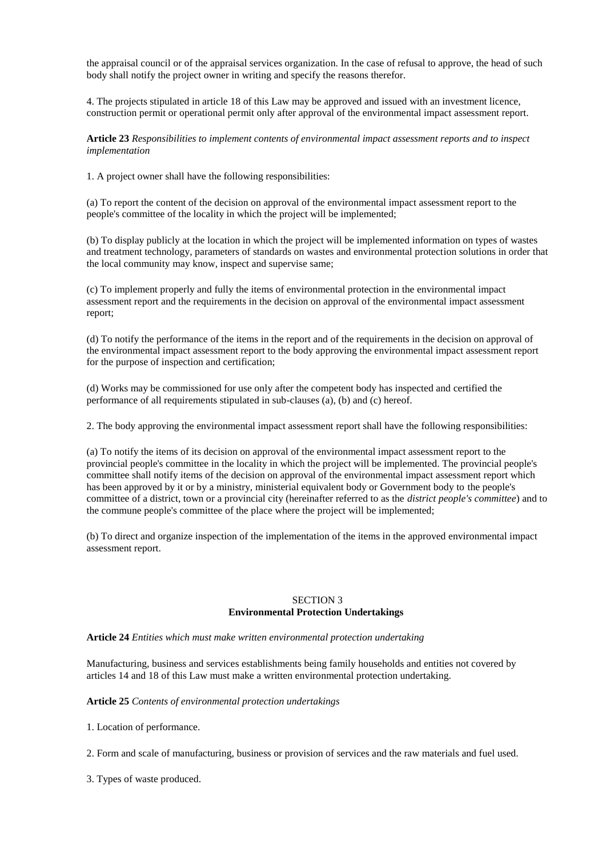the appraisal council or of the appraisal services organization. In the case of refusal to approve, the head of such body shall notify the project owner in writing and specify the reasons therefor.

4. The projects stipulated in article 18 of this Law may be approved and issued with an investment licence, construction permit or operational permit only after approval of the environmental impact assessment report.

**Article 23** *Responsibilities to implement contents of environmental impact assessment reports and to inspect implementation*

1. A project owner shall have the following responsibilities:

(a) To report the content of the decision on approval of the environmental impact assessment report to the people's committee of the locality in which the project will be implemented;

(b) To display publicly at the location in which the project will be implemented information on types of wastes and treatment technology, parameters of standards on wastes and environmental protection solutions in order that the local community may know, inspect and supervise same;

(c) To implement properly and fully the items of environmental protection in the environmental impact assessment report and the requirements in the decision on approval of the environmental impact assessment report;

(d) To notify the performance of the items in the report and of the requirements in the decision on approval of the environmental impact assessment report to the body approving the environmental impact assessment report for the purpose of inspection and certification;

(d) Works may be commissioned for use only after the competent body has inspected and certified the performance of all requirements stipulated in sub-clauses (a), (b) and (c) hereof.

2. The body approving the environmental impact assessment report shall have the following responsibilities:

(a) To notify the items of its decision on approval of the environmental impact assessment report to the provincial people's committee in the locality in which the project will be implemented. The provincial people's committee shall notify items of the decision on approval of the environmental impact assessment report which has been approved by it or by a ministry, ministerial equivalent body or Government body to the people's committee of a district, town or a provincial city (hereinafter referred to as the *district people's committee*) and to the commune people's committee of the place where the project will be implemented;

(b) To direct and organize inspection of the implementation of the items in the approved environmental impact assessment report.

### SECTION 3 **Environmental Protection Undertakings**

**Article 24** *Entities which must make written environmental protection undertaking*

Manufacturing, business and services establishments being family households and entities not covered by articles 14 and 18 of this Law must make a written environmental protection undertaking.

**Article 25** *Contents of environmental protection undertakings*

1. Location of performance.

2. Form and scale of manufacturing, business or provision of services and the raw materials and fuel used.

3. Types of waste produced.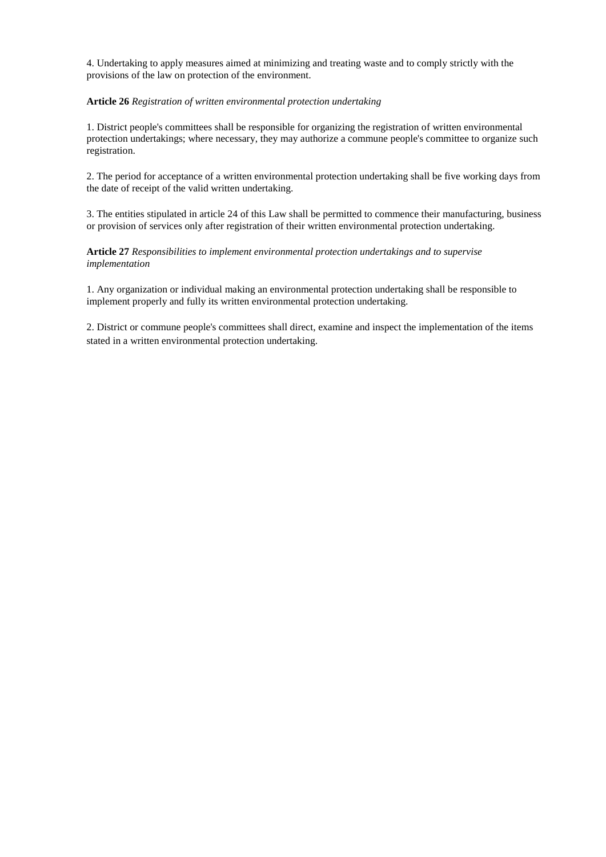4. Undertaking to apply measures aimed at minimizing and treating waste and to comply strictly with the provisions of the law on protection of the environment.

## **Article 26** *Registration of written environmental protection undertaking*

1. District people's committees shall be responsible for organizing the registration of written environmental protection undertakings; where necessary, they may authorize a commune people's committee to organize such registration.

2. The period for acceptance of a written environmental protection undertaking shall be five working days from the date of receipt of the valid written undertaking.

3. The entities stipulated in article 24 of this Law shall be permitted to commence their manufacturing, business or provision of services only after registration of their written environmental protection undertaking.

**Article 27** *Responsibilities to implement environmental protection undertakings and to supervise implementation*

1. Any organization or individual making an environmental protection undertaking shall be responsible to implement properly and fully its written environmental protection undertaking.

2. District or commune people's committees shall direct, examine and inspect the implementation of the items stated in a written environmental protection undertaking.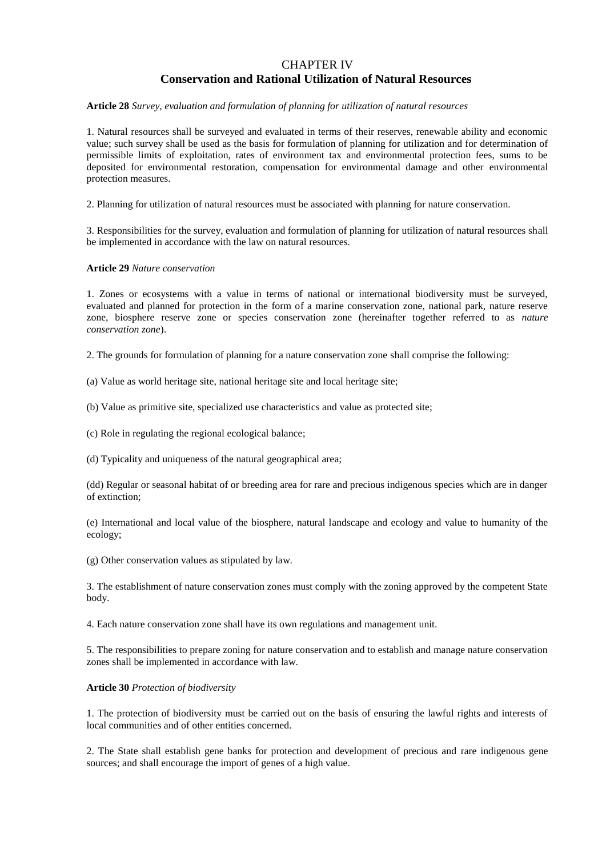## CHAPTER IV **Conservation and Rational Utilization of Natural Resources**

#### **Article 28** *Survey, evaluation and formulation of planning for utilization of natural resources*

1. Natural resources shall be surveyed and evaluated in terms of their reserves, renewable ability and economic value; such survey shall be used as the basis for formulation of planning for utilization and for determination of permissible limits of exploitation, rates of environment tax and environmental protection fees, sums to be deposited for environmental restoration, compensation for environmental damage and other environmental protection measures.

2. Planning for utilization of natural resources must be associated with planning for nature conservation.

3. Responsibilities for the survey, evaluation and formulation of planning for utilization of natural resources shall be implemented in accordance with the law on natural resources.

#### **Article 29** *Nature conservation*

1. Zones or ecosystems with a value in terms of national or international biodiversity must be surveyed, evaluated and planned for protection in the form of a marine conservation zone, national park, nature reserve zone, biosphere reserve zone or species conservation zone (hereinafter together referred to as *nature conservation zone*).

2. The grounds for formulation of planning for a nature conservation zone shall comprise the following:

(a) Value as world heritage site, national heritage site and local heritage site;

(b) Value as primitive site, specialized use characteristics and value as protected site;

(c) Role in regulating the regional ecological balance;

(d) Typicality and uniqueness of the natural geographical area;

(dd) Regular or seasonal habitat of or breeding area for rare and precious indigenous species which are in danger of extinction;

(e) International and local value of the biosphere, natural landscape and ecology and value to humanity of the ecology;

(g) Other conservation values as stipulated by law.

3. The establishment of nature conservation zones must comply with the zoning approved by the competent State body.

4. Each nature conservation zone shall have its own regulations and management unit.

5. The responsibilities to prepare zoning for nature conservation and to establish and manage nature conservation zones shall be implemented in accordance with law.

#### **Article 30** *Protection of biodiversity*

1. The protection of biodiversity must be carried out on the basis of ensuring the lawful rights and interests of local communities and of other entities concerned.

2. The State shall establish gene banks for protection and development of precious and rare indigenous gene sources; and shall encourage the import of genes of a high value.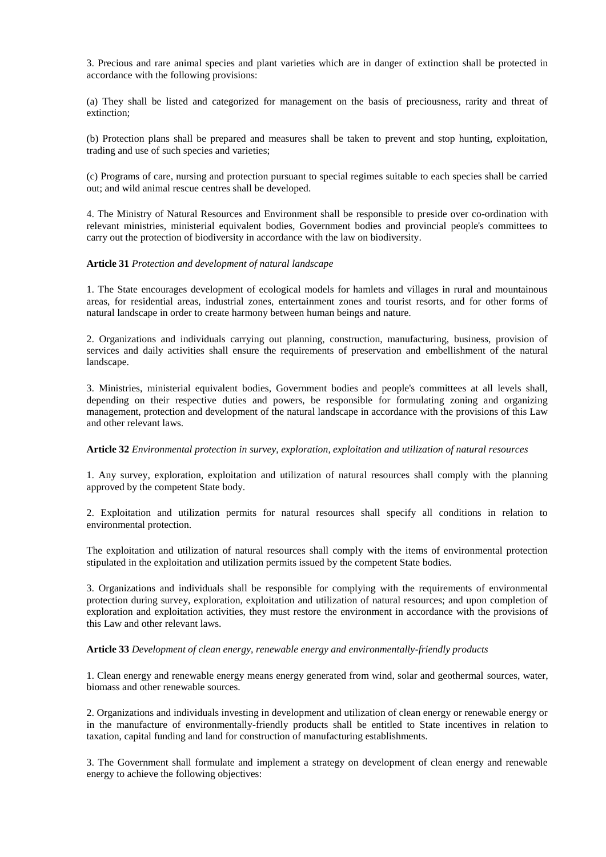3. Precious and rare animal species and plant varieties which are in danger of extinction shall be protected in accordance with the following provisions:

(a) They shall be listed and categorized for management on the basis of preciousness, rarity and threat of extinction;

(b) Protection plans shall be prepared and measures shall be taken to prevent and stop hunting, exploitation, trading and use of such species and varieties;

(c) Programs of care, nursing and protection pursuant to special regimes suitable to each species shall be carried out; and wild animal rescue centres shall be developed.

4. The Ministry of Natural Resources and Environment shall be responsible to preside over co-ordination with relevant ministries, ministerial equivalent bodies, Government bodies and provincial people's committees to carry out the protection of biodiversity in accordance with the law on biodiversity.

### **Article 31** *Protection and development of natural landscape*

1. The State encourages development of ecological models for hamlets and villages in rural and mountainous areas, for residential areas, industrial zones, entertainment zones and tourist resorts, and for other forms of natural landscape in order to create harmony between human beings and nature.

2. Organizations and individuals carrying out planning, construction, manufacturing, business, provision of services and daily activities shall ensure the requirements of preservation and embellishment of the natural landscape.

3. Ministries, ministerial equivalent bodies, Government bodies and people's committees at all levels shall, depending on their respective duties and powers, be responsible for formulating zoning and organizing management, protection and development of the natural landscape in accordance with the provisions of this Law and other relevant laws.

#### **Article 32** *Environmental protection in survey, exploration, exploitation and utilization of natural resources*

1. Any survey, exploration, exploitation and utilization of natural resources shall comply with the planning approved by the competent State body.

2. Exploitation and utilization permits for natural resources shall specify all conditions in relation to environmental protection.

The exploitation and utilization of natural resources shall comply with the items of environmental protection stipulated in the exploitation and utilization permits issued by the competent State bodies.

3. Organizations and individuals shall be responsible for complying with the requirements of environmental protection during survey, exploration, exploitation and utilization of natural resources; and upon completion of exploration and exploitation activities, they must restore the environment in accordance with the provisions of this Law and other relevant laws.

#### **Article 33** *Development of clean energy, renewable energy and environmentally-friendly products*

1. Clean energy and renewable energy means energy generated from wind, solar and geothermal sources, water, biomass and other renewable sources.

2. Organizations and individuals investing in development and utilization of clean energy or renewable energy or in the manufacture of environmentally-friendly products shall be entitled to State incentives in relation to taxation, capital funding and land for construction of manufacturing establishments.

3. The Government shall formulate and implement a strategy on development of clean energy and renewable energy to achieve the following objectives: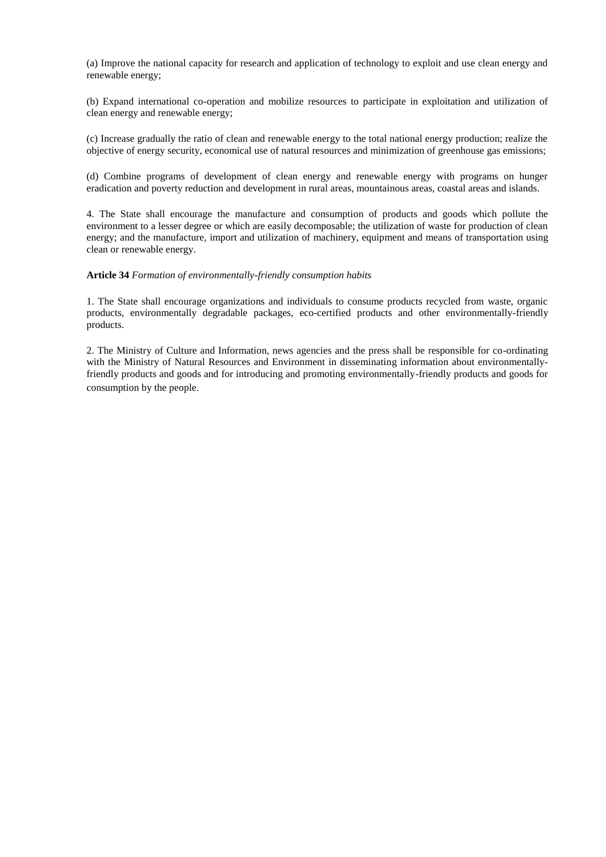(a) Improve the national capacity for research and application of technology to exploit and use clean energy and renewable energy;

(b) Expand international co-operation and mobilize resources to participate in exploitation and utilization of clean energy and renewable energy;

(c) Increase gradually the ratio of clean and renewable energy to the total national energy production; realize the objective of energy security, economical use of natural resources and minimization of greenhouse gas emissions;

(d) Combine programs of development of clean energy and renewable energy with programs on hunger eradication and poverty reduction and development in rural areas, mountainous areas, coastal areas and islands.

4. The State shall encourage the manufacture and consumption of products and goods which pollute the environment to a lesser degree or which are easily decomposable; the utilization of waste for production of clean energy; and the manufacture, import and utilization of machinery, equipment and means of transportation using clean or renewable energy.

## **Article 34** *Formation of environmentally-friendly consumption habits*

1. The State shall encourage organizations and individuals to consume products recycled from waste, organic products, environmentally degradable packages, eco-certified products and other environmentally-friendly products.

2. The Ministry of Culture and Information, news agencies and the press shall be responsible for co-ordinating with the Ministry of Natural Resources and Environment in disseminating information about environmentallyfriendly products and goods and for introducing and promoting environmentally-friendly products and goods for consumption by the people.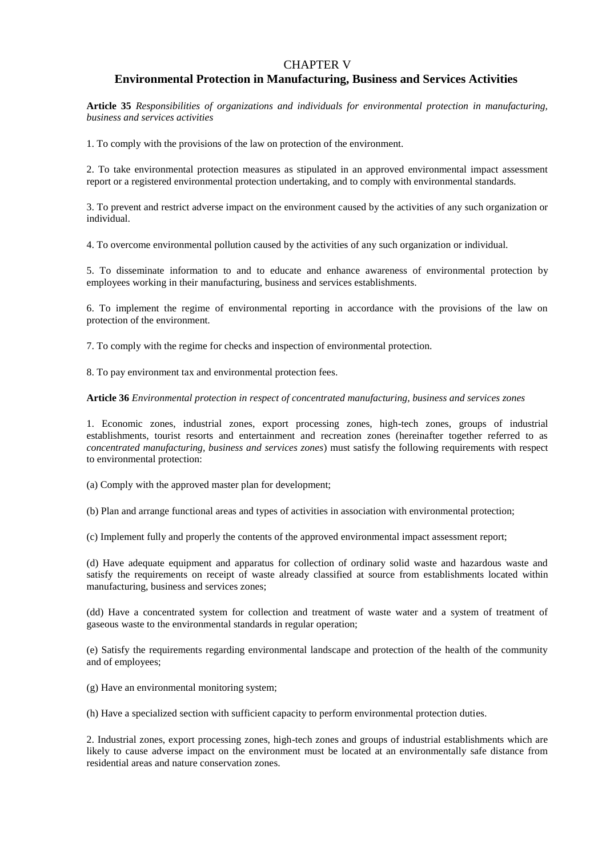## CHAPTER V

## **Environmental Protection in Manufacturing, Business and Services Activities**

**Article 35** *Responsibilities of organizations and individuals for environmental protection in manufacturing, business and services activities*

1. To comply with the provisions of the law on protection of the environment.

2. To take environmental protection measures as stipulated in an approved environmental impact assessment report or a registered environmental protection undertaking, and to comply with environmental standards.

3. To prevent and restrict adverse impact on the environment caused by the activities of any such organization or individual.

4. To overcome environmental pollution caused by the activities of any such organization or individual.

5. To disseminate information to and to educate and enhance awareness of environmental protection by employees working in their manufacturing, business and services establishments.

6. To implement the regime of environmental reporting in accordance with the provisions of the law on protection of the environment.

7. To comply with the regime for checks and inspection of environmental protection.

8. To pay environment tax and environmental protection fees.

**Article 36** *Environmental protection in respect of concentrated manufacturing, business and services zones*

1. Economic zones, industrial zones, export processing zones, high-tech zones, groups of industrial establishments, tourist resorts and entertainment and recreation zones (hereinafter together referred to as *concentrated manufacturing, business and services zones*) must satisfy the following requirements with respect to environmental protection:

(a) Comply with the approved master plan for development;

(b) Plan and arrange functional areas and types of activities in association with environmental protection;

(c) Implement fully and properly the contents of the approved environmental impact assessment report;

(d) Have adequate equipment and apparatus for collection of ordinary solid waste and hazardous waste and satisfy the requirements on receipt of waste already classified at source from establishments located within manufacturing, business and services zones;

(dd) Have a concentrated system for collection and treatment of waste water and a system of treatment of gaseous waste to the environmental standards in regular operation;

(e) Satisfy the requirements regarding environmental landscape and protection of the health of the community and of employees;

(g) Have an environmental monitoring system;

(h) Have a specialized section with sufficient capacity to perform environmental protection duties.

2. Industrial zones, export processing zones, high-tech zones and groups of industrial establishments which are likely to cause adverse impact on the environment must be located at an environmentally safe distance from residential areas and nature conservation zones.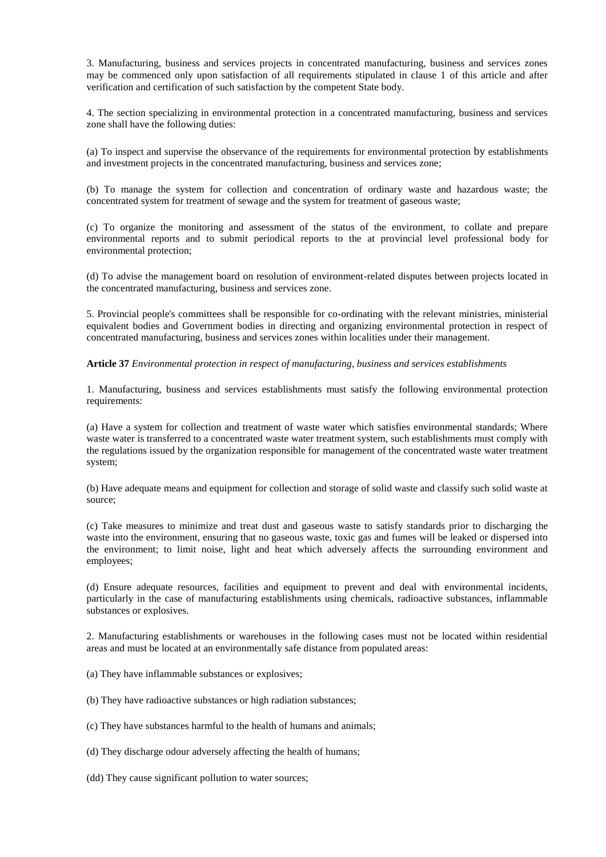3. Manufacturing, business and services projects in concentrated manufacturing, business and services zones may be commenced only upon satisfaction of all requirements stipulated in clause 1 of this article and after verification and certification of such satisfaction by the competent State body.

4. The section specializing in environmental protection in a concentrated manufacturing, business and services zone shall have the following duties:

(a) To inspect and supervise the observance of the requirements for environmental protection by establishments and investment projects in the concentrated manufacturing, business and services zone;

(b) To manage the system for collection and concentration of ordinary waste and hazardous waste; the concentrated system for treatment of sewage and the system for treatment of gaseous waste;

(c) To organize the monitoring and assessment of the status of the environment, to collate and prepare environmental reports and to submit periodical reports to the at provincial level professional body for environmental protection;

(d) To advise the management board on resolution of environment-related disputes between projects located in the concentrated manufacturing, business and services zone.

5. Provincial people's committees shall be responsible for co-ordinating with the relevant ministries, ministerial equivalent bodies and Government bodies in directing and organizing environmental protection in respect of concentrated manufacturing, business and services zones within localities under their management.

## **Article 37** *Environmental protection in respect of manufacturing, business and services establishments*

1. Manufacturing, business and services establishments must satisfy the following environmental protection requirements:

(a) Have a system for collection and treatment of waste water which satisfies environmental standards; Where waste water is transferred to a concentrated waste water treatment system, such establishments must comply with the regulations issued by the organization responsible for management of the concentrated waste water treatment system;

(b) Have adequate means and equipment for collection and storage of solid waste and classify such solid waste at source;

(c) Take measures to minimize and treat dust and gaseous waste to satisfy standards prior to discharging the waste into the environment, ensuring that no gaseous waste, toxic gas and fumes will be leaked or dispersed into the environment; to limit noise, light and heat which adversely affects the surrounding environment and employees;

(d) Ensure adequate resources, facilities and equipment to prevent and deal with environmental incidents, particularly in the case of manufacturing establishments using chemicals, radioactive substances, inflammable substances or explosives.

2. Manufacturing establishments or warehouses in the following cases must not be located within residential areas and must be located at an environmentally safe distance from populated areas:

(a) They have inflammable substances or explosives;

- (b) They have radioactive substances or high radiation substances;
- (c) They have substances harmful to the health of humans and animals;

(d) They discharge odour adversely affecting the health of humans;

(dd) They cause significant pollution to water sources;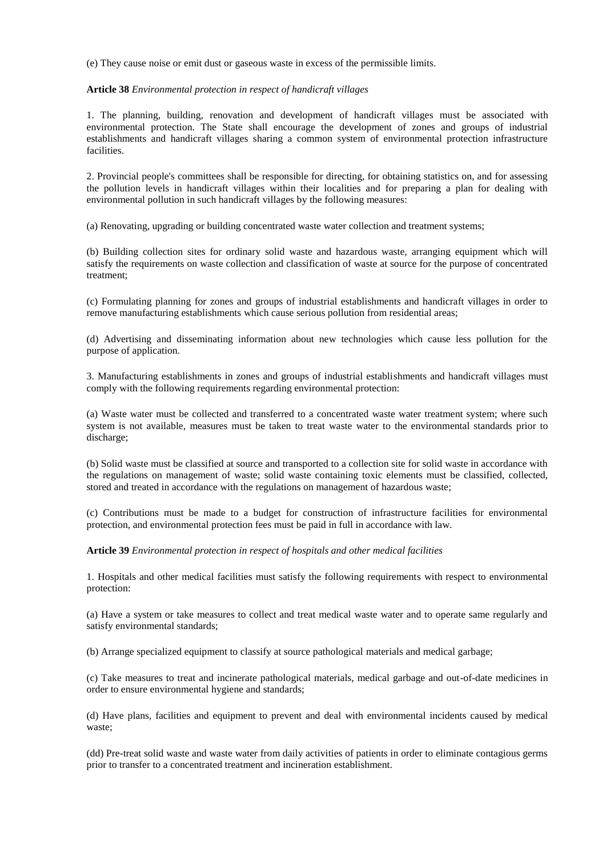(e) They cause noise or emit dust or gaseous waste in excess of the permissible limits.

### **Article 38** *Environmental protection in respect of handicraft villages*

1. The planning, building, renovation and development of handicraft villages must be associated with environmental protection. The State shall encourage the development of zones and groups of industrial establishments and handicraft villages sharing a common system of environmental protection infrastructure facilities.

2. Provincial people's committees shall be responsible for directing, for obtaining statistics on, and for assessing the pollution levels in handicraft villages within their localities and for preparing a plan for dealing with environmental pollution in such handicraft villages by the following measures:

(a) Renovating, upgrading or building concentrated waste water collection and treatment systems;

(b) Building collection sites for ordinary solid waste and hazardous waste, arranging equipment which will satisfy the requirements on waste collection and classification of waste at source for the purpose of concentrated treatment;

(c) Formulating planning for zones and groups of industrial establishments and handicraft villages in order to remove manufacturing establishments which cause serious pollution from residential areas;

(d) Advertising and disseminating information about new technologies which cause less pollution for the purpose of application.

3. Manufacturing establishments in zones and groups of industrial establishments and handicraft villages must comply with the following requirements regarding environmental protection:

(a) Waste water must be collected and transferred to a concentrated waste water treatment system; where such system is not available, measures must be taken to treat waste water to the environmental standards prior to discharge;

(b) Solid waste must be classified at source and transported to a collection site for solid waste in accordance with the regulations on management of waste; solid waste containing toxic elements must be classified, collected, stored and treated in accordance with the regulations on management of hazardous waste;

(c) Contributions must be made to a budget for construction of infrastructure facilities for environmental protection, and environmental protection fees must be paid in full in accordance with law.

**Article 39** *Environmental protection in respect of hospitals and other medical facilities*

1. Hospitals and other medical facilities must satisfy the following requirements with respect to environmental protection:

(a) Have a system or take measures to collect and treat medical waste water and to operate same regularly and satisfy environmental standards;

(b) Arrange specialized equipment to classify at source pathological materials and medical garbage;

(c) Take measures to treat and incinerate pathological materials, medical garbage and out-of-date medicines in order to ensure environmental hygiene and standards;

(d) Have plans, facilities and equipment to prevent and deal with environmental incidents caused by medical waste;

(dd) Pre-treat solid waste and waste water from daily activities of patients in order to eliminate contagious germs prior to transfer to a concentrated treatment and incineration establishment.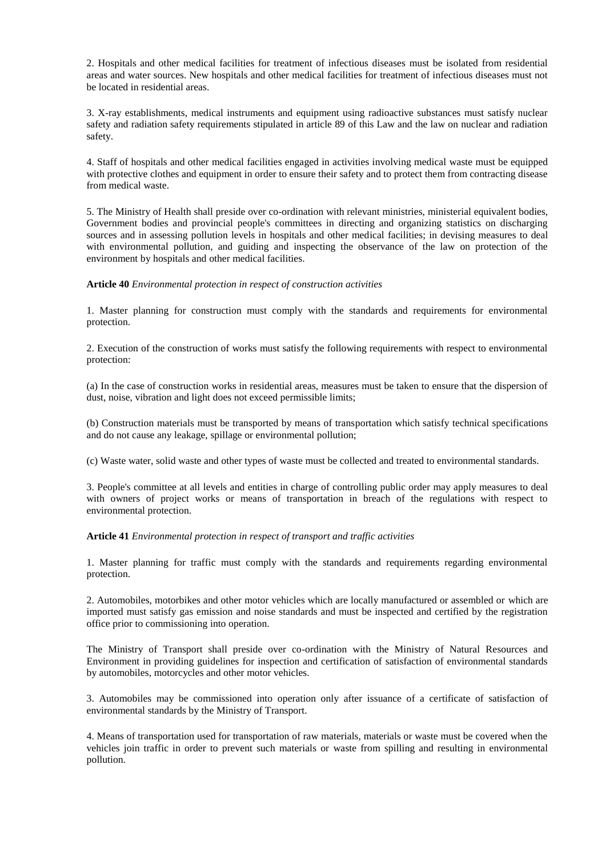2. Hospitals and other medical facilities for treatment of infectious diseases must be isolated from residential areas and water sources. New hospitals and other medical facilities for treatment of infectious diseases must not be located in residential areas.

3. X-ray establishments, medical instruments and equipment using radioactive substances must satisfy nuclear safety and radiation safety requirements stipulated in article 89 of this Law and the law on nuclear and radiation safety.

4. Staff of hospitals and other medical facilities engaged in activities involving medical waste must be equipped with protective clothes and equipment in order to ensure their safety and to protect them from contracting disease from medical waste.

5. The Ministry of Health shall preside over co-ordination with relevant ministries, ministerial equivalent bodies, Government bodies and provincial people's committees in directing and organizing statistics on discharging sources and in assessing pollution levels in hospitals and other medical facilities; in devising measures to deal with environmental pollution, and guiding and inspecting the observance of the law on protection of the environment by hospitals and other medical facilities.

**Article 40** *Environmental protection in respect of construction activities*

1. Master planning for construction must comply with the standards and requirements for environmental protection.

2. Execution of the construction of works must satisfy the following requirements with respect to environmental protection:

(a) In the case of construction works in residential areas, measures must be taken to ensure that the dispersion of dust, noise, vibration and light does not exceed permissible limits;

(b) Construction materials must be transported by means of transportation which satisfy technical specifications and do not cause any leakage, spillage or environmental pollution;

(c) Waste water, solid waste and other types of waste must be collected and treated to environmental standards.

3. People's committee at all levels and entities in charge of controlling public order may apply measures to deal with owners of project works or means of transportation in breach of the regulations with respect to environmental protection.

**Article 41** *Environmental protection in respect of transport and traffic activities*

1. Master planning for traffic must comply with the standards and requirements regarding environmental protection.

2. Automobiles, motorbikes and other motor vehicles which are locally manufactured or assembled or which are imported must satisfy gas emission and noise standards and must be inspected and certified by the registration office prior to commissioning into operation.

The Ministry of Transport shall preside over co-ordination with the Ministry of Natural Resources and Environment in providing guidelines for inspection and certification of satisfaction of environmental standards by automobiles, motorcycles and other motor vehicles.

3. Automobiles may be commissioned into operation only after issuance of a certificate of satisfaction of environmental standards by the Ministry of Transport.

4. Means of transportation used for transportation of raw materials, materials or waste must be covered when the vehicles join traffic in order to prevent such materials or waste from spilling and resulting in environmental pollution.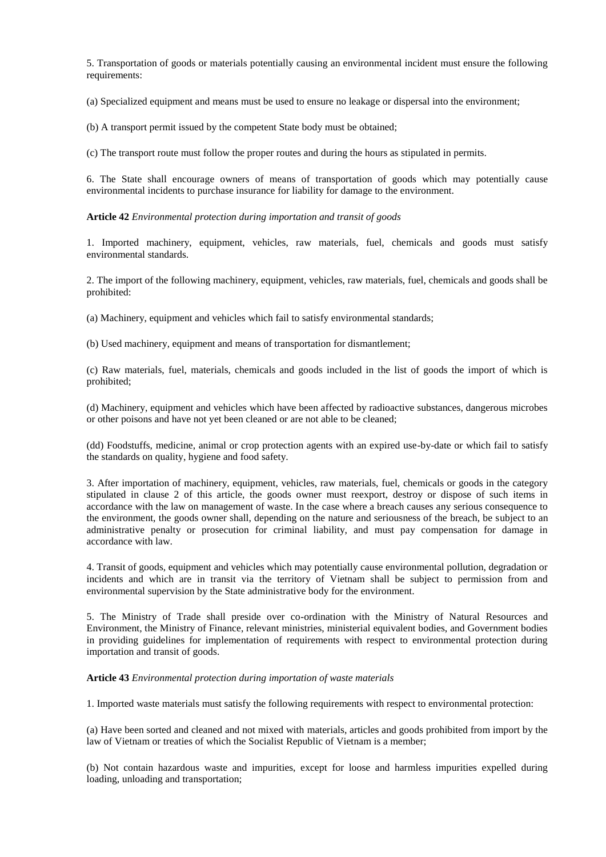5. Transportation of goods or materials potentially causing an environmental incident must ensure the following requirements:

(a) Specialized equipment and means must be used to ensure no leakage or dispersal into the environment;

(b) A transport permit issued by the competent State body must be obtained;

(c) The transport route must follow the proper routes and during the hours as stipulated in permits.

6. The State shall encourage owners of means of transportation of goods which may potentially cause environmental incidents to purchase insurance for liability for damage to the environment.

**Article 42** *Environmental protection during importation and transit of goods*

1. Imported machinery, equipment, vehicles, raw materials, fuel, chemicals and goods must satisfy environmental standards.

2. The import of the following machinery, equipment, vehicles, raw materials, fuel, chemicals and goods shall be prohibited:

(a) Machinery, equipment and vehicles which fail to satisfy environmental standards;

(b) Used machinery, equipment and means of transportation for dismantlement;

(c) Raw materials, fuel, materials, chemicals and goods included in the list of goods the import of which is prohibited;

(d) Machinery, equipment and vehicles which have been affected by radioactive substances, dangerous microbes or other poisons and have not yet been cleaned or are not able to be cleaned;

(dd) Foodstuffs, medicine, animal or crop protection agents with an expired use-by-date or which fail to satisfy the standards on quality, hygiene and food safety.

3. After importation of machinery, equipment, vehicles, raw materials, fuel, chemicals or goods in the category stipulated in clause 2 of this article, the goods owner must reexport, destroy or dispose of such items in accordance with the law on management of waste. In the case where a breach causes any serious consequence to the environment, the goods owner shall, depending on the nature and seriousness of the breach, be subject to an administrative penalty or prosecution for criminal liability, and must pay compensation for damage in accordance with law.

4. Transit of goods, equipment and vehicles which may potentially cause environmental pollution, degradation or incidents and which are in transit via the territory of Vietnam shall be subject to permission from and environmental supervision by the State administrative body for the environment.

5. The Ministry of Trade shall preside over co-ordination with the Ministry of Natural Resources and Environment, the Ministry of Finance, relevant ministries, ministerial equivalent bodies, and Government bodies in providing guidelines for implementation of requirements with respect to environmental protection during importation and transit of goods.

#### **Article 43** *Environmental protection during importation of waste materials*

1. Imported waste materials must satisfy the following requirements with respect to environmental protection:

(a) Have been sorted and cleaned and not mixed with materials, articles and goods prohibited from import by the law of Vietnam or treaties of which the Socialist Republic of Vietnam is a member;

(b) Not contain hazardous waste and impurities, except for loose and harmless impurities expelled during loading, unloading and transportation;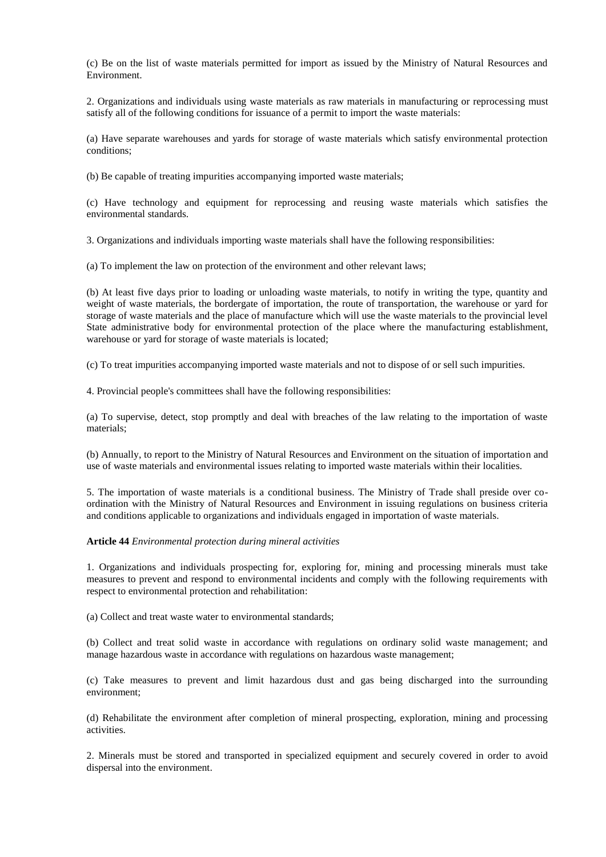(c) Be on the list of waste materials permitted for import as issued by the Ministry of Natural Resources and Environment.

2. Organizations and individuals using waste materials as raw materials in manufacturing or reprocessing must satisfy all of the following conditions for issuance of a permit to import the waste materials:

(a) Have separate warehouses and yards for storage of waste materials which satisfy environmental protection conditions;

(b) Be capable of treating impurities accompanying imported waste materials;

(c) Have technology and equipment for reprocessing and reusing waste materials which satisfies the environmental standards.

3. Organizations and individuals importing waste materials shall have the following responsibilities:

(a) To implement the law on protection of the environment and other relevant laws;

(b) At least five days prior to loading or unloading waste materials, to notify in writing the type, quantity and weight of waste materials, the bordergate of importation, the route of transportation, the warehouse or yard for storage of waste materials and the place of manufacture which will use the waste materials to the provincial level State administrative body for environmental protection of the place where the manufacturing establishment, warehouse or yard for storage of waste materials is located;

(c) To treat impurities accompanying imported waste materials and not to dispose of or sell such impurities.

4. Provincial people's committees shall have the following responsibilities:

(a) To supervise, detect, stop promptly and deal with breaches of the law relating to the importation of waste materials;

(b) Annually, to report to the Ministry of Natural Resources and Environment on the situation of importation and use of waste materials and environmental issues relating to imported waste materials within their localities.

5. The importation of waste materials is a conditional business. The Ministry of Trade shall preside over coordination with the Ministry of Natural Resources and Environment in issuing regulations on business criteria and conditions applicable to organizations and individuals engaged in importation of waste materials.

### **Article 44** *Environmental protection during mineral activities*

1. Organizations and individuals prospecting for, exploring for, mining and processing minerals must take measures to prevent and respond to environmental incidents and comply with the following requirements with respect to environmental protection and rehabilitation:

(a) Collect and treat waste water to environmental standards;

(b) Collect and treat solid waste in accordance with regulations on ordinary solid waste management; and manage hazardous waste in accordance with regulations on hazardous waste management;

(c) Take measures to prevent and limit hazardous dust and gas being discharged into the surrounding environment;

(d) Rehabilitate the environment after completion of mineral prospecting, exploration, mining and processing activities.

2. Minerals must be stored and transported in specialized equipment and securely covered in order to avoid dispersal into the environment.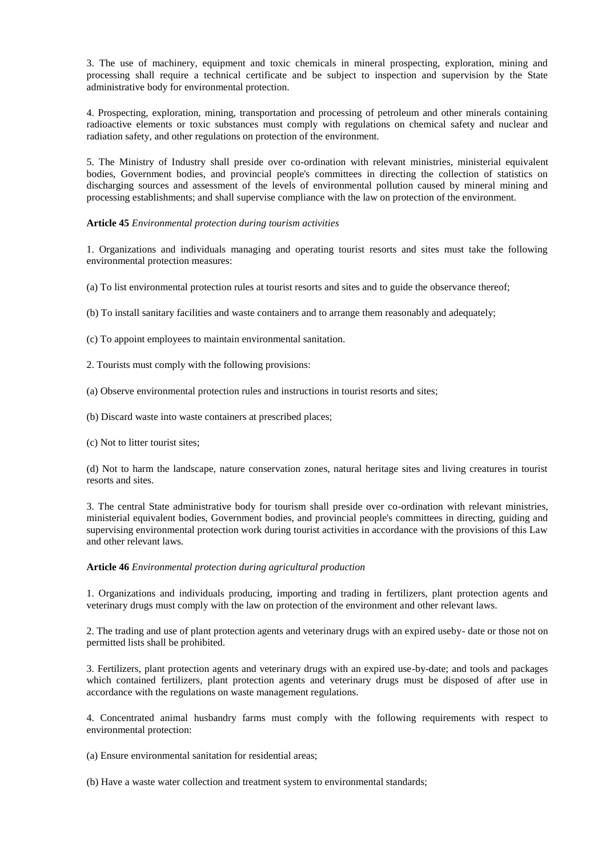3. The use of machinery, equipment and toxic chemicals in mineral prospecting, exploration, mining and processing shall require a technical certificate and be subject to inspection and supervision by the State administrative body for environmental protection.

4. Prospecting, exploration, mining, transportation and processing of petroleum and other minerals containing radioactive elements or toxic substances must comply with regulations on chemical safety and nuclear and radiation safety, and other regulations on protection of the environment.

5. The Ministry of Industry shall preside over co-ordination with relevant ministries, ministerial equivalent bodies, Government bodies, and provincial people's committees in directing the collection of statistics on discharging sources and assessment of the levels of environmental pollution caused by mineral mining and processing establishments; and shall supervise compliance with the law on protection of the environment.

## **Article 45** *Environmental protection during tourism activities*

1. Organizations and individuals managing and operating tourist resorts and sites must take the following environmental protection measures:

(a) To list environmental protection rules at tourist resorts and sites and to guide the observance thereof;

(b) To install sanitary facilities and waste containers and to arrange them reasonably and adequately;

(c) To appoint employees to maintain environmental sanitation.

2. Tourists must comply with the following provisions:

(a) Observe environmental protection rules and instructions in tourist resorts and sites;

- (b) Discard waste into waste containers at prescribed places;
- (c) Not to litter tourist sites;

(d) Not to harm the landscape, nature conservation zones, natural heritage sites and living creatures in tourist resorts and sites.

3. The central State administrative body for tourism shall preside over co-ordination with relevant ministries, ministerial equivalent bodies, Government bodies, and provincial people's committees in directing, guiding and supervising environmental protection work during tourist activities in accordance with the provisions of this Law and other relevant laws.

#### **Article 46** *Environmental protection during agricultural production*

1. Organizations and individuals producing, importing and trading in fertilizers, plant protection agents and veterinary drugs must comply with the law on protection of the environment and other relevant laws.

2. The trading and use of plant protection agents and veterinary drugs with an expired useby- date or those not on permitted lists shall be prohibited.

3. Fertilizers, plant protection agents and veterinary drugs with an expired use-by-date; and tools and packages which contained fertilizers, plant protection agents and veterinary drugs must be disposed of after use in accordance with the regulations on waste management regulations.

4. Concentrated animal husbandry farms must comply with the following requirements with respect to environmental protection:

(a) Ensure environmental sanitation for residential areas;

(b) Have a waste water collection and treatment system to environmental standards;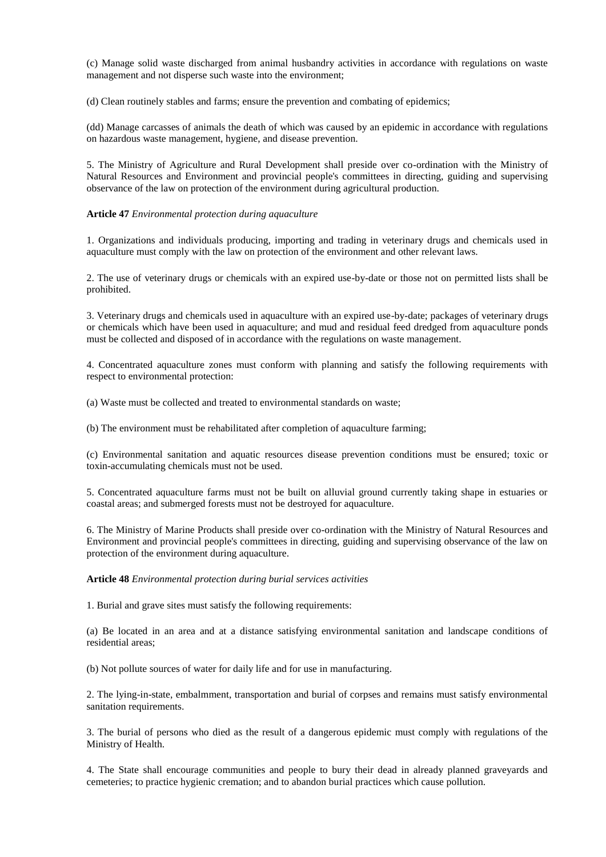(c) Manage solid waste discharged from animal husbandry activities in accordance with regulations on waste management and not disperse such waste into the environment;

(d) Clean routinely stables and farms; ensure the prevention and combating of epidemics;

(dd) Manage carcasses of animals the death of which was caused by an epidemic in accordance with regulations on hazardous waste management, hygiene, and disease prevention.

5. The Ministry of Agriculture and Rural Development shall preside over co-ordination with the Ministry of Natural Resources and Environment and provincial people's committees in directing, guiding and supervising observance of the law on protection of the environment during agricultural production.

#### **Article 47** *Environmental protection during aquaculture*

1. Organizations and individuals producing, importing and trading in veterinary drugs and chemicals used in aquaculture must comply with the law on protection of the environment and other relevant laws.

2. The use of veterinary drugs or chemicals with an expired use-by-date or those not on permitted lists shall be prohibited.

3. Veterinary drugs and chemicals used in aquaculture with an expired use-by-date; packages of veterinary drugs or chemicals which have been used in aquaculture; and mud and residual feed dredged from aquaculture ponds must be collected and disposed of in accordance with the regulations on waste management.

4. Concentrated aquaculture zones must conform with planning and satisfy the following requirements with respect to environmental protection:

(a) Waste must be collected and treated to environmental standards on waste;

(b) The environment must be rehabilitated after completion of aquaculture farming;

(c) Environmental sanitation and aquatic resources disease prevention conditions must be ensured; toxic or toxin-accumulating chemicals must not be used.

5. Concentrated aquaculture farms must not be built on alluvial ground currently taking shape in estuaries or coastal areas; and submerged forests must not be destroyed for aquaculture.

6. The Ministry of Marine Products shall preside over co-ordination with the Ministry of Natural Resources and Environment and provincial people's committees in directing, guiding and supervising observance of the law on protection of the environment during aquaculture.

**Article 48** *Environmental protection during burial services activities*

1. Burial and grave sites must satisfy the following requirements:

(a) Be located in an area and at a distance satisfying environmental sanitation and landscape conditions of residential areas;

(b) Not pollute sources of water for daily life and for use in manufacturing.

2. The lying-in-state, embalmment, transportation and burial of corpses and remains must satisfy environmental sanitation requirements.

3. The burial of persons who died as the result of a dangerous epidemic must comply with regulations of the Ministry of Health.

4. The State shall encourage communities and people to bury their dead in already planned graveyards and cemeteries; to practice hygienic cremation; and to abandon burial practices which cause pollution.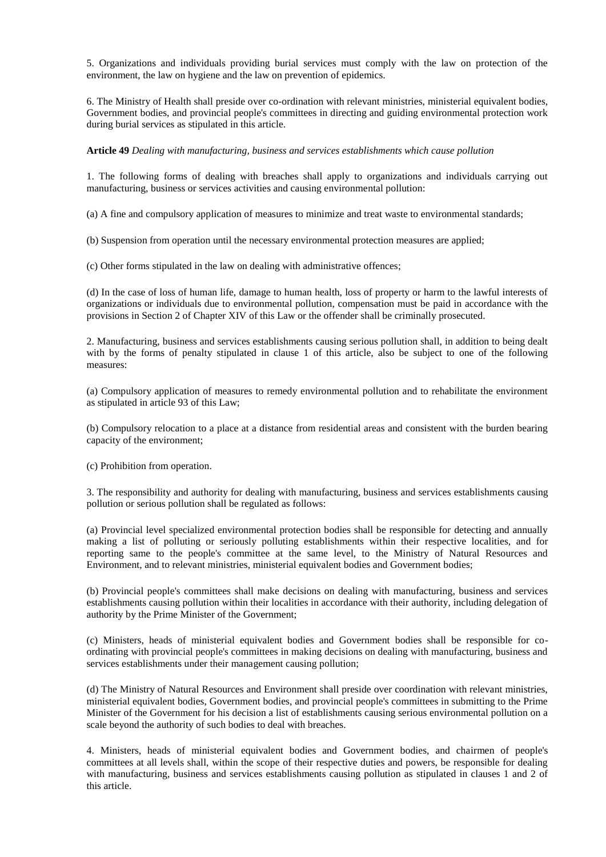5. Organizations and individuals providing burial services must comply with the law on protection of the environment, the law on hygiene and the law on prevention of epidemics.

6. The Ministry of Health shall preside over co-ordination with relevant ministries, ministerial equivalent bodies, Government bodies, and provincial people's committees in directing and guiding environmental protection work during burial services as stipulated in this article.

## **Article 49** *Dealing with manufacturing, business and services establishments which cause pollution*

1. The following forms of dealing with breaches shall apply to organizations and individuals carrying out manufacturing, business or services activities and causing environmental pollution:

(a) A fine and compulsory application of measures to minimize and treat waste to environmental standards;

(b) Suspension from operation until the necessary environmental protection measures are applied;

(c) Other forms stipulated in the law on dealing with administrative offences;

(d) In the case of loss of human life, damage to human health, loss of property or harm to the lawful interests of organizations or individuals due to environmental pollution, compensation must be paid in accordance with the provisions in Section 2 of Chapter XIV of this Law or the offender shall be criminally prosecuted.

2. Manufacturing, business and services establishments causing serious pollution shall, in addition to being dealt with by the forms of penalty stipulated in clause 1 of this article, also be subject to one of the following measures:

(a) Compulsory application of measures to remedy environmental pollution and to rehabilitate the environment as stipulated in article 93 of this Law;

(b) Compulsory relocation to a place at a distance from residential areas and consistent with the burden bearing capacity of the environment;

(c) Prohibition from operation.

3. The responsibility and authority for dealing with manufacturing, business and services establishments causing pollution or serious pollution shall be regulated as follows:

(a) Provincial level specialized environmental protection bodies shall be responsible for detecting and annually making a list of polluting or seriously polluting establishments within their respective localities, and for reporting same to the people's committee at the same level, to the Ministry of Natural Resources and Environment, and to relevant ministries, ministerial equivalent bodies and Government bodies;

(b) Provincial people's committees shall make decisions on dealing with manufacturing, business and services establishments causing pollution within their localities in accordance with their authority, including delegation of authority by the Prime Minister of the Government;

(c) Ministers, heads of ministerial equivalent bodies and Government bodies shall be responsible for coordinating with provincial people's committees in making decisions on dealing with manufacturing, business and services establishments under their management causing pollution;

(d) The Ministry of Natural Resources and Environment shall preside over coordination with relevant ministries, ministerial equivalent bodies, Government bodies, and provincial people's committees in submitting to the Prime Minister of the Government for his decision a list of establishments causing serious environmental pollution on a scale beyond the authority of such bodies to deal with breaches.

4. Ministers, heads of ministerial equivalent bodies and Government bodies, and chairmen of people's committees at all levels shall, within the scope of their respective duties and powers, be responsible for dealing with manufacturing, business and services establishments causing pollution as stipulated in clauses 1 and 2 of this article.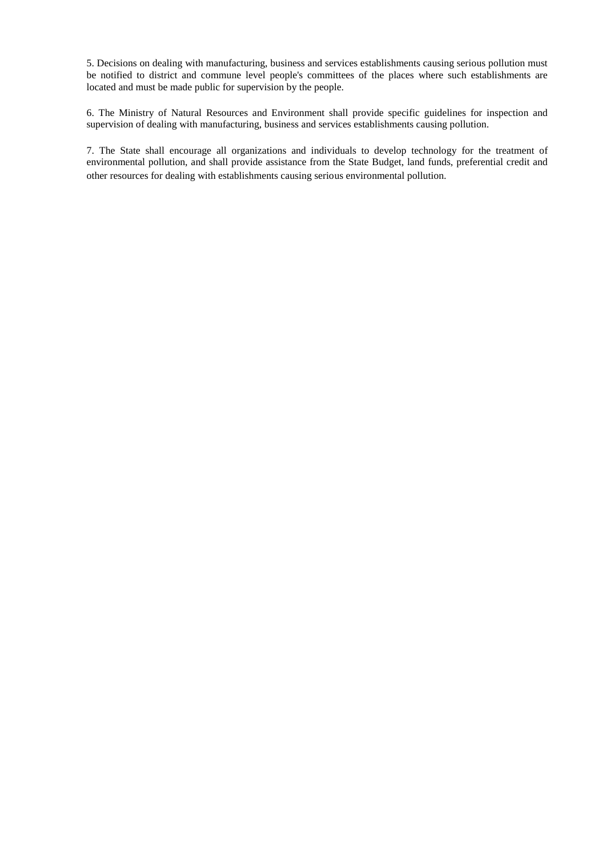5. Decisions on dealing with manufacturing, business and services establishments causing serious pollution must be notified to district and commune level people's committees of the places where such establishments are located and must be made public for supervision by the people.

6. The Ministry of Natural Resources and Environment shall provide specific guidelines for inspection and supervision of dealing with manufacturing, business and services establishments causing pollution.

7. The State shall encourage all organizations and individuals to develop technology for the treatment of environmental pollution, and shall provide assistance from the State Budget, land funds, preferential credit and other resources for dealing with establishments causing serious environmental pollution.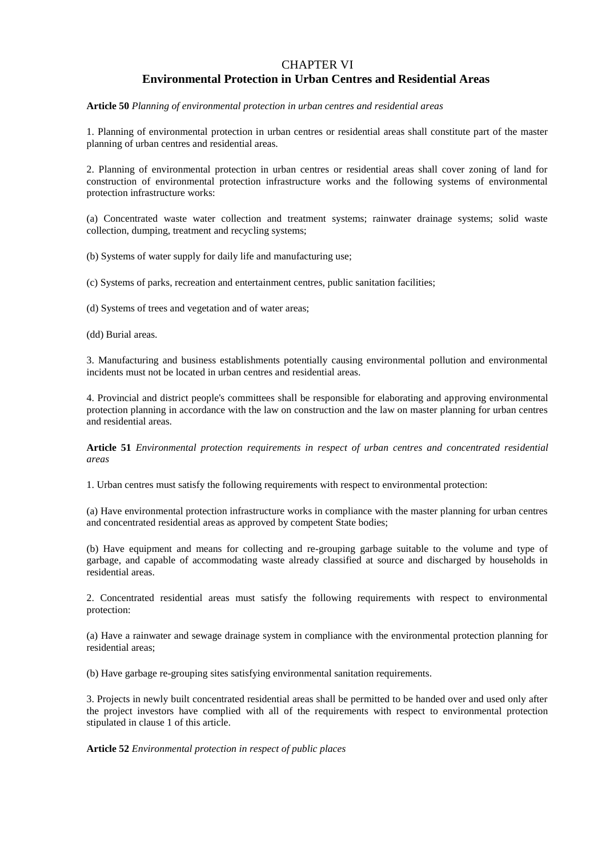## CHAPTER VI **Environmental Protection in Urban Centres and Residential Areas**

**Article 50** *Planning of environmental protection in urban centres and residential areas*

1. Planning of environmental protection in urban centres or residential areas shall constitute part of the master planning of urban centres and residential areas.

2. Planning of environmental protection in urban centres or residential areas shall cover zoning of land for construction of environmental protection infrastructure works and the following systems of environmental protection infrastructure works:

(a) Concentrated waste water collection and treatment systems; rainwater drainage systems; solid waste collection, dumping, treatment and recycling systems;

(b) Systems of water supply for daily life and manufacturing use;

(c) Systems of parks, recreation and entertainment centres, public sanitation facilities;

(d) Systems of trees and vegetation and of water areas;

(dd) Burial areas.

3. Manufacturing and business establishments potentially causing environmental pollution and environmental incidents must not be located in urban centres and residential areas.

4. Provincial and district people's committees shall be responsible for elaborating and approving environmental protection planning in accordance with the law on construction and the law on master planning for urban centres and residential areas.

**Article 51** *Environmental protection requirements in respect of urban centres and concentrated residential areas*

1. Urban centres must satisfy the following requirements with respect to environmental protection:

(a) Have environmental protection infrastructure works in compliance with the master planning for urban centres and concentrated residential areas as approved by competent State bodies;

(b) Have equipment and means for collecting and re-grouping garbage suitable to the volume and type of garbage, and capable of accommodating waste already classified at source and discharged by households in residential areas.

2. Concentrated residential areas must satisfy the following requirements with respect to environmental protection:

(a) Have a rainwater and sewage drainage system in compliance with the environmental protection planning for residential areas;

(b) Have garbage re-grouping sites satisfying environmental sanitation requirements.

3. Projects in newly built concentrated residential areas shall be permitted to be handed over and used only after the project investors have complied with all of the requirements with respect to environmental protection stipulated in clause 1 of this article.

**Article 52** *Environmental protection in respect of public places*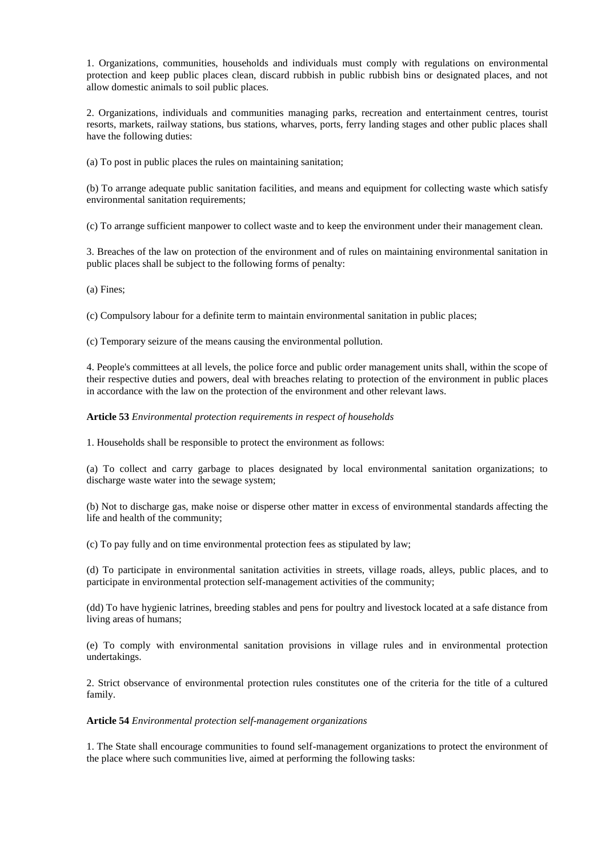1. Organizations, communities, households and individuals must comply with regulations on environmental protection and keep public places clean, discard rubbish in public rubbish bins or designated places, and not allow domestic animals to soil public places.

2. Organizations, individuals and communities managing parks, recreation and entertainment centres, tourist resorts, markets, railway stations, bus stations, wharves, ports, ferry landing stages and other public places shall have the following duties:

(a) To post in public places the rules on maintaining sanitation;

(b) To arrange adequate public sanitation facilities, and means and equipment for collecting waste which satisfy environmental sanitation requirements;

(c) To arrange sufficient manpower to collect waste and to keep the environment under their management clean.

3. Breaches of the law on protection of the environment and of rules on maintaining environmental sanitation in public places shall be subject to the following forms of penalty:

(a) Fines;

(c) Compulsory labour for a definite term to maintain environmental sanitation in public places;

(c) Temporary seizure of the means causing the environmental pollution.

4. People's committees at all levels, the police force and public order management units shall, within the scope of their respective duties and powers, deal with breaches relating to protection of the environment in public places in accordance with the law on the protection of the environment and other relevant laws.

**Article 53** *Environmental protection requirements in respect of households*

1. Households shall be responsible to protect the environment as follows:

(a) To collect and carry garbage to places designated by local environmental sanitation organizations; to discharge waste water into the sewage system;

(b) Not to discharge gas, make noise or disperse other matter in excess of environmental standards affecting the life and health of the community;

(c) To pay fully and on time environmental protection fees as stipulated by law;

(d) To participate in environmental sanitation activities in streets, village roads, alleys, public places, and to participate in environmental protection self-management activities of the community;

(dd) To have hygienic latrines, breeding stables and pens for poultry and livestock located at a safe distance from living areas of humans;

(e) To comply with environmental sanitation provisions in village rules and in environmental protection undertakings.

2. Strict observance of environmental protection rules constitutes one of the criteria for the title of a cultured family.

## **Article 54** *Environmental protection self-management organizations*

1. The State shall encourage communities to found self-management organizations to protect the environment of the place where such communities live, aimed at performing the following tasks: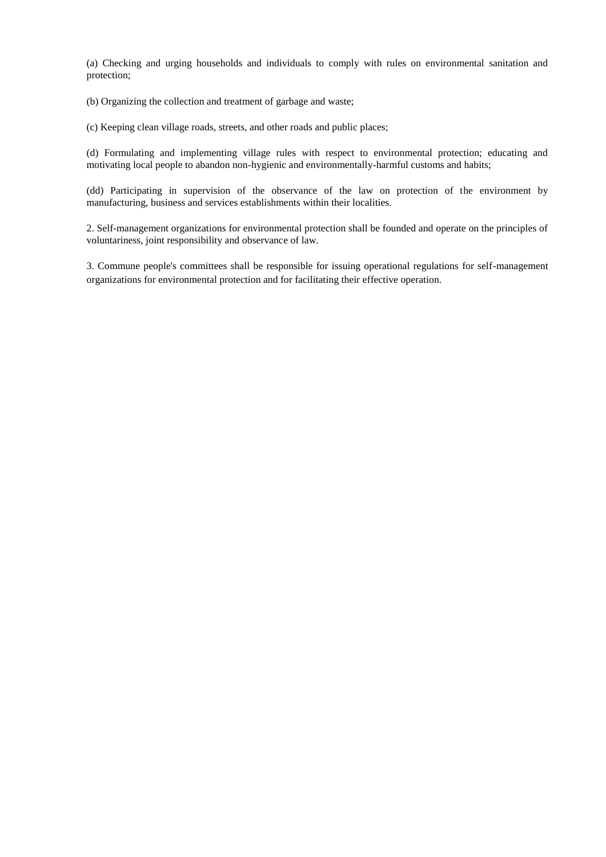(a) Checking and urging households and individuals to comply with rules on environmental sanitation and protection;

(b) Organizing the collection and treatment of garbage and waste;

(c) Keeping clean village roads, streets, and other roads and public places;

(d) Formulating and implementing village rules with respect to environmental protection; educating and motivating local people to abandon non-hygienic and environmentally-harmful customs and habits;

(dd) Participating in supervision of the observance of the law on protection of the environment by manufacturing, business and services establishments within their localities.

2. Self-management organizations for environmental protection shall be founded and operate on the principles of voluntariness, joint responsibility and observance of law.

3. Commune people's committees shall be responsible for issuing operational regulations for self-management organizations for environmental protection and for facilitating their effective operation.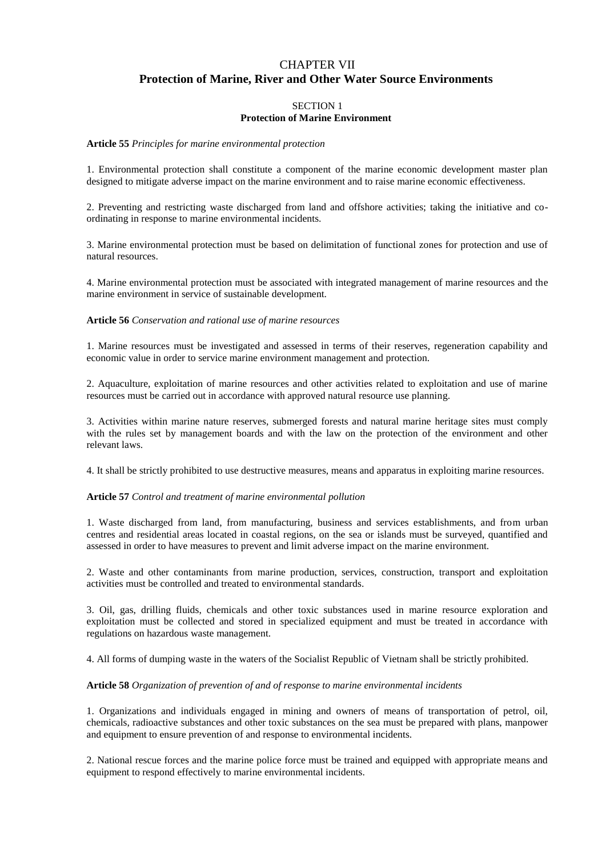## CHAPTER VII **Protection of Marine, River and Other Water Source Environments**

## SECTION 1 **Protection of Marine Environment**

#### **Article 55** *Principles for marine environmental protection*

1. Environmental protection shall constitute a component of the marine economic development master plan designed to mitigate adverse impact on the marine environment and to raise marine economic effectiveness.

2. Preventing and restricting waste discharged from land and offshore activities; taking the initiative and coordinating in response to marine environmental incidents.

3. Marine environmental protection must be based on delimitation of functional zones for protection and use of natural resources.

4. Marine environmental protection must be associated with integrated management of marine resources and the marine environment in service of sustainable development.

#### **Article 56** *Conservation and rational use of marine resources*

1. Marine resources must be investigated and assessed in terms of their reserves, regeneration capability and economic value in order to service marine environment management and protection.

2. Aquaculture, exploitation of marine resources and other activities related to exploitation and use of marine resources must be carried out in accordance with approved natural resource use planning.

3. Activities within marine nature reserves, submerged forests and natural marine heritage sites must comply with the rules set by management boards and with the law on the protection of the environment and other relevant laws.

4. It shall be strictly prohibited to use destructive measures, means and apparatus in exploiting marine resources.

#### **Article 57** *Control and treatment of marine environmental pollution*

1. Waste discharged from land, from manufacturing, business and services establishments, and from urban centres and residential areas located in coastal regions, on the sea or islands must be surveyed, quantified and assessed in order to have measures to prevent and limit adverse impact on the marine environment.

2. Waste and other contaminants from marine production, services, construction, transport and exploitation activities must be controlled and treated to environmental standards.

3. Oil, gas, drilling fluids, chemicals and other toxic substances used in marine resource exploration and exploitation must be collected and stored in specialized equipment and must be treated in accordance with regulations on hazardous waste management.

4. All forms of dumping waste in the waters of the Socialist Republic of Vietnam shall be strictly prohibited.

#### **Article 58** *Organization of prevention of and of response to marine environmental incidents*

1. Organizations and individuals engaged in mining and owners of means of transportation of petrol, oil, chemicals, radioactive substances and other toxic substances on the sea must be prepared with plans, manpower and equipment to ensure prevention of and response to environmental incidents.

2. National rescue forces and the marine police force must be trained and equipped with appropriate means and equipment to respond effectively to marine environmental incidents.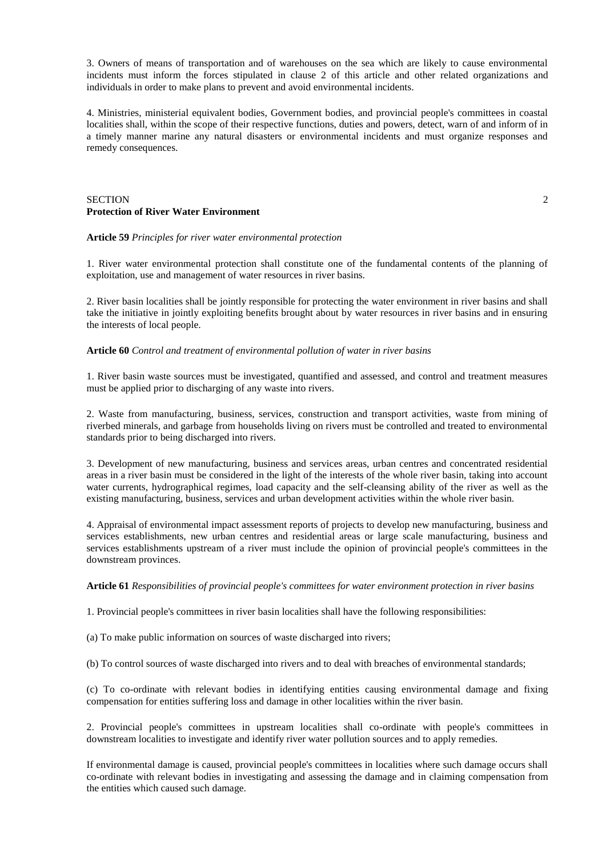3. Owners of means of transportation and of warehouses on the sea which are likely to cause environmental incidents must inform the forces stipulated in clause 2 of this article and other related organizations and individuals in order to make plans to prevent and avoid environmental incidents.

4. Ministries, ministerial equivalent bodies, Government bodies, and provincial people's committees in coastal localities shall, within the scope of their respective functions, duties and powers, detect, warn of and inform of in a timely manner marine any natural disasters or environmental incidents and must organize responses and remedy consequences.

## SECTION 2 **Protection of River Water Environment**

### **Article 59** *Principles for river water environmental protection*

1. River water environmental protection shall constitute one of the fundamental contents of the planning of exploitation, use and management of water resources in river basins.

2. River basin localities shall be jointly responsible for protecting the water environment in river basins and shall take the initiative in jointly exploiting benefits brought about by water resources in river basins and in ensuring the interests of local people.

#### **Article 60** *Control and treatment of environmental pollution of water in river basins*

1. River basin waste sources must be investigated, quantified and assessed, and control and treatment measures must be applied prior to discharging of any waste into rivers.

2. Waste from manufacturing, business, services, construction and transport activities, waste from mining of riverbed minerals, and garbage from households living on rivers must be controlled and treated to environmental standards prior to being discharged into rivers.

3. Development of new manufacturing, business and services areas, urban centres and concentrated residential areas in a river basin must be considered in the light of the interests of the whole river basin, taking into account water currents, hydrographical regimes, load capacity and the self-cleansing ability of the river as well as the existing manufacturing, business, services and urban development activities within the whole river basin.

4. Appraisal of environmental impact assessment reports of projects to develop new manufacturing, business and services establishments, new urban centres and residential areas or large scale manufacturing, business and services establishments upstream of a river must include the opinion of provincial people's committees in the downstream provinces.

### **Article 61** *Responsibilities of provincial people's committees for water environment protection in river basins*

1. Provincial people's committees in river basin localities shall have the following responsibilities:

(a) To make public information on sources of waste discharged into rivers;

(b) To control sources of waste discharged into rivers and to deal with breaches of environmental standards;

(c) To co-ordinate with relevant bodies in identifying entities causing environmental damage and fixing compensation for entities suffering loss and damage in other localities within the river basin.

2. Provincial people's committees in upstream localities shall co-ordinate with people's committees in downstream localities to investigate and identify river water pollution sources and to apply remedies.

If environmental damage is caused, provincial people's committees in localities where such damage occurs shall co-ordinate with relevant bodies in investigating and assessing the damage and in claiming compensation from the entities which caused such damage.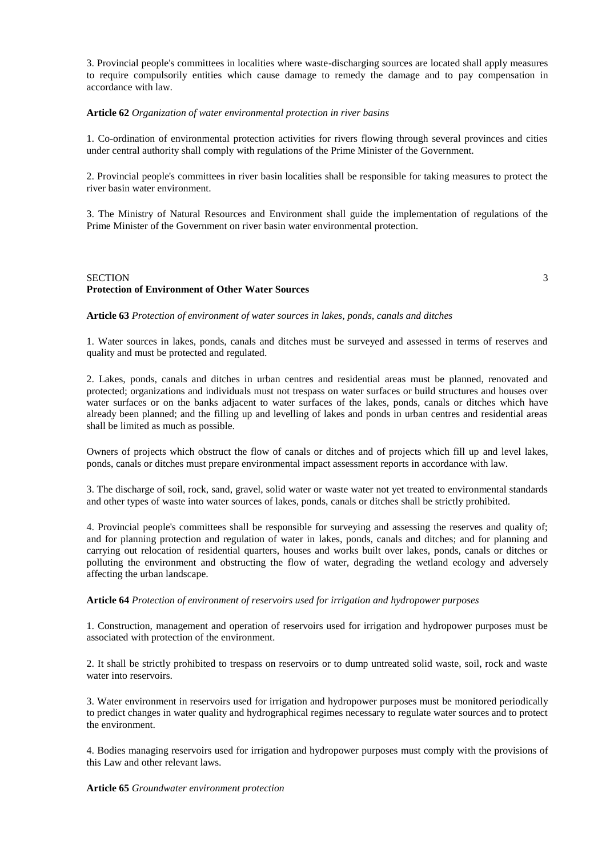3. Provincial people's committees in localities where waste-discharging sources are located shall apply measures to require compulsorily entities which cause damage to remedy the damage and to pay compensation in accordance with law.

#### **Article 62** *Organization of water environmental protection in river basins*

1. Co-ordination of environmental protection activities for rivers flowing through several provinces and cities under central authority shall comply with regulations of the Prime Minister of the Government.

2. Provincial people's committees in river basin localities shall be responsible for taking measures to protect the river basin water environment.

3. The Ministry of Natural Resources and Environment shall guide the implementation of regulations of the Prime Minister of the Government on river basin water environmental protection.

## SECTION 3 **Protection of Environment of Other Water Sources**

#### **Article 63** *Protection of environment of water sources in lakes, ponds, canals and ditches*

1. Water sources in lakes, ponds, canals and ditches must be surveyed and assessed in terms of reserves and quality and must be protected and regulated.

2. Lakes, ponds, canals and ditches in urban centres and residential areas must be planned, renovated and protected; organizations and individuals must not trespass on water surfaces or build structures and houses over water surfaces or on the banks adjacent to water surfaces of the lakes, ponds, canals or ditches which have already been planned; and the filling up and levelling of lakes and ponds in urban centres and residential areas shall be limited as much as possible.

Owners of projects which obstruct the flow of canals or ditches and of projects which fill up and level lakes, ponds, canals or ditches must prepare environmental impact assessment reports in accordance with law.

3. The discharge of soil, rock, sand, gravel, solid water or waste water not yet treated to environmental standards and other types of waste into water sources of lakes, ponds, canals or ditches shall be strictly prohibited.

4. Provincial people's committees shall be responsible for surveying and assessing the reserves and quality of; and for planning protection and regulation of water in lakes, ponds, canals and ditches; and for planning and carrying out relocation of residential quarters, houses and works built over lakes, ponds, canals or ditches or polluting the environment and obstructing the flow of water, degrading the wetland ecology and adversely affecting the urban landscape.

## **Article 64** *Protection of environment of reservoirs used for irrigation and hydropower purposes*

1. Construction, management and operation of reservoirs used for irrigation and hydropower purposes must be associated with protection of the environment.

2. It shall be strictly prohibited to trespass on reservoirs or to dump untreated solid waste, soil, rock and waste water into reservoirs.

3. Water environment in reservoirs used for irrigation and hydropower purposes must be monitored periodically to predict changes in water quality and hydrographical regimes necessary to regulate water sources and to protect the environment.

4. Bodies managing reservoirs used for irrigation and hydropower purposes must comply with the provisions of this Law and other relevant laws.

## **Article 65** *Groundwater environment protection*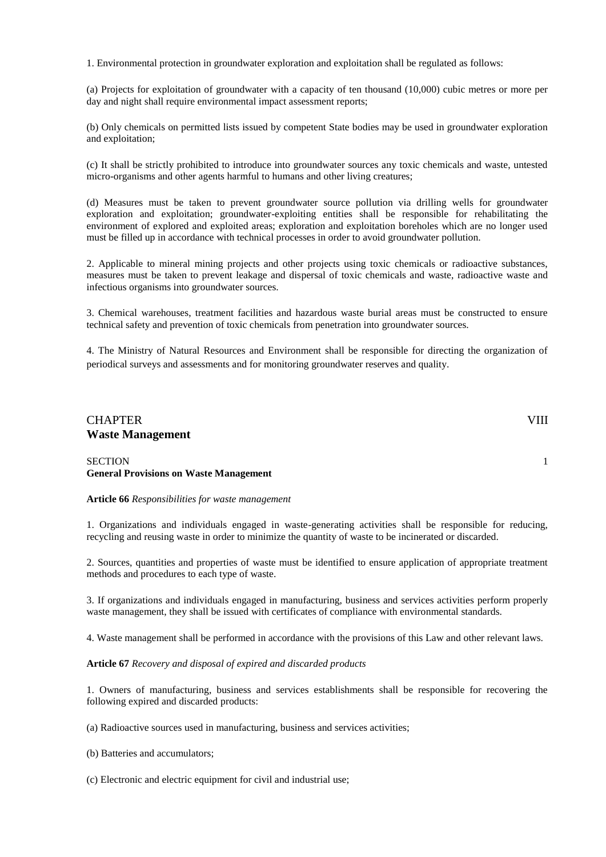1. Environmental protection in groundwater exploration and exploitation shall be regulated as follows:

(a) Projects for exploitation of groundwater with a capacity of ten thousand (10,000) cubic metres or more per day and night shall require environmental impact assessment reports;

(b) Only chemicals on permitted lists issued by competent State bodies may be used in groundwater exploration and exploitation;

(c) It shall be strictly prohibited to introduce into groundwater sources any toxic chemicals and waste, untested micro-organisms and other agents harmful to humans and other living creatures;

(d) Measures must be taken to prevent groundwater source pollution via drilling wells for groundwater exploration and exploitation; groundwater-exploiting entities shall be responsible for rehabilitating the environment of explored and exploited areas; exploration and exploitation boreholes which are no longer used must be filled up in accordance with technical processes in order to avoid groundwater pollution.

2. Applicable to mineral mining projects and other projects using toxic chemicals or radioactive substances, measures must be taken to prevent leakage and dispersal of toxic chemicals and waste, radioactive waste and infectious organisms into groundwater sources.

3. Chemical warehouses, treatment facilities and hazardous waste burial areas must be constructed to ensure technical safety and prevention of toxic chemicals from penetration into groundwater sources.

4. The Ministry of Natural Resources and Environment shall be responsible for directing the organization of periodical surveys and assessments and for monitoring groundwater reserves and quality.

## CHAPTER VIII **Waste Management**

SECTION 1 **General Provisions on Waste Management**

#### **Article 66** *Responsibilities for waste management*

1. Organizations and individuals engaged in waste-generating activities shall be responsible for reducing, recycling and reusing waste in order to minimize the quantity of waste to be incinerated or discarded.

2. Sources, quantities and properties of waste must be identified to ensure application of appropriate treatment methods and procedures to each type of waste.

3. If organizations and individuals engaged in manufacturing, business and services activities perform properly waste management, they shall be issued with certificates of compliance with environmental standards.

4. Waste management shall be performed in accordance with the provisions of this Law and other relevant laws.

## **Article 67** *Recovery and disposal of expired and discarded products*

1. Owners of manufacturing, business and services establishments shall be responsible for recovering the following expired and discarded products:

(a) Radioactive sources used in manufacturing, business and services activities;

(b) Batteries and accumulators;

(c) Electronic and electric equipment for civil and industrial use;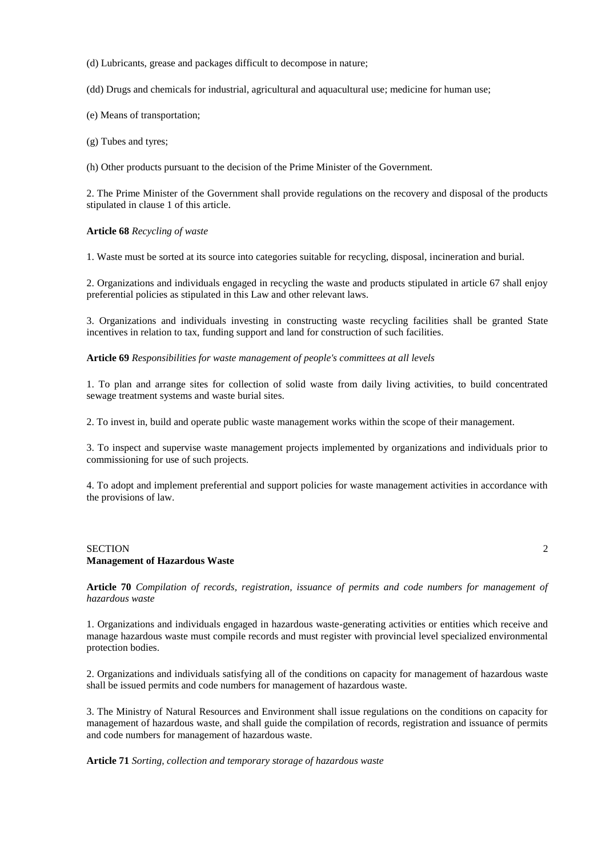(d) Lubricants, grease and packages difficult to decompose in nature;

(dd) Drugs and chemicals for industrial, agricultural and aquacultural use; medicine for human use;

(e) Means of transportation;

(g) Tubes and tyres;

(h) Other products pursuant to the decision of the Prime Minister of the Government.

2. The Prime Minister of the Government shall provide regulations on the recovery and disposal of the products stipulated in clause 1 of this article.

**Article 68** *Recycling of waste*

1. Waste must be sorted at its source into categories suitable for recycling, disposal, incineration and burial.

2. Organizations and individuals engaged in recycling the waste and products stipulated in article 67 shall enjoy preferential policies as stipulated in this Law and other relevant laws.

3. Organizations and individuals investing in constructing waste recycling facilities shall be granted State incentives in relation to tax, funding support and land for construction of such facilities.

**Article 69** *Responsibilities for waste management of people's committees at all levels*

1. To plan and arrange sites for collection of solid waste from daily living activities, to build concentrated sewage treatment systems and waste burial sites.

2. To invest in, build and operate public waste management works within the scope of their management.

3. To inspect and supervise waste management projects implemented by organizations and individuals prior to commissioning for use of such projects.

4. To adopt and implement preferential and support policies for waste management activities in accordance with the provisions of law.

### SECTION 2 **Management of Hazardous Waste**

**Article 70** *Compilation of records, registration, issuance of permits and code numbers for management of hazardous waste*

1. Organizations and individuals engaged in hazardous waste-generating activities or entities which receive and manage hazardous waste must compile records and must register with provincial level specialized environmental protection bodies.

2. Organizations and individuals satisfying all of the conditions on capacity for management of hazardous waste shall be issued permits and code numbers for management of hazardous waste.

3. The Ministry of Natural Resources and Environment shall issue regulations on the conditions on capacity for management of hazardous waste, and shall guide the compilation of records, registration and issuance of permits and code numbers for management of hazardous waste.

**Article 71** *Sorting, collection and temporary storage of hazardous waste*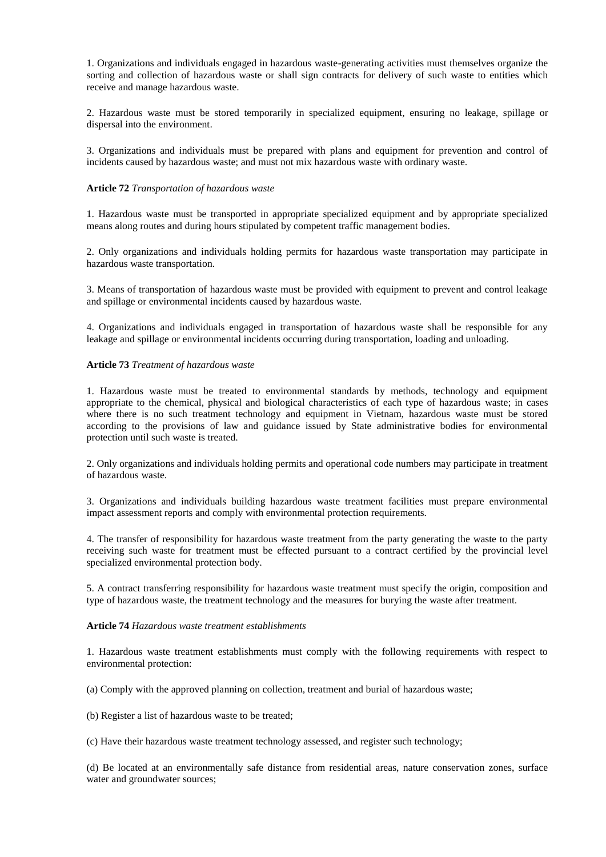1. Organizations and individuals engaged in hazardous waste-generating activities must themselves organize the sorting and collection of hazardous waste or shall sign contracts for delivery of such waste to entities which receive and manage hazardous waste.

2. Hazardous waste must be stored temporarily in specialized equipment, ensuring no leakage, spillage or dispersal into the environment.

3. Organizations and individuals must be prepared with plans and equipment for prevention and control of incidents caused by hazardous waste; and must not mix hazardous waste with ordinary waste.

## **Article 72** *Transportation of hazardous waste*

1. Hazardous waste must be transported in appropriate specialized equipment and by appropriate specialized means along routes and during hours stipulated by competent traffic management bodies.

2. Only organizations and individuals holding permits for hazardous waste transportation may participate in hazardous waste transportation.

3. Means of transportation of hazardous waste must be provided with equipment to prevent and control leakage and spillage or environmental incidents caused by hazardous waste.

4. Organizations and individuals engaged in transportation of hazardous waste shall be responsible for any leakage and spillage or environmental incidents occurring during transportation, loading and unloading.

#### **Article 73** *Treatment of hazardous waste*

1. Hazardous waste must be treated to environmental standards by methods, technology and equipment appropriate to the chemical, physical and biological characteristics of each type of hazardous waste; in cases where there is no such treatment technology and equipment in Vietnam, hazardous waste must be stored according to the provisions of law and guidance issued by State administrative bodies for environmental protection until such waste is treated.

2. Only organizations and individuals holding permits and operational code numbers may participate in treatment of hazardous waste.

3. Organizations and individuals building hazardous waste treatment facilities must prepare environmental impact assessment reports and comply with environmental protection requirements.

4. The transfer of responsibility for hazardous waste treatment from the party generating the waste to the party receiving such waste for treatment must be effected pursuant to a contract certified by the provincial level specialized environmental protection body.

5. A contract transferring responsibility for hazardous waste treatment must specify the origin, composition and type of hazardous waste, the treatment technology and the measures for burying the waste after treatment.

#### **Article 74** *Hazardous waste treatment establishments*

1. Hazardous waste treatment establishments must comply with the following requirements with respect to environmental protection:

(a) Comply with the approved planning on collection, treatment and burial of hazardous waste;

(b) Register a list of hazardous waste to be treated;

(c) Have their hazardous waste treatment technology assessed, and register such technology;

(d) Be located at an environmentally safe distance from residential areas, nature conservation zones, surface water and groundwater sources;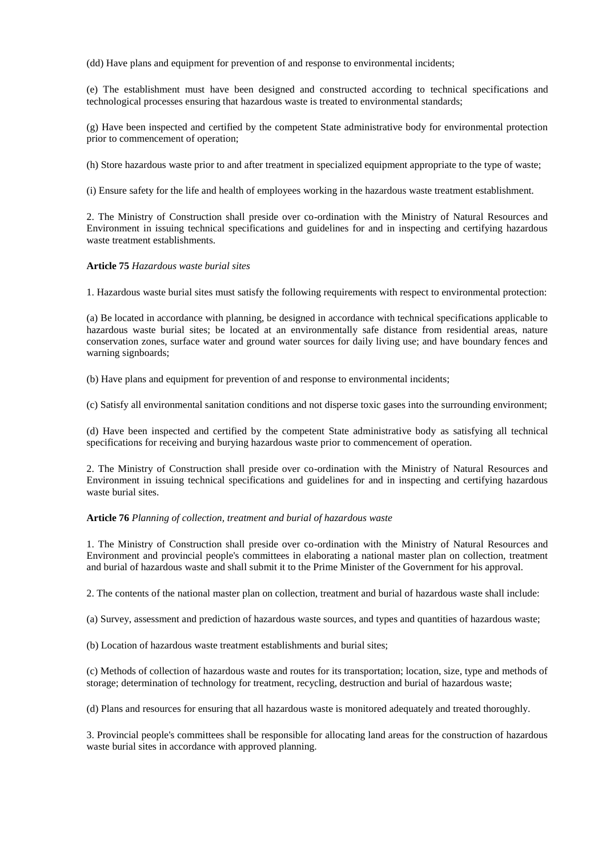(dd) Have plans and equipment for prevention of and response to environmental incidents;

(e) The establishment must have been designed and constructed according to technical specifications and technological processes ensuring that hazardous waste is treated to environmental standards;

(g) Have been inspected and certified by the competent State administrative body for environmental protection prior to commencement of operation;

(h) Store hazardous waste prior to and after treatment in specialized equipment appropriate to the type of waste;

(i) Ensure safety for the life and health of employees working in the hazardous waste treatment establishment.

2. The Ministry of Construction shall preside over co-ordination with the Ministry of Natural Resources and Environment in issuing technical specifications and guidelines for and in inspecting and certifying hazardous waste treatment establishments.

**Article 75** *Hazardous waste burial sites*

1. Hazardous waste burial sites must satisfy the following requirements with respect to environmental protection:

(a) Be located in accordance with planning, be designed in accordance with technical specifications applicable to hazardous waste burial sites; be located at an environmentally safe distance from residential areas, nature conservation zones, surface water and ground water sources for daily living use; and have boundary fences and warning signboards;

(b) Have plans and equipment for prevention of and response to environmental incidents;

(c) Satisfy all environmental sanitation conditions and not disperse toxic gases into the surrounding environment;

(d) Have been inspected and certified by the competent State administrative body as satisfying all technical specifications for receiving and burying hazardous waste prior to commencement of operation.

2. The Ministry of Construction shall preside over co-ordination with the Ministry of Natural Resources and Environment in issuing technical specifications and guidelines for and in inspecting and certifying hazardous waste burial sites.

## **Article 76** *Planning of collection, treatment and burial of hazardous waste*

1. The Ministry of Construction shall preside over co-ordination with the Ministry of Natural Resources and Environment and provincial people's committees in elaborating a national master plan on collection, treatment and burial of hazardous waste and shall submit it to the Prime Minister of the Government for his approval.

2. The contents of the national master plan on collection, treatment and burial of hazardous waste shall include:

(a) Survey, assessment and prediction of hazardous waste sources, and types and quantities of hazardous waste;

(b) Location of hazardous waste treatment establishments and burial sites;

(c) Methods of collection of hazardous waste and routes for its transportation; location, size, type and methods of storage; determination of technology for treatment, recycling, destruction and burial of hazardous waste;

(d) Plans and resources for ensuring that all hazardous waste is monitored adequately and treated thoroughly.

3. Provincial people's committees shall be responsible for allocating land areas for the construction of hazardous waste burial sites in accordance with approved planning.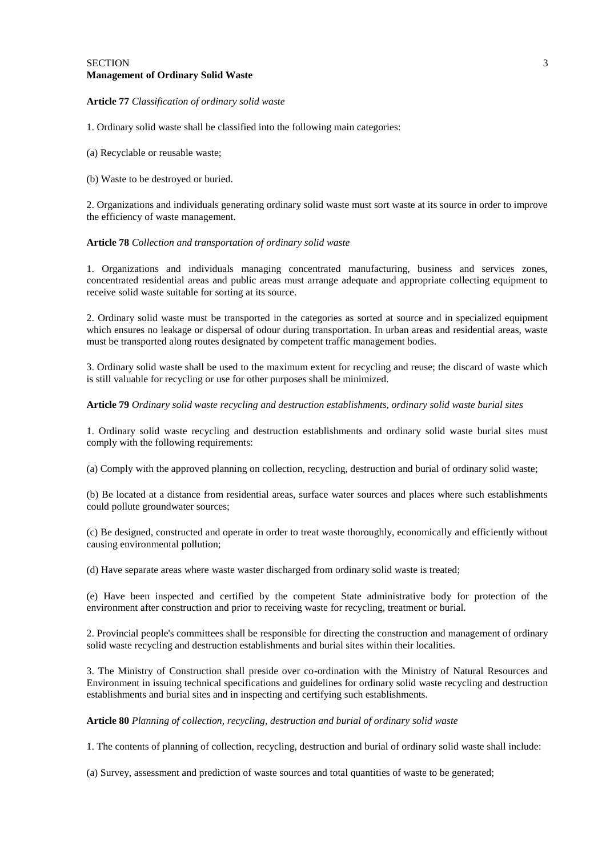#### **Article 77** *Classification of ordinary solid waste*

1. Ordinary solid waste shall be classified into the following main categories:

(a) Recyclable or reusable waste;

(b) Waste to be destroyed or buried.

2. Organizations and individuals generating ordinary solid waste must sort waste at its source in order to improve the efficiency of waste management.

#### **Article 78** *Collection and transportation of ordinary solid waste*

1. Organizations and individuals managing concentrated manufacturing, business and services zones, concentrated residential areas and public areas must arrange adequate and appropriate collecting equipment to receive solid waste suitable for sorting at its source.

2. Ordinary solid waste must be transported in the categories as sorted at source and in specialized equipment which ensures no leakage or dispersal of odour during transportation. In urban areas and residential areas, waste must be transported along routes designated by competent traffic management bodies.

3. Ordinary solid waste shall be used to the maximum extent for recycling and reuse; the discard of waste which is still valuable for recycling or use for other purposes shall be minimized.

#### **Article 79** *Ordinary solid waste recycling and destruction establishments, ordinary solid waste burial sites*

1. Ordinary solid waste recycling and destruction establishments and ordinary solid waste burial sites must comply with the following requirements:

(a) Comply with the approved planning on collection, recycling, destruction and burial of ordinary solid waste;

(b) Be located at a distance from residential areas, surface water sources and places where such establishments could pollute groundwater sources;

(c) Be designed, constructed and operate in order to treat waste thoroughly, economically and efficiently without causing environmental pollution;

(d) Have separate areas where waste waster discharged from ordinary solid waste is treated;

(e) Have been inspected and certified by the competent State administrative body for protection of the environment after construction and prior to receiving waste for recycling, treatment or burial.

2. Provincial people's committees shall be responsible for directing the construction and management of ordinary solid waste recycling and destruction establishments and burial sites within their localities.

3. The Ministry of Construction shall preside over co-ordination with the Ministry of Natural Resources and Environment in issuing technical specifications and guidelines for ordinary solid waste recycling and destruction establishments and burial sites and in inspecting and certifying such establishments.

**Article 80** *Planning of collection, recycling, destruction and burial of ordinary solid waste*

1. The contents of planning of collection, recycling, destruction and burial of ordinary solid waste shall include:

(a) Survey, assessment and prediction of waste sources and total quantities of waste to be generated;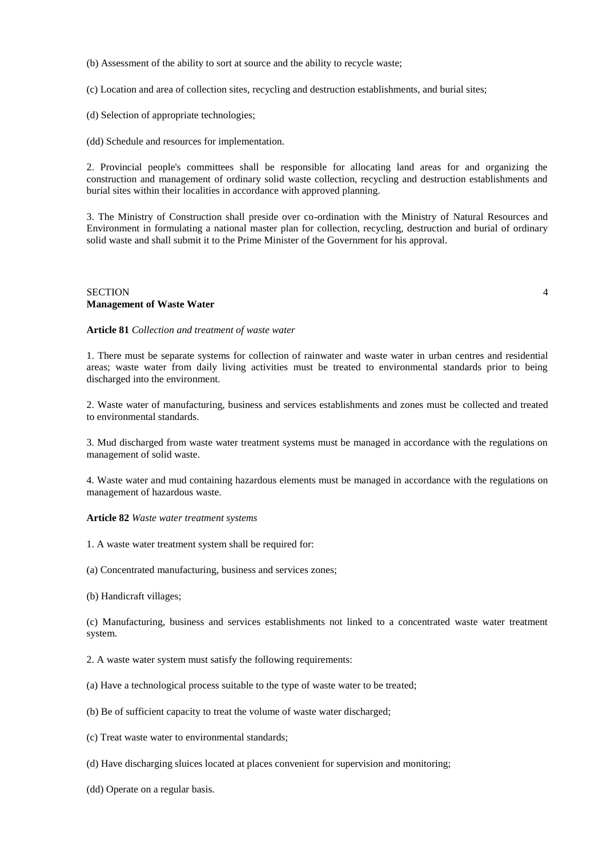(b) Assessment of the ability to sort at source and the ability to recycle waste;

(c) Location and area of collection sites, recycling and destruction establishments, and burial sites;

(d) Selection of appropriate technologies;

(dd) Schedule and resources for implementation.

2. Provincial people's committees shall be responsible for allocating land areas for and organizing the construction and management of ordinary solid waste collection, recycling and destruction establishments and burial sites within their localities in accordance with approved planning.

3. The Ministry of Construction shall preside over co-ordination with the Ministry of Natural Resources and Environment in formulating a national master plan for collection, recycling, destruction and burial of ordinary solid waste and shall submit it to the Prime Minister of the Government for his approval.

### SECTION 4 **Management of Waste Water**

**Article 81** *Collection and treatment of waste water*

1. There must be separate systems for collection of rainwater and waste water in urban centres and residential areas; waste water from daily living activities must be treated to environmental standards prior to being discharged into the environment.

2. Waste water of manufacturing, business and services establishments and zones must be collected and treated to environmental standards.

3. Mud discharged from waste water treatment systems must be managed in accordance with the regulations on management of solid waste.

4. Waste water and mud containing hazardous elements must be managed in accordance with the regulations on management of hazardous waste.

**Article 82** *Waste water treatment systems*

1. A waste water treatment system shall be required for:

(a) Concentrated manufacturing, business and services zones;

(b) Handicraft villages;

(c) Manufacturing, business and services establishments not linked to a concentrated waste water treatment system.

2. A waste water system must satisfy the following requirements:

(a) Have a technological process suitable to the type of waste water to be treated;

(b) Be of sufficient capacity to treat the volume of waste water discharged;

(c) Treat waste water to environmental standards;

(d) Have discharging sluices located at places convenient for supervision and monitoring;

(dd) Operate on a regular basis.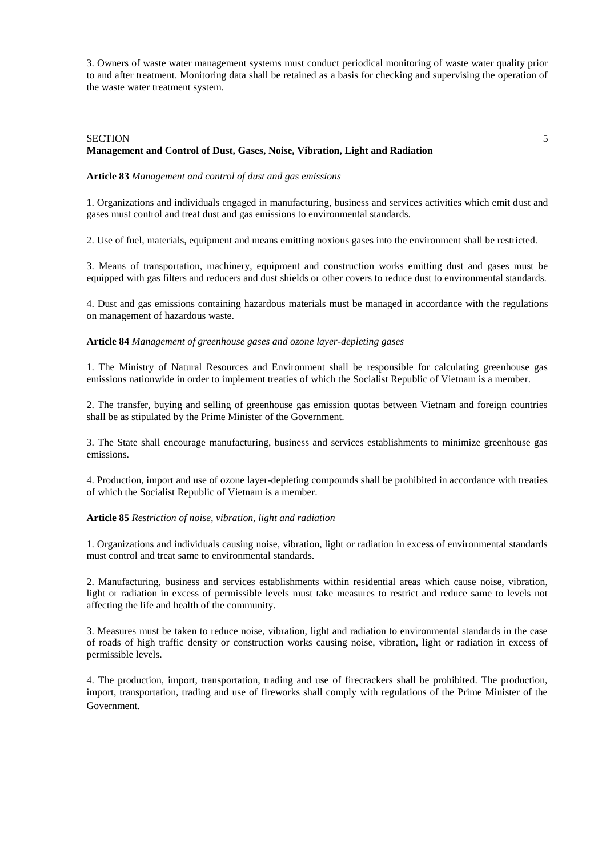3. Owners of waste water management systems must conduct periodical monitoring of waste water quality prior to and after treatment. Monitoring data shall be retained as a basis for checking and supervising the operation of the waste water treatment system.

## SECTION 5 **Management and Control of Dust, Gases, Noise, Vibration, Light and Radiation**

## **Article 83** *Management and control of dust and gas emissions*

1. Organizations and individuals engaged in manufacturing, business and services activities which emit dust and gases must control and treat dust and gas emissions to environmental standards.

2. Use of fuel, materials, equipment and means emitting noxious gases into the environment shall be restricted.

3. Means of transportation, machinery, equipment and construction works emitting dust and gases must be equipped with gas filters and reducers and dust shields or other covers to reduce dust to environmental standards.

4. Dust and gas emissions containing hazardous materials must be managed in accordance with the regulations on management of hazardous waste.

### **Article 84** *Management of greenhouse gases and ozone layer-depleting gases*

1. The Ministry of Natural Resources and Environment shall be responsible for calculating greenhouse gas emissions nationwide in order to implement treaties of which the Socialist Republic of Vietnam is a member.

2. The transfer, buying and selling of greenhouse gas emission quotas between Vietnam and foreign countries shall be as stipulated by the Prime Minister of the Government.

3. The State shall encourage manufacturing, business and services establishments to minimize greenhouse gas emissions.

4. Production, import and use of ozone layer-depleting compounds shall be prohibited in accordance with treaties of which the Socialist Republic of Vietnam is a member.

#### **Article 85** *Restriction of noise, vibration, light and radiation*

1. Organizations and individuals causing noise, vibration, light or radiation in excess of environmental standards must control and treat same to environmental standards.

2. Manufacturing, business and services establishments within residential areas which cause noise, vibration, light or radiation in excess of permissible levels must take measures to restrict and reduce same to levels not affecting the life and health of the community.

3. Measures must be taken to reduce noise, vibration, light and radiation to environmental standards in the case of roads of high traffic density or construction works causing noise, vibration, light or radiation in excess of permissible levels.

4. The production, import, transportation, trading and use of firecrackers shall be prohibited. The production, import, transportation, trading and use of fireworks shall comply with regulations of the Prime Minister of the Government.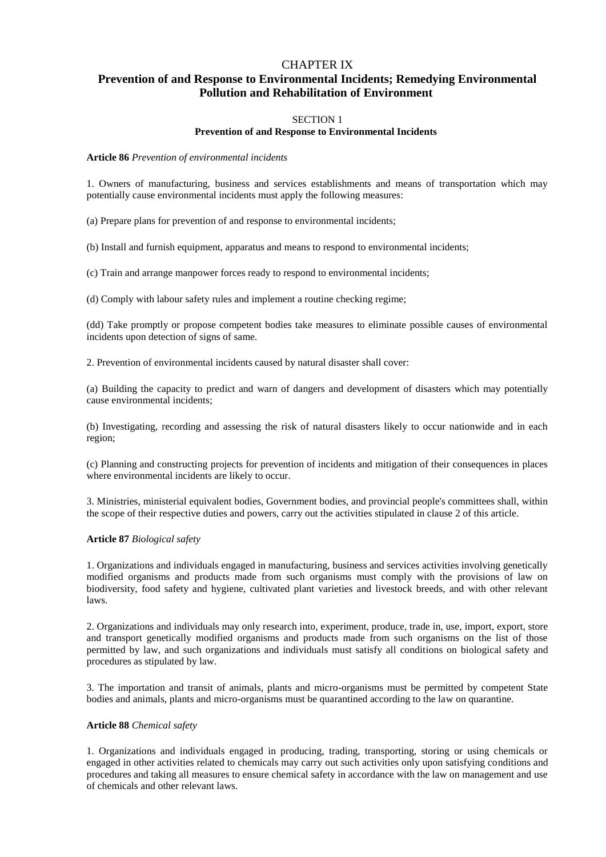## CHAPTER IX

## **Prevention of and Response to Environmental Incidents; Remedying Environmental Pollution and Rehabilitation of Environment**

## SECTION 1

## **Prevention of and Response to Environmental Incidents**

### **Article 86** *Prevention of environmental incidents*

1. Owners of manufacturing, business and services establishments and means of transportation which may potentially cause environmental incidents must apply the following measures:

(a) Prepare plans for prevention of and response to environmental incidents;

(b) Install and furnish equipment, apparatus and means to respond to environmental incidents;

(c) Train and arrange manpower forces ready to respond to environmental incidents;

(d) Comply with labour safety rules and implement a routine checking regime;

(dd) Take promptly or propose competent bodies take measures to eliminate possible causes of environmental incidents upon detection of signs of same.

2. Prevention of environmental incidents caused by natural disaster shall cover:

(a) Building the capacity to predict and warn of dangers and development of disasters which may potentially cause environmental incidents;

(b) Investigating, recording and assessing the risk of natural disasters likely to occur nationwide and in each region;

(c) Planning and constructing projects for prevention of incidents and mitigation of their consequences in places where environmental incidents are likely to occur.

3. Ministries, ministerial equivalent bodies, Government bodies, and provincial people's committees shall, within the scope of their respective duties and powers, carry out the activities stipulated in clause 2 of this article.

#### **Article 87** *Biological safety*

1. Organizations and individuals engaged in manufacturing, business and services activities involving genetically modified organisms and products made from such organisms must comply with the provisions of law on biodiversity, food safety and hygiene, cultivated plant varieties and livestock breeds, and with other relevant laws.

2. Organizations and individuals may only research into, experiment, produce, trade in, use, import, export, store and transport genetically modified organisms and products made from such organisms on the list of those permitted by law, and such organizations and individuals must satisfy all conditions on biological safety and procedures as stipulated by law.

3. The importation and transit of animals, plants and micro-organisms must be permitted by competent State bodies and animals, plants and micro-organisms must be quarantined according to the law on quarantine.

#### **Article 88** *Chemical safety*

1. Organizations and individuals engaged in producing, trading, transporting, storing or using chemicals or engaged in other activities related to chemicals may carry out such activities only upon satisfying conditions and procedures and taking all measures to ensure chemical safety in accordance with the law on management and use of chemicals and other relevant laws.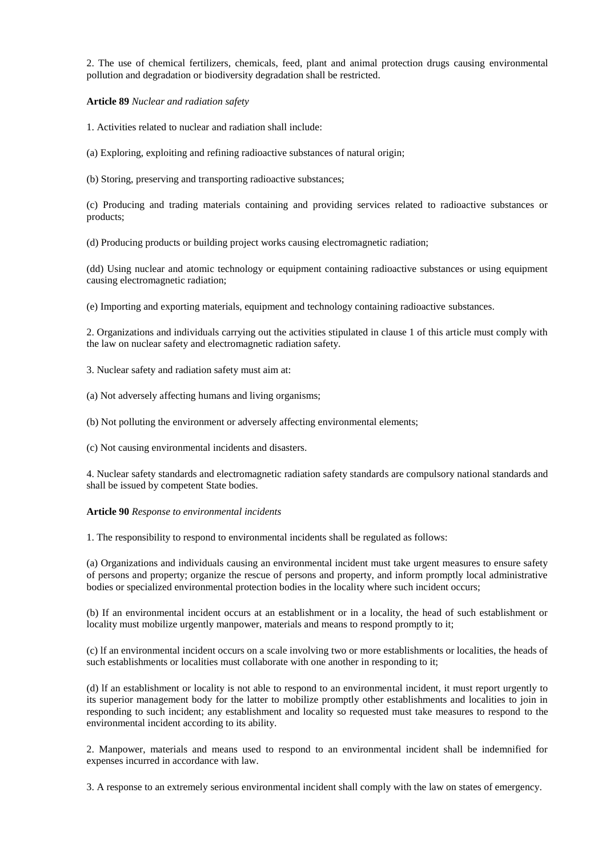2. The use of chemical fertilizers, chemicals, feed, plant and animal protection drugs causing environmental pollution and degradation or biodiversity degradation shall be restricted.

**Article 89** *Nuclear and radiation safety*

1. Activities related to nuclear and radiation shall include:

(a) Exploring, exploiting and refining radioactive substances of natural origin;

(b) Storing, preserving and transporting radioactive substances;

(c) Producing and trading materials containing and providing services related to radioactive substances or products;

(d) Producing products or building project works causing electromagnetic radiation;

(dd) Using nuclear and atomic technology or equipment containing radioactive substances or using equipment causing electromagnetic radiation;

(e) Importing and exporting materials, equipment and technology containing radioactive substances.

2. Organizations and individuals carrying out the activities stipulated in clause 1 of this article must comply with the law on nuclear safety and electromagnetic radiation safety.

3. Nuclear safety and radiation safety must aim at:

(a) Not adversely affecting humans and living organisms;

(b) Not polluting the environment or adversely affecting environmental elements;

(c) Not causing environmental incidents and disasters.

4. Nuclear safety standards and electromagnetic radiation safety standards are compulsory national standards and shall be issued by competent State bodies.

#### **Article 90** *Response to environmental incidents*

1. The responsibility to respond to environmental incidents shall be regulated as follows:

(a) Organizations and individuals causing an environmental incident must take urgent measures to ensure safety of persons and property; organize the rescue of persons and property, and inform promptly local administrative bodies or specialized environmental protection bodies in the locality where such incident occurs;

(b) If an environmental incident occurs at an establishment or in a locality, the head of such establishment or locality must mobilize urgently manpower, materials and means to respond promptly to it;

(c) lf an environmental incident occurs on a scale involving two or more establishments or localities, the heads of such establishments or localities must collaborate with one another in responding to it;

(d) lf an establishment or locality is not able to respond to an environmental incident, it must report urgently to its superior management body for the latter to mobilize promptly other establishments and localities to join in responding to such incident; any establishment and locality so requested must take measures to respond to the environmental incident according to its ability.

2. Manpower, materials and means used to respond to an environmental incident shall be indemnified for expenses incurred in accordance with law.

3. A response to an extremely serious environmental incident shall comply with the law on states of emergency.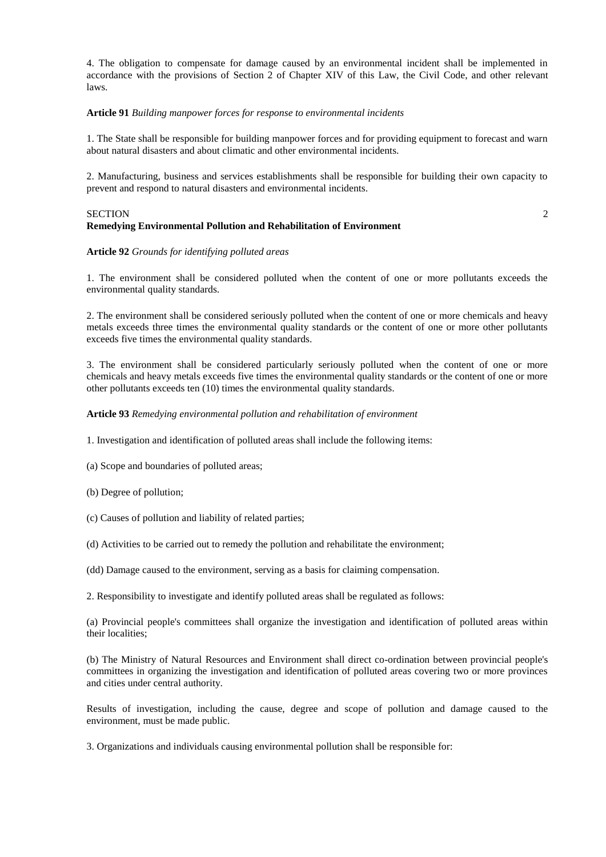4. The obligation to compensate for damage caused by an environmental incident shall be implemented in accordance with the provisions of Section 2 of Chapter XIV of this Law, the Civil Code, and other relevant laws.

### **Article 91** *Building manpower forces for response to environmental incidents*

1. The State shall be responsible for building manpower forces and for providing equipment to forecast and warn about natural disasters and about climatic and other environmental incidents.

2. Manufacturing, business and services establishments shall be responsible for building their own capacity to prevent and respond to natural disasters and environmental incidents.

#### SECTION 2 **Remedying Environmental Pollution and Rehabilitation of Environment**

## **Article 92** *Grounds for identifying polluted areas*

1. The environment shall be considered polluted when the content of one or more pollutants exceeds the environmental quality standards.

2. The environment shall be considered seriously polluted when the content of one or more chemicals and heavy metals exceeds three times the environmental quality standards or the content of one or more other pollutants exceeds five times the environmental quality standards.

3. The environment shall be considered particularly seriously polluted when the content of one or more chemicals and heavy metals exceeds five times the environmental quality standards or the content of one or more other pollutants exceeds ten (10) times the environmental quality standards.

### **Article 93** *Remedying environmental pollution and rehabilitation of environment*

1. Investigation and identification of polluted areas shall include the following items:

(a) Scope and boundaries of polluted areas;

(b) Degree of pollution;

(c) Causes of pollution and liability of related parties;

(d) Activities to be carried out to remedy the pollution and rehabilitate the environment;

(dd) Damage caused to the environment, serving as a basis for claiming compensation.

2. Responsibility to investigate and identify polluted areas shall be regulated as follows:

(a) Provincial people's committees shall organize the investigation and identification of polluted areas within their localities;

(b) The Ministry of Natural Resources and Environment shall direct co-ordination between provincial people's committees in organizing the investigation and identification of polluted areas covering two or more provinces and cities under central authority.

Results of investigation, including the cause, degree and scope of pollution and damage caused to the environment, must be made public.

3. Organizations and individuals causing environmental pollution shall be responsible for: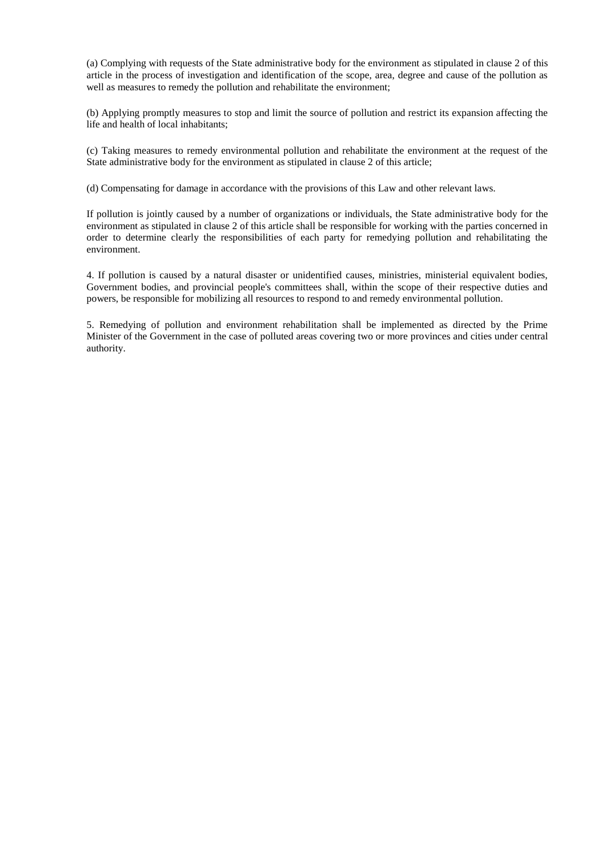(a) Complying with requests of the State administrative body for the environment as stipulated in clause 2 of this article in the process of investigation and identification of the scope, area, degree and cause of the pollution as well as measures to remedy the pollution and rehabilitate the environment;

(b) Applying promptly measures to stop and limit the source of pollution and restrict its expansion affecting the life and health of local inhabitants;

(c) Taking measures to remedy environmental pollution and rehabilitate the environment at the request of the State administrative body for the environment as stipulated in clause 2 of this article;

(d) Compensating for damage in accordance with the provisions of this Law and other relevant laws.

If pollution is jointly caused by a number of organizations or individuals, the State administrative body for the environment as stipulated in clause 2 of this article shall be responsible for working with the parties concerned in order to determine clearly the responsibilities of each party for remedying pollution and rehabilitating the environment.

4. If pollution is caused by a natural disaster or unidentified causes, ministries, ministerial equivalent bodies, Government bodies, and provincial people's committees shall, within the scope of their respective duties and powers, be responsible for mobilizing all resources to respond to and remedy environmental pollution.

5. Remedying of pollution and environment rehabilitation shall be implemented as directed by the Prime Minister of the Government in the case of polluted areas covering two or more provinces and cities under central authority.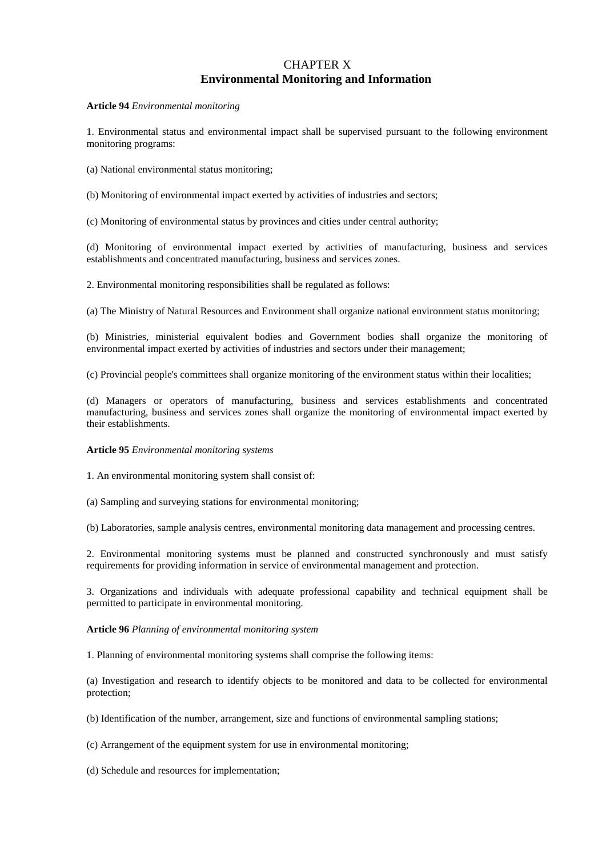## CHAPTER X **Environmental Monitoring and Information**

**Article 94** *Environmental monitoring*

1. Environmental status and environmental impact shall be supervised pursuant to the following environment monitoring programs:

- (a) National environmental status monitoring;
- (b) Monitoring of environmental impact exerted by activities of industries and sectors;

(c) Monitoring of environmental status by provinces and cities under central authority;

(d) Monitoring of environmental impact exerted by activities of manufacturing, business and services establishments and concentrated manufacturing, business and services zones.

2. Environmental monitoring responsibilities shall be regulated as follows:

(a) The Ministry of Natural Resources and Environment shall organize national environment status monitoring;

(b) Ministries, ministerial equivalent bodies and Government bodies shall organize the monitoring of environmental impact exerted by activities of industries and sectors under their management;

(c) Provincial people's committees shall organize monitoring of the environment status within their localities;

(d) Managers or operators of manufacturing, business and services establishments and concentrated manufacturing, business and services zones shall organize the monitoring of environmental impact exerted by their establishments.

#### **Article 95** *Environmental monitoring systems*

1. An environmental monitoring system shall consist of:

(a) Sampling and surveying stations for environmental monitoring;

(b) Laboratories, sample analysis centres, environmental monitoring data management and processing centres.

2. Environmental monitoring systems must be planned and constructed synchronously and must satisfy requirements for providing information in service of environmental management and protection.

3. Organizations and individuals with adequate professional capability and technical equipment shall be permitted to participate in environmental monitoring.

#### **Article 96** *Planning of environmental monitoring system*

1. Planning of environmental monitoring systems shall comprise the following items:

(a) Investigation and research to identify objects to be monitored and data to be collected for environmental protection;

(b) Identification of the number, arrangement, size and functions of environmental sampling stations;

(c) Arrangement of the equipment system for use in environmental monitoring;

(d) Schedule and resources for implementation;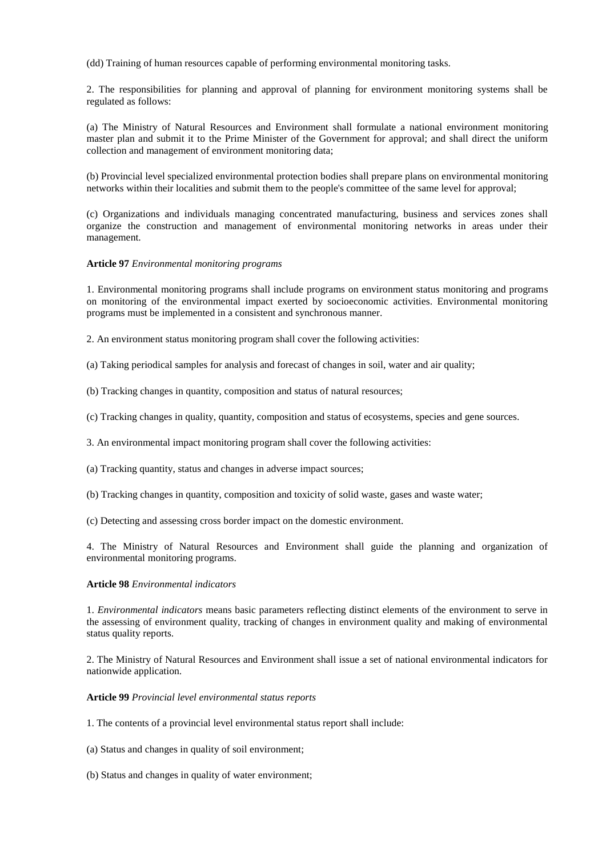(dd) Training of human resources capable of performing environmental monitoring tasks.

2. The responsibilities for planning and approval of planning for environment monitoring systems shall be regulated as follows:

(a) The Ministry of Natural Resources and Environment shall formulate a national environment monitoring master plan and submit it to the Prime Minister of the Government for approval; and shall direct the uniform collection and management of environment monitoring data;

(b) Provincial level specialized environmental protection bodies shall prepare plans on environmental monitoring networks within their localities and submit them to the people's committee of the same level for approval;

(c) Organizations and individuals managing concentrated manufacturing, business and services zones shall organize the construction and management of environmental monitoring networks in areas under their management.

### **Article 97** *Environmental monitoring programs*

1. Environmental monitoring programs shall include programs on environment status monitoring and programs on monitoring of the environmental impact exerted by socioeconomic activities. Environmental monitoring programs must be implemented in a consistent and synchronous manner.

2. An environment status monitoring program shall cover the following activities:

(a) Taking periodical samples for analysis and forecast of changes in soil, water and air quality;

(b) Tracking changes in quantity, composition and status of natural resources;

(c) Tracking changes in quality, quantity, composition and status of ecosystems, species and gene sources.

3. An environmental impact monitoring program shall cover the following activities:

(a) Tracking quantity, status and changes in adverse impact sources;

(b) Tracking changes in quantity, composition and toxicity of solid waste, gases and waste water;

(c) Detecting and assessing cross border impact on the domestic environment.

4. The Ministry of Natural Resources and Environment shall guide the planning and organization of environmental monitoring programs.

#### **Article 98** *Environmental indicators*

1. *Environmental indicators* means basic parameters reflecting distinct elements of the environment to serve in the assessing of environment quality, tracking of changes in environment quality and making of environmental status quality reports.

2. The Ministry of Natural Resources and Environment shall issue a set of national environmental indicators for nationwide application.

## **Article 99** *Provincial level environmental status reports*

1. The contents of a provincial level environmental status report shall include:

(a) Status and changes in quality of soil environment;

(b) Status and changes in quality of water environment;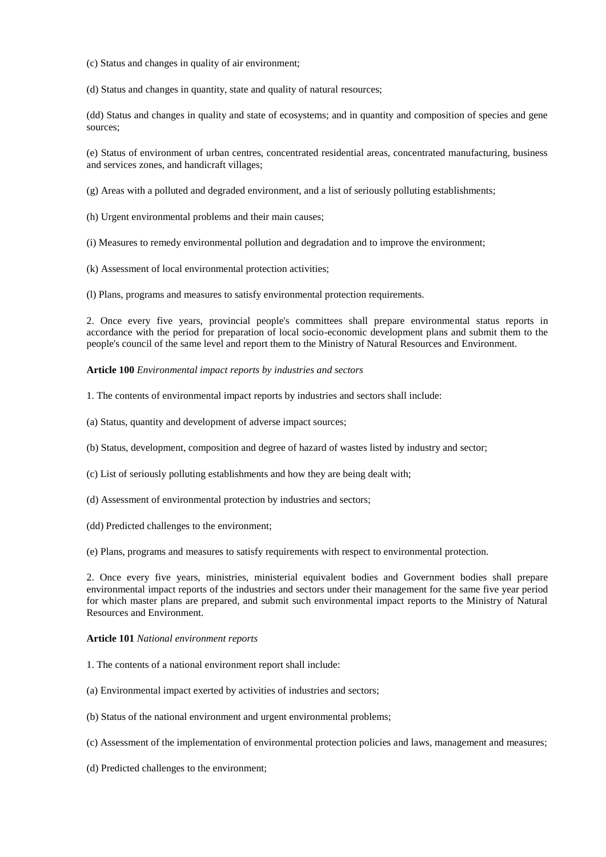(c) Status and changes in quality of air environment;

(d) Status and changes in quantity, state and quality of natural resources;

(dd) Status and changes in quality and state of ecosystems; and in quantity and composition of species and gene sources;

(e) Status of environment of urban centres, concentrated residential areas, concentrated manufacturing, business and services zones, and handicraft villages;

(g) Areas with a polluted and degraded environment, and a list of seriously polluting establishments;

(h) Urgent environmental problems and their main causes;

(i) Measures to remedy environmental pollution and degradation and to improve the environment;

(k) Assessment of local environmental protection activities;

(l) Plans, programs and measures to satisfy environmental protection requirements.

2. Once every five years, provincial people's committees shall prepare environmental status reports in accordance with the period for preparation of local socio-economic development plans and submit them to the people's council of the same level and report them to the Ministry of Natural Resources and Environment.

### **Article 100** *Environmental impact reports by industries and sectors*

1. The contents of environmental impact reports by industries and sectors shall include:

(a) Status, quantity and development of adverse impact sources;

(b) Status, development, composition and degree of hazard of wastes listed by industry and sector;

- (c) List of seriously polluting establishments and how they are being dealt with;
- (d) Assessment of environmental protection by industries and sectors;
- (dd) Predicted challenges to the environment;

(e) Plans, programs and measures to satisfy requirements with respect to environmental protection.

2. Once every five years, ministries, ministerial equivalent bodies and Government bodies shall prepare environmental impact reports of the industries and sectors under their management for the same five year period for which master plans are prepared, and submit such environmental impact reports to the Ministry of Natural Resources and Environment.

#### **Article 101** *National environment reports*

- 1. The contents of a national environment report shall include:
- (a) Environmental impact exerted by activities of industries and sectors;
- (b) Status of the national environment and urgent environmental problems;
- (c) Assessment of the implementation of environmental protection policies and laws, management and measures;
- (d) Predicted challenges to the environment;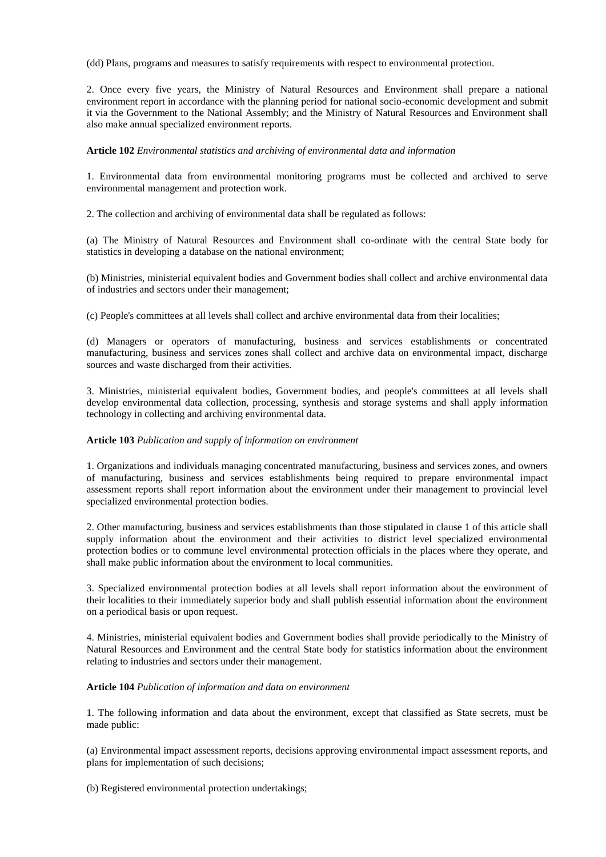(dd) Plans, programs and measures to satisfy requirements with respect to environmental protection.

2. Once every five years, the Ministry of Natural Resources and Environment shall prepare a national environment report in accordance with the planning period for national socio-economic development and submit it via the Government to the National Assembly; and the Ministry of Natural Resources and Environment shall also make annual specialized environment reports.

## **Article 102** *Environmental statistics and archiving of environmental data and information*

1. Environmental data from environmental monitoring programs must be collected and archived to serve environmental management and protection work.

2. The collection and archiving of environmental data shall be regulated as follows:

(a) The Ministry of Natural Resources and Environment shall co-ordinate with the central State body for statistics in developing a database on the national environment;

(b) Ministries, ministerial equivalent bodies and Government bodies shall collect and archive environmental data of industries and sectors under their management;

(c) People's committees at all levels shall collect and archive environmental data from their localities;

(d) Managers or operators of manufacturing, business and services establishments or concentrated manufacturing, business and services zones shall collect and archive data on environmental impact, discharge sources and waste discharged from their activities.

3. Ministries, ministerial equivalent bodies, Government bodies, and people's committees at all levels shall develop environmental data collection, processing, synthesis and storage systems and shall apply information technology in collecting and archiving environmental data.

#### **Article 103** *Publication and supply of information on environment*

1. Organizations and individuals managing concentrated manufacturing, business and services zones, and owners of manufacturing, business and services establishments being required to prepare environmental impact assessment reports shall report information about the environment under their management to provincial level specialized environmental protection bodies.

2. Other manufacturing, business and services establishments than those stipulated in clause 1 of this article shall supply information about the environment and their activities to district level specialized environmental protection bodies or to commune level environmental protection officials in the places where they operate, and shall make public information about the environment to local communities.

3. Specialized environmental protection bodies at all levels shall report information about the environment of their localities to their immediately superior body and shall publish essential information about the environment on a periodical basis or upon request.

4. Ministries, ministerial equivalent bodies and Government bodies shall provide periodically to the Ministry of Natural Resources and Environment and the central State body for statistics information about the environment relating to industries and sectors under their management.

#### **Article 104** *Publication of information and data on environment*

1. The following information and data about the environment, except that classified as State secrets, must be made public:

(a) Environmental impact assessment reports, decisions approving environmental impact assessment reports, and plans for implementation of such decisions;

(b) Registered environmental protection undertakings;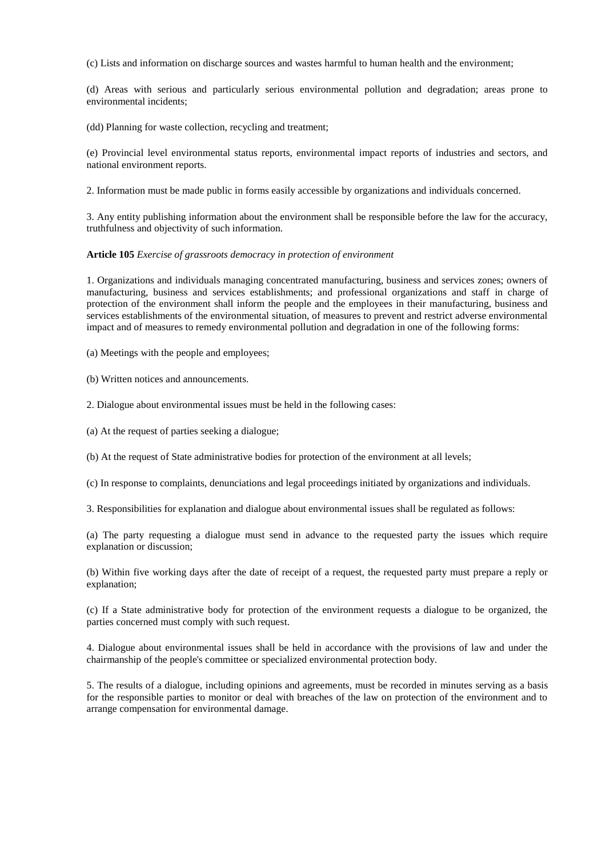(c) Lists and information on discharge sources and wastes harmful to human health and the environment;

(d) Areas with serious and particularly serious environmental pollution and degradation; areas prone to environmental incidents;

(dd) Planning for waste collection, recycling and treatment;

(e) Provincial level environmental status reports, environmental impact reports of industries and sectors, and national environment reports.

2. Information must be made public in forms easily accessible by organizations and individuals concerned.

3. Any entity publishing information about the environment shall be responsible before the law for the accuracy, truthfulness and objectivity of such information.

**Article 105** *Exercise of grassroots democracy in protection of environment*

1. Organizations and individuals managing concentrated manufacturing, business and services zones; owners of manufacturing, business and services establishments; and professional organizations and staff in charge of protection of the environment shall inform the people and the employees in their manufacturing, business and services establishments of the environmental situation, of measures to prevent and restrict adverse environmental impact and of measures to remedy environmental pollution and degradation in one of the following forms:

(a) Meetings with the people and employees;

(b) Written notices and announcements.

2. Dialogue about environmental issues must be held in the following cases:

(a) At the request of parties seeking a dialogue;

(b) At the request of State administrative bodies for protection of the environment at all levels;

(c) In response to complaints, denunciations and legal proceedings initiated by organizations and individuals.

3. Responsibilities for explanation and dialogue about environmental issues shall be regulated as follows:

(a) The party requesting a dialogue must send in advance to the requested party the issues which require explanation or discussion;

(b) Within five working days after the date of receipt of a request, the requested party must prepare a reply or explanation;

(c) If a State administrative body for protection of the environment requests a dialogue to be organized, the parties concerned must comply with such request.

4. Dialogue about environmental issues shall be held in accordance with the provisions of law and under the chairmanship of the people's committee or specialized environmental protection body.

5. The results of a dialogue, including opinions and agreements, must be recorded in minutes serving as a basis for the responsible parties to monitor or deal with breaches of the law on protection of the environment and to arrange compensation for environmental damage.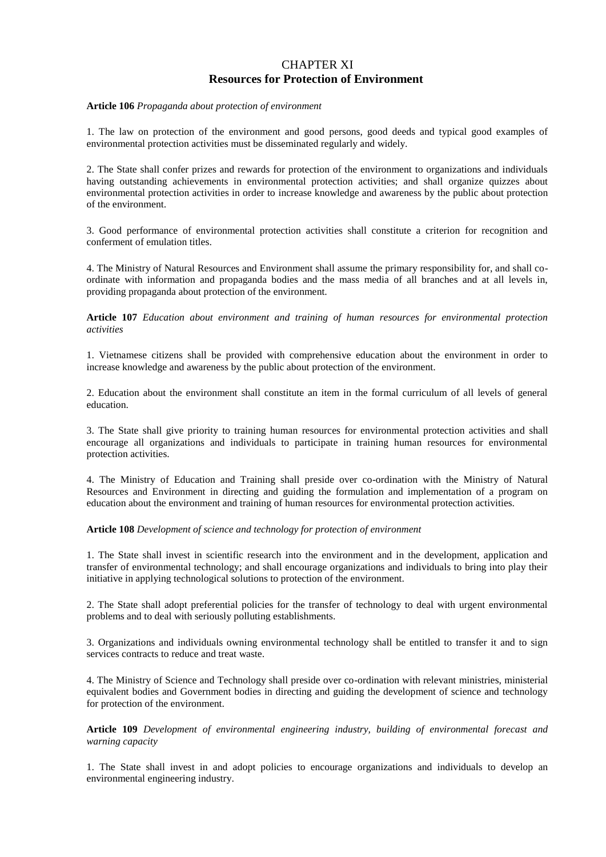## CHAPTER XI **Resources for Protection of Environment**

#### **Article 106** *Propaganda about protection of environment*

1. The law on protection of the environment and good persons, good deeds and typical good examples of environmental protection activities must be disseminated regularly and widely.

2. The State shall confer prizes and rewards for protection of the environment to organizations and individuals having outstanding achievements in environmental protection activities; and shall organize quizzes about environmental protection activities in order to increase knowledge and awareness by the public about protection of the environment.

3. Good performance of environmental protection activities shall constitute a criterion for recognition and conferment of emulation titles.

4. The Ministry of Natural Resources and Environment shall assume the primary responsibility for, and shall coordinate with information and propaganda bodies and the mass media of all branches and at all levels in, providing propaganda about protection of the environment.

**Article 107** *Education about environment and training of human resources for environmental protection activities*

1. Vietnamese citizens shall be provided with comprehensive education about the environment in order to increase knowledge and awareness by the public about protection of the environment.

2. Education about the environment shall constitute an item in the formal curriculum of all levels of general education.

3. The State shall give priority to training human resources for environmental protection activities and shall encourage all organizations and individuals to participate in training human resources for environmental protection activities.

4. The Ministry of Education and Training shall preside over co-ordination with the Ministry of Natural Resources and Environment in directing and guiding the formulation and implementation of a program on education about the environment and training of human resources for environmental protection activities.

**Article 108** *Development of science and technology for protection of environment*

1. The State shall invest in scientific research into the environment and in the development, application and transfer of environmental technology; and shall encourage organizations and individuals to bring into play their initiative in applying technological solutions to protection of the environment.

2. The State shall adopt preferential policies for the transfer of technology to deal with urgent environmental problems and to deal with seriously polluting establishments.

3. Organizations and individuals owning environmental technology shall be entitled to transfer it and to sign services contracts to reduce and treat waste.

4. The Ministry of Science and Technology shall preside over co-ordination with relevant ministries, ministerial equivalent bodies and Government bodies in directing and guiding the development of science and technology for protection of the environment.

**Article 109** *Development of environmental engineering industry, building of environmental forecast and warning capacity*

1. The State shall invest in and adopt policies to encourage organizations and individuals to develop an environmental engineering industry.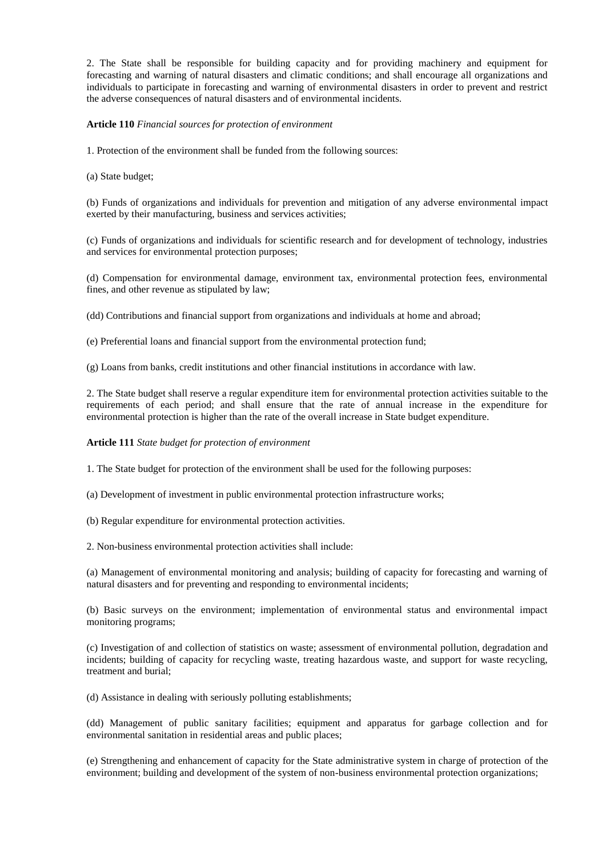2. The State shall be responsible for building capacity and for providing machinery and equipment for forecasting and warning of natural disasters and climatic conditions; and shall encourage all organizations and individuals to participate in forecasting and warning of environmental disasters in order to prevent and restrict the adverse consequences of natural disasters and of environmental incidents.

### **Article 110** *Financial sources for protection of environment*

1. Protection of the environment shall be funded from the following sources:

(a) State budget;

(b) Funds of organizations and individuals for prevention and mitigation of any adverse environmental impact exerted by their manufacturing, business and services activities;

(c) Funds of organizations and individuals for scientific research and for development of technology, industries and services for environmental protection purposes;

(d) Compensation for environmental damage, environment tax, environmental protection fees, environmental fines, and other revenue as stipulated by law;

(dd) Contributions and financial support from organizations and individuals at home and abroad;

(e) Preferential loans and financial support from the environmental protection fund;

(g) Loans from banks, credit institutions and other financial institutions in accordance with law.

2. The State budget shall reserve a regular expenditure item for environmental protection activities suitable to the requirements of each period; and shall ensure that the rate of annual increase in the expenditure for environmental protection is higher than the rate of the overall increase in State budget expenditure.

#### **Article 111** *State budget for protection of environment*

1. The State budget for protection of the environment shall be used for the following purposes:

(a) Development of investment in public environmental protection infrastructure works;

(b) Regular expenditure for environmental protection activities.

2. Non-business environmental protection activities shall include:

(a) Management of environmental monitoring and analysis; building of capacity for forecasting and warning of natural disasters and for preventing and responding to environmental incidents;

(b) Basic surveys on the environment; implementation of environmental status and environmental impact monitoring programs;

(c) Investigation of and collection of statistics on waste; assessment of environmental pollution, degradation and incidents; building of capacity for recycling waste, treating hazardous waste, and support for waste recycling, treatment and burial;

(d) Assistance in dealing with seriously polluting establishments;

(dd) Management of public sanitary facilities; equipment and apparatus for garbage collection and for environmental sanitation in residential areas and public places;

(e) Strengthening and enhancement of capacity for the State administrative system in charge of protection of the environment; building and development of the system of non-business environmental protection organizations;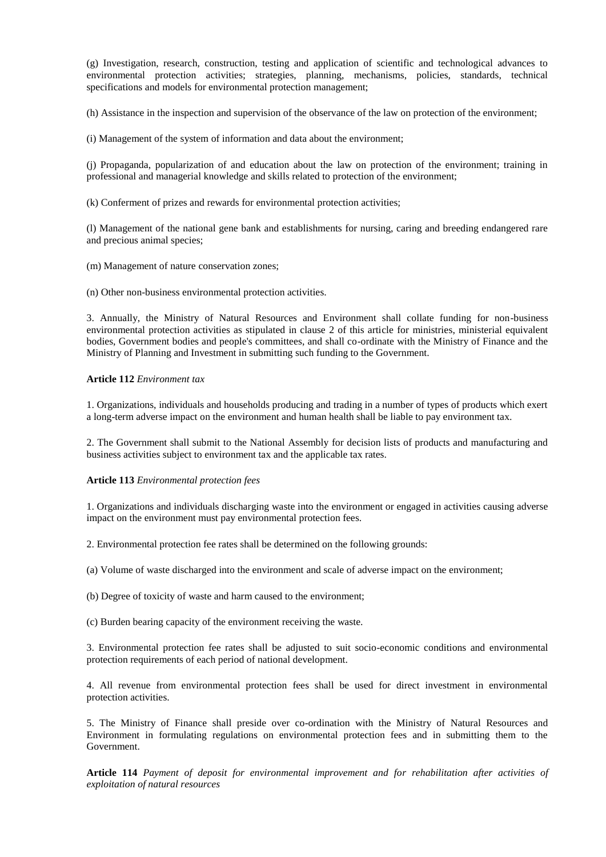(g) Investigation, research, construction, testing and application of scientific and technological advances to environmental protection activities; strategies, planning, mechanisms, policies, standards, technical specifications and models for environmental protection management;

(h) Assistance in the inspection and supervision of the observance of the law on protection of the environment;

(i) Management of the system of information and data about the environment;

(j) Propaganda, popularization of and education about the law on protection of the environment; training in professional and managerial knowledge and skills related to protection of the environment;

(k) Conferment of prizes and rewards for environmental protection activities;

(l) Management of the national gene bank and establishments for nursing, caring and breeding endangered rare and precious animal species;

(m) Management of nature conservation zones;

(n) Other non-business environmental protection activities.

3. Annually, the Ministry of Natural Resources and Environment shall collate funding for non-business environmental protection activities as stipulated in clause 2 of this article for ministries, ministerial equivalent bodies, Government bodies and people's committees, and shall co-ordinate with the Ministry of Finance and the Ministry of Planning and Investment in submitting such funding to the Government.

### **Article 112** *Environment tax*

1. Organizations, individuals and households producing and trading in a number of types of products which exert a long-term adverse impact on the environment and human health shall be liable to pay environment tax.

2. The Government shall submit to the National Assembly for decision lists of products and manufacturing and business activities subject to environment tax and the applicable tax rates.

#### **Article 113** *Environmental protection fees*

1. Organizations and individuals discharging waste into the environment or engaged in activities causing adverse impact on the environment must pay environmental protection fees.

2. Environmental protection fee rates shall be determined on the following grounds:

(a) Volume of waste discharged into the environment and scale of adverse impact on the environment;

(b) Degree of toxicity of waste and harm caused to the environment;

(c) Burden bearing capacity of the environment receiving the waste.

3. Environmental protection fee rates shall be adjusted to suit socio-economic conditions and environmental protection requirements of each period of national development.

4. All revenue from environmental protection fees shall be used for direct investment in environmental protection activities.

5. The Ministry of Finance shall preside over co-ordination with the Ministry of Natural Resources and Environment in formulating regulations on environmental protection fees and in submitting them to the Government.

**Article 114** *Payment of deposit for environmental improvement and for rehabilitation after activities of exploitation of natural resources*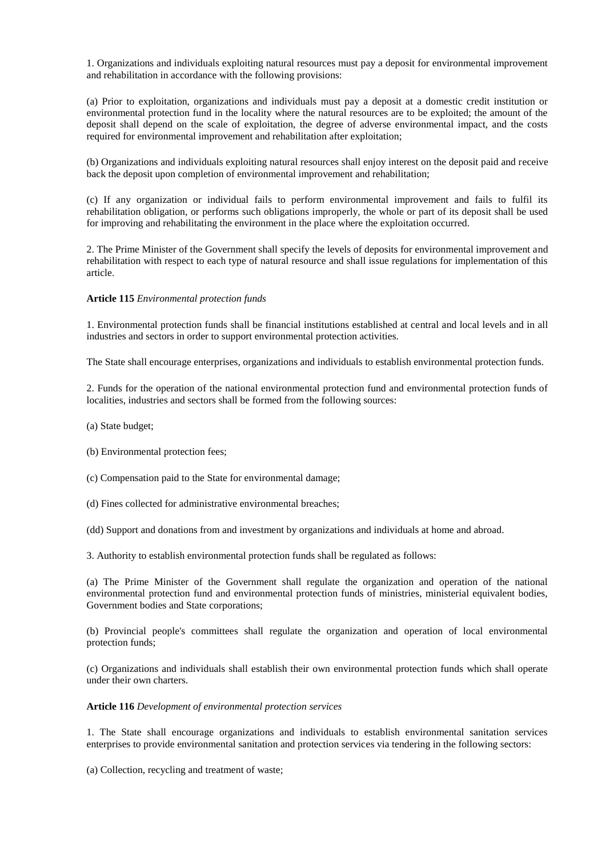1. Organizations and individuals exploiting natural resources must pay a deposit for environmental improvement and rehabilitation in accordance with the following provisions:

(a) Prior to exploitation, organizations and individuals must pay a deposit at a domestic credit institution or environmental protection fund in the locality where the natural resources are to be exploited; the amount of the deposit shall depend on the scale of exploitation, the degree of adverse environmental impact, and the costs required for environmental improvement and rehabilitation after exploitation;

(b) Organizations and individuals exploiting natural resources shall enjoy interest on the deposit paid and receive back the deposit upon completion of environmental improvement and rehabilitation;

(c) If any organization or individual fails to perform environmental improvement and fails to fulfil its rehabilitation obligation, or performs such obligations improperly, the whole or part of its deposit shall be used for improving and rehabilitating the environment in the place where the exploitation occurred.

2. The Prime Minister of the Government shall specify the levels of deposits for environmental improvement and rehabilitation with respect to each type of natural resource and shall issue regulations for implementation of this article.

### **Article 115** *Environmental protection funds*

1. Environmental protection funds shall be financial institutions established at central and local levels and in all industries and sectors in order to support environmental protection activities.

The State shall encourage enterprises, organizations and individuals to establish environmental protection funds.

2. Funds for the operation of the national environmental protection fund and environmental protection funds of localities, industries and sectors shall be formed from the following sources:

(a) State budget;

(b) Environmental protection fees;

(c) Compensation paid to the State for environmental damage;

(d) Fines collected for administrative environmental breaches;

(dd) Support and donations from and investment by organizations and individuals at home and abroad.

3. Authority to establish environmental protection funds shall be regulated as follows:

(a) The Prime Minister of the Government shall regulate the organization and operation of the national environmental protection fund and environmental protection funds of ministries, ministerial equivalent bodies, Government bodies and State corporations;

(b) Provincial people's committees shall regulate the organization and operation of local environmental protection funds;

(c) Organizations and individuals shall establish their own environmental protection funds which shall operate under their own charters.

## **Article 116** *Development of environmental protection services*

1. The State shall encourage organizations and individuals to establish environmental sanitation services enterprises to provide environmental sanitation and protection services via tendering in the following sectors:

(a) Collection, recycling and treatment of waste;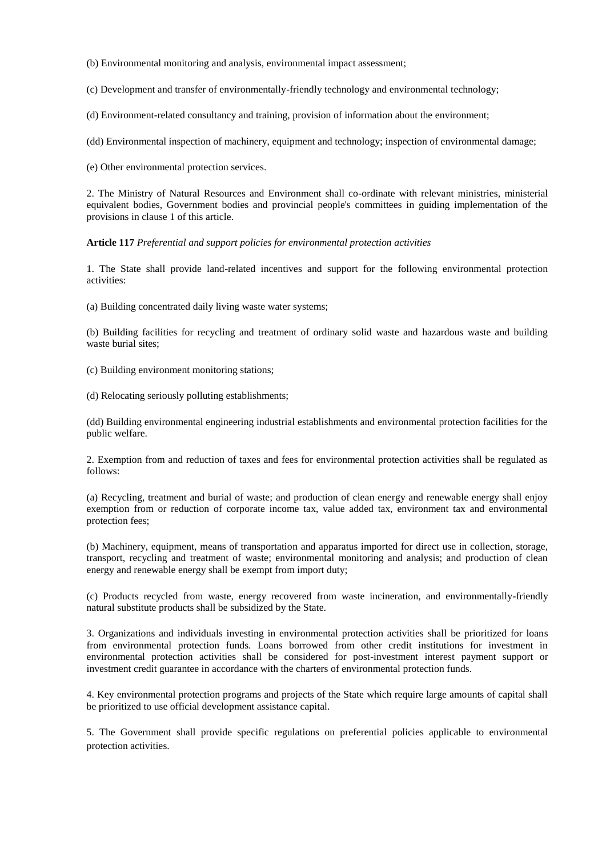(b) Environmental monitoring and analysis, environmental impact assessment;

(c) Development and transfer of environmentally-friendly technology and environmental technology;

(d) Environment-related consultancy and training, provision of information about the environment;

(dd) Environmental inspection of machinery, equipment and technology; inspection of environmental damage;

(e) Other environmental protection services.

2. The Ministry of Natural Resources and Environment shall co-ordinate with relevant ministries, ministerial equivalent bodies, Government bodies and provincial people's committees in guiding implementation of the provisions in clause 1 of this article.

**Article 117** *Preferential and support policies for environmental protection activities*

1. The State shall provide land-related incentives and support for the following environmental protection activities:

(a) Building concentrated daily living waste water systems;

(b) Building facilities for recycling and treatment of ordinary solid waste and hazardous waste and building waste burial sites:

(c) Building environment monitoring stations;

(d) Relocating seriously polluting establishments;

(dd) Building environmental engineering industrial establishments and environmental protection facilities for the public welfare.

2. Exemption from and reduction of taxes and fees for environmental protection activities shall be regulated as follows:

(a) Recycling, treatment and burial of waste; and production of clean energy and renewable energy shall enjoy exemption from or reduction of corporate income tax, value added tax, environment tax and environmental protection fees;

(b) Machinery, equipment, means of transportation and apparatus imported for direct use in collection, storage, transport, recycling and treatment of waste; environmental monitoring and analysis; and production of clean energy and renewable energy shall be exempt from import duty;

(c) Products recycled from waste, energy recovered from waste incineration, and environmentally-friendly natural substitute products shall be subsidized by the State.

3. Organizations and individuals investing in environmental protection activities shall be prioritized for loans from environmental protection funds. Loans borrowed from other credit institutions for investment in environmental protection activities shall be considered for post-investment interest payment support or investment credit guarantee in accordance with the charters of environmental protection funds.

4. Key environmental protection programs and projects of the State which require large amounts of capital shall be prioritized to use official development assistance capital.

5. The Government shall provide specific regulations on preferential policies applicable to environmental protection activities.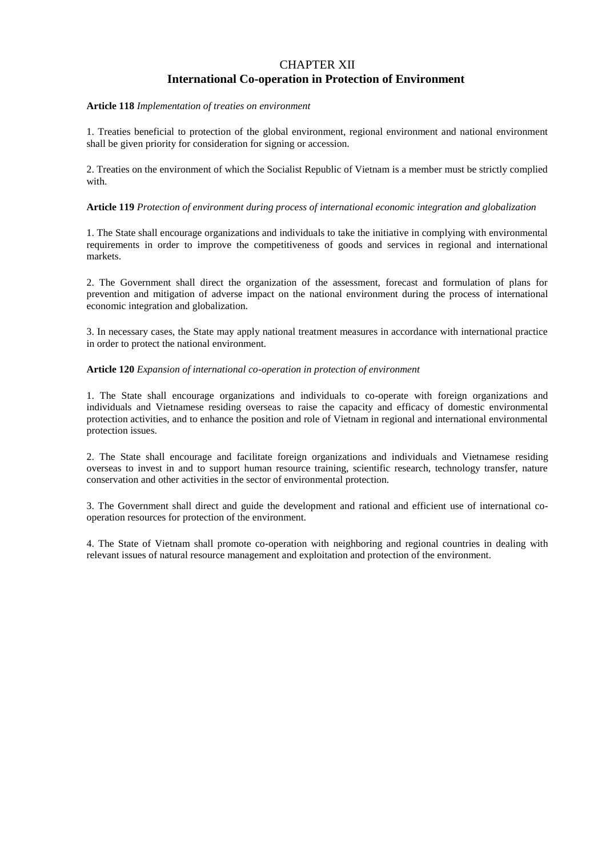## CHAPTER XII **International Co-operation in Protection of Environment**

### **Article 118** *Implementation of treaties on environment*

1. Treaties beneficial to protection of the global environment, regional environment and national environment shall be given priority for consideration for signing or accession.

2. Treaties on the environment of which the Socialist Republic of Vietnam is a member must be strictly complied with.

## **Article 119** *Protection of environment during process of international economic integration and globalization*

1. The State shall encourage organizations and individuals to take the initiative in complying with environmental requirements in order to improve the competitiveness of goods and services in regional and international markets.

2. The Government shall direct the organization of the assessment, forecast and formulation of plans for prevention and mitigation of adverse impact on the national environment during the process of international economic integration and globalization.

3. In necessary cases, the State may apply national treatment measures in accordance with international practice in order to protect the national environment.

### **Article 120** *Expansion of international co-operation in protection of environment*

1. The State shall encourage organizations and individuals to co-operate with foreign organizations and individuals and Vietnamese residing overseas to raise the capacity and efficacy of domestic environmental protection activities, and to enhance the position and role of Vietnam in regional and international environmental protection issues.

2. The State shall encourage and facilitate foreign organizations and individuals and Vietnamese residing overseas to invest in and to support human resource training, scientific research, technology transfer, nature conservation and other activities in the sector of environmental protection.

3. The Government shall direct and guide the development and rational and efficient use of international cooperation resources for protection of the environment.

4. The State of Vietnam shall promote co-operation with neighboring and regional countries in dealing with relevant issues of natural resource management and exploitation and protection of the environment.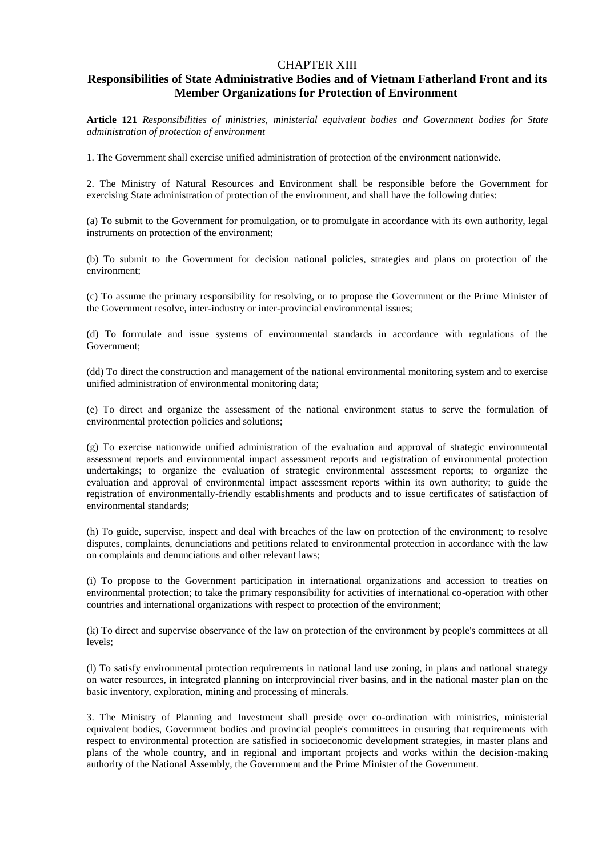## CHAPTER XIII

## **Responsibilities of State Administrative Bodies and of Vietnam Fatherland Front and its Member Organizations for Protection of Environment**

**Article 121** *Responsibilities of ministries, ministerial equivalent bodies and Government bodies for State administration of protection of environment*

1. The Government shall exercise unified administration of protection of the environment nationwide.

2. The Ministry of Natural Resources and Environment shall be responsible before the Government for exercising State administration of protection of the environment, and shall have the following duties:

(a) To submit to the Government for promulgation, or to promulgate in accordance with its own authority, legal instruments on protection of the environment;

(b) To submit to the Government for decision national policies, strategies and plans on protection of the environment;

(c) To assume the primary responsibility for resolving, or to propose the Government or the Prime Minister of the Government resolve, inter-industry or inter-provincial environmental issues;

(d) To formulate and issue systems of environmental standards in accordance with regulations of the Government;

(dd) To direct the construction and management of the national environmental monitoring system and to exercise unified administration of environmental monitoring data;

(e) To direct and organize the assessment of the national environment status to serve the formulation of environmental protection policies and solutions;

(g) To exercise nationwide unified administration of the evaluation and approval of strategic environmental assessment reports and environmental impact assessment reports and registration of environmental protection undertakings; to organize the evaluation of strategic environmental assessment reports; to organize the evaluation and approval of environmental impact assessment reports within its own authority; to guide the registration of environmentally-friendly establishments and products and to issue certificates of satisfaction of environmental standards;

(h) To guide, supervise, inspect and deal with breaches of the law on protection of the environment; to resolve disputes, complaints, denunciations and petitions related to environmental protection in accordance with the law on complaints and denunciations and other relevant laws;

(i) To propose to the Government participation in international organizations and accession to treaties on environmental protection; to take the primary responsibility for activities of international co-operation with other countries and international organizations with respect to protection of the environment;

(k) To direct and supervise observance of the law on protection of the environment by people's committees at all levels;

(l) To satisfy environmental protection requirements in national land use zoning, in plans and national strategy on water resources, in integrated planning on interprovincial river basins, and in the national master plan on the basic inventory, exploration, mining and processing of minerals.

3. The Ministry of Planning and Investment shall preside over co-ordination with ministries, ministerial equivalent bodies, Government bodies and provincial people's committees in ensuring that requirements with respect to environmental protection are satisfied in socioeconomic development strategies, in master plans and plans of the whole country, and in regional and important projects and works within the decision-making authority of the National Assembly, the Government and the Prime Minister of the Government.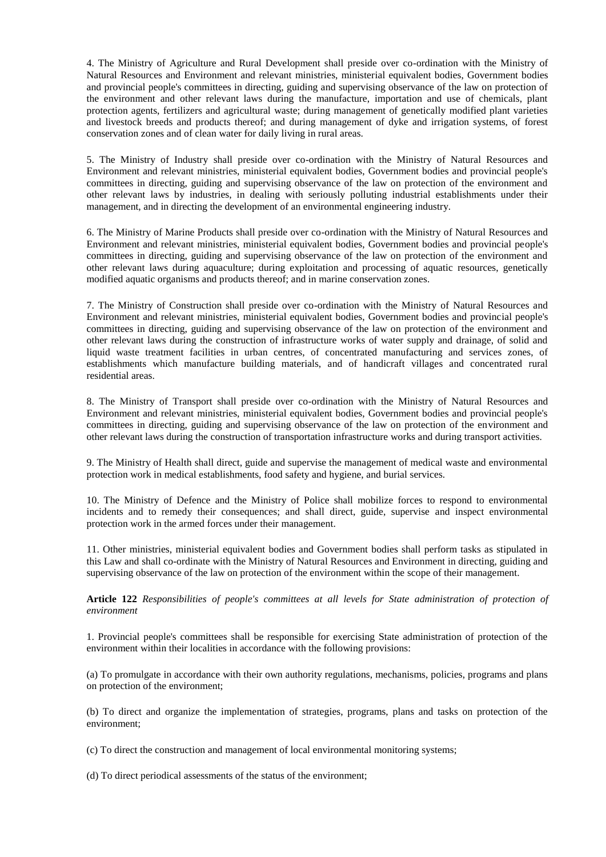4. The Ministry of Agriculture and Rural Development shall preside over co-ordination with the Ministry of Natural Resources and Environment and relevant ministries, ministerial equivalent bodies, Government bodies and provincial people's committees in directing, guiding and supervising observance of the law on protection of the environment and other relevant laws during the manufacture, importation and use of chemicals, plant protection agents, fertilizers and agricultural waste; during management of genetically modified plant varieties and livestock breeds and products thereof; and during management of dyke and irrigation systems, of forest conservation zones and of clean water for daily living in rural areas.

5. The Ministry of Industry shall preside over co-ordination with the Ministry of Natural Resources and Environment and relevant ministries, ministerial equivalent bodies, Government bodies and provincial people's committees in directing, guiding and supervising observance of the law on protection of the environment and other relevant laws by industries, in dealing with seriously polluting industrial establishments under their management, and in directing the development of an environmental engineering industry.

6. The Ministry of Marine Products shall preside over co-ordination with the Ministry of Natural Resources and Environment and relevant ministries, ministerial equivalent bodies, Government bodies and provincial people's committees in directing, guiding and supervising observance of the law on protection of the environment and other relevant laws during aquaculture; during exploitation and processing of aquatic resources, genetically modified aquatic organisms and products thereof; and in marine conservation zones.

7. The Ministry of Construction shall preside over co-ordination with the Ministry of Natural Resources and Environment and relevant ministries, ministerial equivalent bodies, Government bodies and provincial people's committees in directing, guiding and supervising observance of the law on protection of the environment and other relevant laws during the construction of infrastructure works of water supply and drainage, of solid and liquid waste treatment facilities in urban centres, of concentrated manufacturing and services zones, of establishments which manufacture building materials, and of handicraft villages and concentrated rural residential areas.

8. The Ministry of Transport shall preside over co-ordination with the Ministry of Natural Resources and Environment and relevant ministries, ministerial equivalent bodies, Government bodies and provincial people's committees in directing, guiding and supervising observance of the law on protection of the environment and other relevant laws during the construction of transportation infrastructure works and during transport activities.

9. The Ministry of Health shall direct, guide and supervise the management of medical waste and environmental protection work in medical establishments, food safety and hygiene, and burial services.

10. The Ministry of Defence and the Ministry of Police shall mobilize forces to respond to environmental incidents and to remedy their consequences; and shall direct, guide, supervise and inspect environmental protection work in the armed forces under their management.

11. Other ministries, ministerial equivalent bodies and Government bodies shall perform tasks as stipulated in this Law and shall co-ordinate with the Ministry of Natural Resources and Environment in directing, guiding and supervising observance of the law on protection of the environment within the scope of their management.

**Article 122** *Responsibilities of people's committees at all levels for State administration of protection of environment*

1. Provincial people's committees shall be responsible for exercising State administration of protection of the environment within their localities in accordance with the following provisions:

(a) To promulgate in accordance with their own authority regulations, mechanisms, policies, programs and plans on protection of the environment;

(b) To direct and organize the implementation of strategies, programs, plans and tasks on protection of the environment;

(c) To direct the construction and management of local environmental monitoring systems;

(d) To direct periodical assessments of the status of the environment;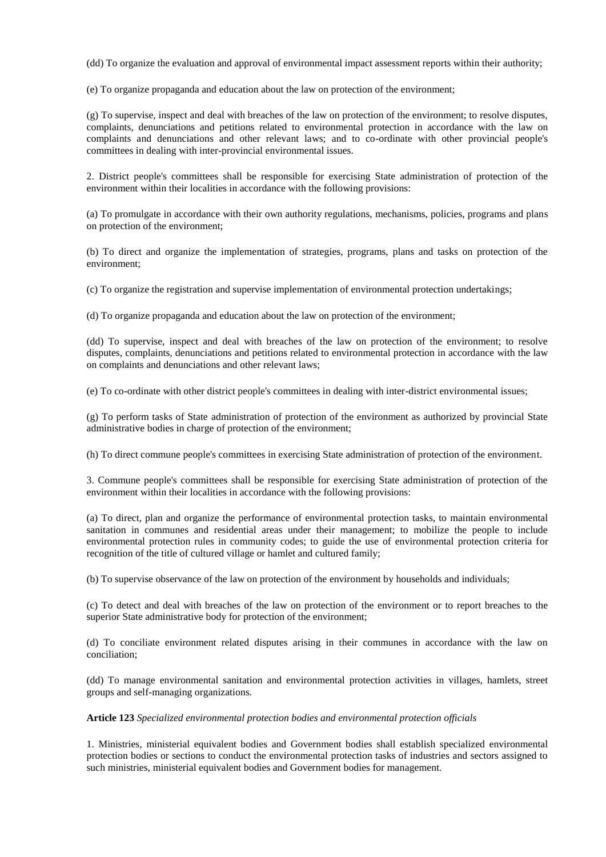(dd) To organize the evaluation and approval of environmental impact assessment reports within their authority;

(e) To organize propaganda and education about the law on protection of the environment;

(g) To supervise, inspect and deal with breaches of the law on protection of the environment; to resolve disputes, complaints, denunciations and petitions related to environmental protection in accordance with the law on complaints and denunciations and other relevant laws; and to co-ordinate with other provincial people's committees in dealing with inter-provincial environmental issues.

2. District people's committees shall be responsible for exercising State administration of protection of the environment within their localities in accordance with the following provisions:

(a) To promulgate in accordance with their own authority regulations, mechanisms, policies, programs and plans on protection of the environment;

(b) To direct and organize the implementation of strategies, programs, plans and tasks on protection of the environment;

(c) To organize the registration and supervise implementation of environmental protection undertakings;

(d) To organize propaganda and education about the law on protection of the environment;

(dd) To supervise, inspect and deal with breaches of the law on protection of the environment; to resolve disputes, complaints, denunciations and petitions related to environmental protection in accordance with the law on complaints and denunciations and other relevant laws;

(e) To co-ordinate with other district people's committees in dealing with inter-district environmental issues;

(g) To perform tasks of State administration of protection of the environment as authorized by provincial State administrative bodies in charge of protection of the environment;

(h) To direct commune people's committees in exercising State administration of protection of the environment.

3. Commune people's committees shall be responsible for exercising State administration of protection of the environment within their localities in accordance with the following provisions:

(a) To direct, plan and organize the performance of environmental protection tasks, to maintain environmental sanitation in communes and residential areas under their management; to mobilize the people to include environmental protection rules in community codes; to guide the use of environmental protection criteria for recognition of the title of cultured village or hamlet and cultured family;

(b) To supervise observance of the law on protection of the environment by households and individuals;

(c) To detect and deal with breaches of the law on protection of the environment or to report breaches to the superior State administrative body for protection of the environment;

(d) To conciliate environment related disputes arising in their communes in accordance with the law on conciliation;

(dd) To manage environmental sanitation and environmental protection activities in villages, hamlets, street groups and self-managing organizations.

## **Article 123** *Specialized environmental protection bodies and environmental protection officials*

1. Ministries, ministerial equivalent bodies and Government bodies shall establish specialized environmental protection bodies or sections to conduct the environmental protection tasks of industries and sectors assigned to such ministries, ministerial equivalent bodies and Government bodies for management.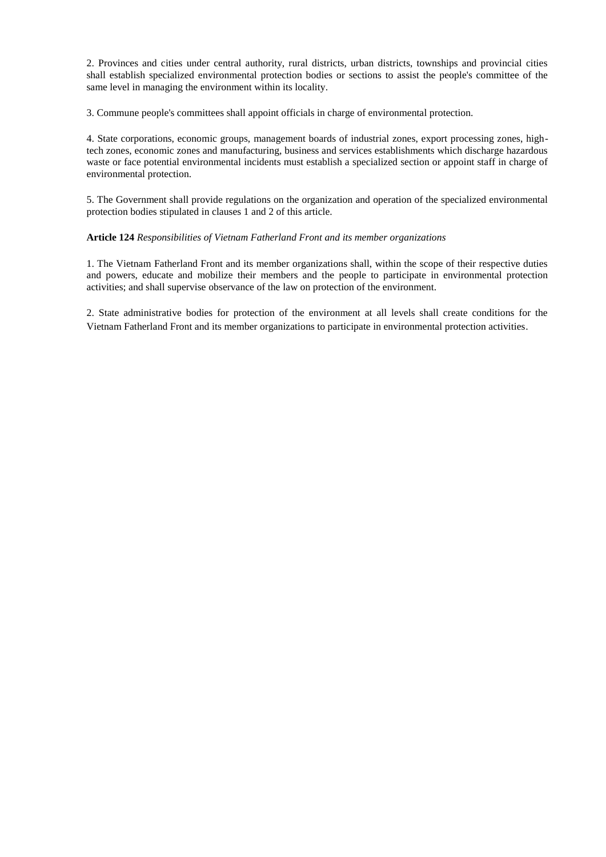2. Provinces and cities under central authority, rural districts, urban districts, townships and provincial cities shall establish specialized environmental protection bodies or sections to assist the people's committee of the same level in managing the environment within its locality.

3. Commune people's committees shall appoint officials in charge of environmental protection.

4. State corporations, economic groups, management boards of industrial zones, export processing zones, hightech zones, economic zones and manufacturing, business and services establishments which discharge hazardous waste or face potential environmental incidents must establish a specialized section or appoint staff in charge of environmental protection.

5. The Government shall provide regulations on the organization and operation of the specialized environmental protection bodies stipulated in clauses 1 and 2 of this article.

## **Article 124** *Responsibilities of Vietnam Fatherland Front and its member organizations*

1. The Vietnam Fatherland Front and its member organizations shall, within the scope of their respective duties and powers, educate and mobilize their members and the people to participate in environmental protection activities; and shall supervise observance of the law on protection of the environment.

2. State administrative bodies for protection of the environment at all levels shall create conditions for the Vietnam Fatherland Front and its member organizations to participate in environmental protection activities.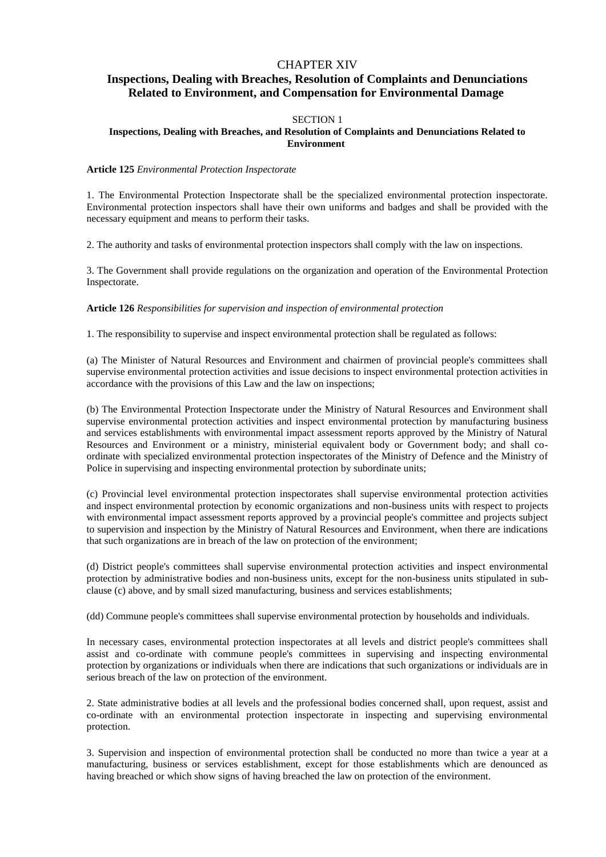## CHAPTER XIV

## **Inspections, Dealing with Breaches, Resolution of Complaints and Denunciations Related to Environment, and Compensation for Environmental Damage**

## SECTION 1

## **Inspections, Dealing with Breaches, and Resolution of Complaints and Denunciations Related to Environment**

#### **Article 125** *Environmental Protection Inspectorate*

1. The Environmental Protection Inspectorate shall be the specialized environmental protection inspectorate. Environmental protection inspectors shall have their own uniforms and badges and shall be provided with the necessary equipment and means to perform their tasks.

2. The authority and tasks of environmental protection inspectors shall comply with the law on inspections.

3. The Government shall provide regulations on the organization and operation of the Environmental Protection Inspectorate.

**Article 126** *Responsibilities for supervision and inspection of environmental protection*

1. The responsibility to supervise and inspect environmental protection shall be regulated as follows:

(a) The Minister of Natural Resources and Environment and chairmen of provincial people's committees shall supervise environmental protection activities and issue decisions to inspect environmental protection activities in accordance with the provisions of this Law and the law on inspections;

(b) The Environmental Protection Inspectorate under the Ministry of Natural Resources and Environment shall supervise environmental protection activities and inspect environmental protection by manufacturing business and services establishments with environmental impact assessment reports approved by the Ministry of Natural Resources and Environment or a ministry, ministerial equivalent body or Government body; and shall coordinate with specialized environmental protection inspectorates of the Ministry of Defence and the Ministry of Police in supervising and inspecting environmental protection by subordinate units;

(c) Provincial level environmental protection inspectorates shall supervise environmental protection activities and inspect environmental protection by economic organizations and non-business units with respect to projects with environmental impact assessment reports approved by a provincial people's committee and projects subject to supervision and inspection by the Ministry of Natural Resources and Environment, when there are indications that such organizations are in breach of the law on protection of the environment;

(d) District people's committees shall supervise environmental protection activities and inspect environmental protection by administrative bodies and non-business units, except for the non-business units stipulated in subclause (c) above, and by small sized manufacturing, business and services establishments;

(dd) Commune people's committees shall supervise environmental protection by households and individuals.

In necessary cases, environmental protection inspectorates at all levels and district people's committees shall assist and co-ordinate with commune people's committees in supervising and inspecting environmental protection by organizations or individuals when there are indications that such organizations or individuals are in serious breach of the law on protection of the environment.

2. State administrative bodies at all levels and the professional bodies concerned shall, upon request, assist and co-ordinate with an environmental protection inspectorate in inspecting and supervising environmental protection.

3. Supervision and inspection of environmental protection shall be conducted no more than twice a year at a manufacturing, business or services establishment, except for those establishments which are denounced as having breached or which show signs of having breached the law on protection of the environment.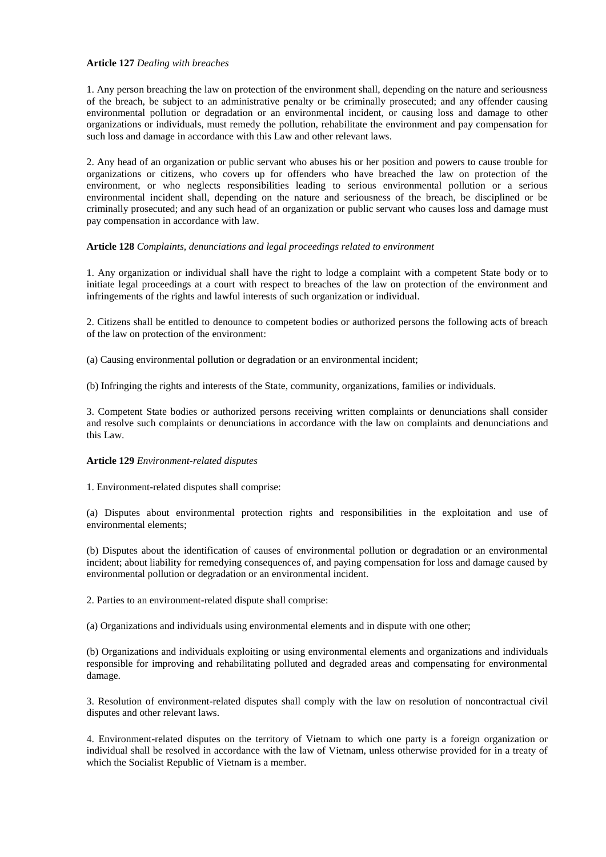### **Article 127** *Dealing with breaches*

1. Any person breaching the law on protection of the environment shall, depending on the nature and seriousness of the breach, be subject to an administrative penalty or be criminally prosecuted; and any offender causing environmental pollution or degradation or an environmental incident, or causing loss and damage to other organizations or individuals, must remedy the pollution, rehabilitate the environment and pay compensation for such loss and damage in accordance with this Law and other relevant laws.

2. Any head of an organization or public servant who abuses his or her position and powers to cause trouble for organizations or citizens, who covers up for offenders who have breached the law on protection of the environment, or who neglects responsibilities leading to serious environmental pollution or a serious environmental incident shall, depending on the nature and seriousness of the breach, be disciplined or be criminally prosecuted; and any such head of an organization or public servant who causes loss and damage must pay compensation in accordance with law.

### **Article 128** *Complaints, denunciations and legal proceedings related to environment*

1. Any organization or individual shall have the right to lodge a complaint with a competent State body or to initiate legal proceedings at a court with respect to breaches of the law on protection of the environment and infringements of the rights and lawful interests of such organization or individual.

2. Citizens shall be entitled to denounce to competent bodies or authorized persons the following acts of breach of the law on protection of the environment:

(a) Causing environmental pollution or degradation or an environmental incident;

(b) Infringing the rights and interests of the State, community, organizations, families or individuals.

3. Competent State bodies or authorized persons receiving written complaints or denunciations shall consider and resolve such complaints or denunciations in accordance with the law on complaints and denunciations and this Law.

## **Article 129** *Environment-related disputes*

1. Environment-related disputes shall comprise:

(a) Disputes about environmental protection rights and responsibilities in the exploitation and use of environmental elements;

(b) Disputes about the identification of causes of environmental pollution or degradation or an environmental incident; about liability for remedying consequences of, and paying compensation for loss and damage caused by environmental pollution or degradation or an environmental incident.

2. Parties to an environment-related dispute shall comprise:

(a) Organizations and individuals using environmental elements and in dispute with one other;

(b) Organizations and individuals exploiting or using environmental elements and organizations and individuals responsible for improving and rehabilitating polluted and degraded areas and compensating for environmental damage.

3. Resolution of environment-related disputes shall comply with the law on resolution of noncontractual civil disputes and other relevant laws.

4. Environment-related disputes on the territory of Vietnam to which one party is a foreign organization or individual shall be resolved in accordance with the law of Vietnam, unless otherwise provided for in a treaty of which the Socialist Republic of Vietnam is a member.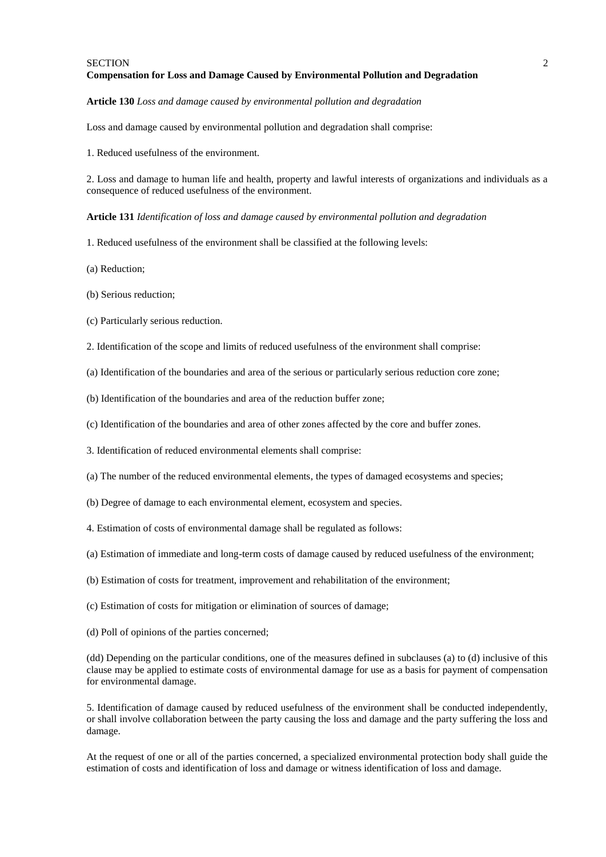#### SECTION 2 **Compensation for Loss and Damage Caused by Environmental Pollution and Degradation**

#### **Article 130** *Loss and damage caused by environmental pollution and degradation*

Loss and damage caused by environmental pollution and degradation shall comprise:

1. Reduced usefulness of the environment.

2. Loss and damage to human life and health, property and lawful interests of organizations and individuals as a consequence of reduced usefulness of the environment.

**Article 131** *Identification of loss and damage caused by environmental pollution and degradation*

- 1. Reduced usefulness of the environment shall be classified at the following levels:
- (a) Reduction;
- (b) Serious reduction;
- (c) Particularly serious reduction.
- 2. Identification of the scope and limits of reduced usefulness of the environment shall comprise:
- (a) Identification of the boundaries and area of the serious or particularly serious reduction core zone;
- (b) Identification of the boundaries and area of the reduction buffer zone;
- (c) Identification of the boundaries and area of other zones affected by the core and buffer zones.
- 3. Identification of reduced environmental elements shall comprise:
- (a) The number of the reduced environmental elements, the types of damaged ecosystems and species;
- (b) Degree of damage to each environmental element, ecosystem and species.
- 4. Estimation of costs of environmental damage shall be regulated as follows:
- (a) Estimation of immediate and long-term costs of damage caused by reduced usefulness of the environment;
- (b) Estimation of costs for treatment, improvement and rehabilitation of the environment;
- (c) Estimation of costs for mitigation or elimination of sources of damage;
- (d) Poll of opinions of the parties concerned;

(dd) Depending on the particular conditions, one of the measures defined in subclauses (a) to (d) inclusive of this clause may be applied to estimate costs of environmental damage for use as a basis for payment of compensation for environmental damage.

5. Identification of damage caused by reduced usefulness of the environment shall be conducted independently, or shall involve collaboration between the party causing the loss and damage and the party suffering the loss and damage.

At the request of one or all of the parties concerned, a specialized environmental protection body shall guide the estimation of costs and identification of loss and damage or witness identification of loss and damage.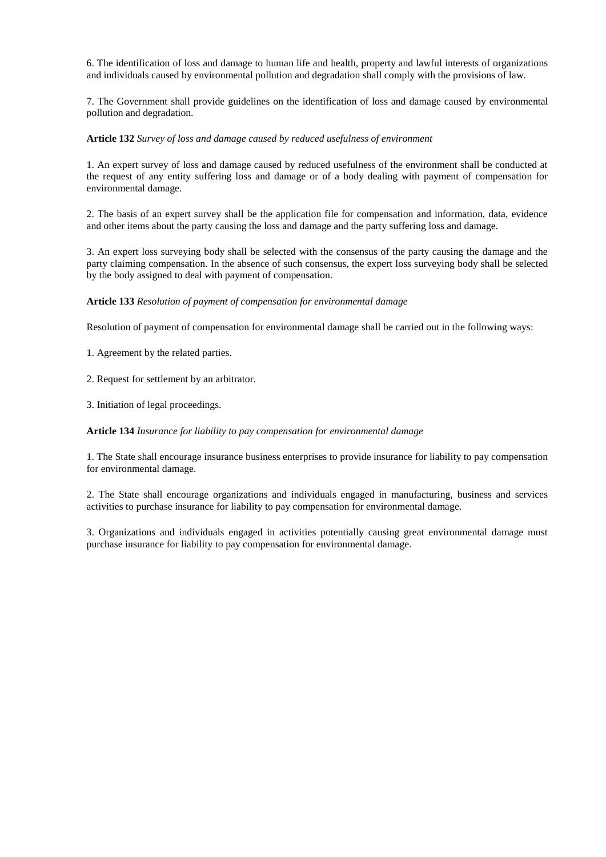6. The identification of loss and damage to human life and health, property and lawful interests of organizations and individuals caused by environmental pollution and degradation shall comply with the provisions of law.

7. The Government shall provide guidelines on the identification of loss and damage caused by environmental pollution and degradation.

## **Article 132** *Survey of loss and damage caused by reduced usefulness of environment*

1. An expert survey of loss and damage caused by reduced usefulness of the environment shall be conducted at the request of any entity suffering loss and damage or of a body dealing with payment of compensation for environmental damage.

2. The basis of an expert survey shall be the application file for compensation and information, data, evidence and other items about the party causing the loss and damage and the party suffering loss and damage.

3. An expert loss surveying body shall be selected with the consensus of the party causing the damage and the party claiming compensation. In the absence of such consensus, the expert loss surveying body shall be selected by the body assigned to deal with payment of compensation.

## **Article 133** *Resolution of payment of compensation for environmental damage*

Resolution of payment of compensation for environmental damage shall be carried out in the following ways:

1. Agreement by the related parties.

2. Request for settlement by an arbitrator.

3. Initiation of legal proceedings.

**Article 134** *Insurance for liability to pay compensation for environmental damage*

1. The State shall encourage insurance business enterprises to provide insurance for liability to pay compensation for environmental damage.

2. The State shall encourage organizations and individuals engaged in manufacturing, business and services activities to purchase insurance for liability to pay compensation for environmental damage.

3. Organizations and individuals engaged in activities potentially causing great environmental damage must purchase insurance for liability to pay compensation for environmental damage.